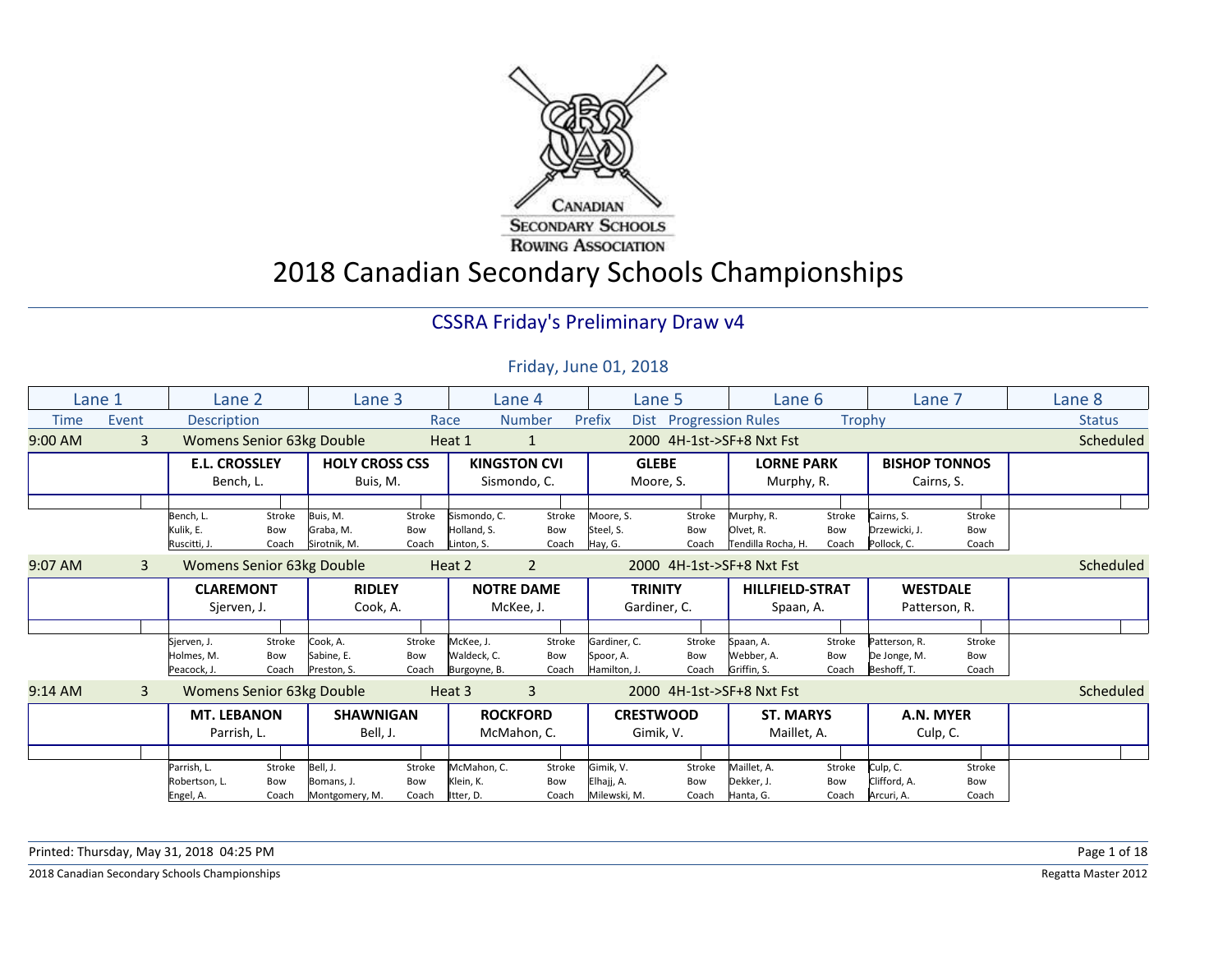

2018 Canadian Secondary Schools Championships

#### CSSRA Friday's Preliminary Draw v4

#### Friday, June 01, 2018

|             | Lane 1 | Lane 2               |        | Lane 3                           |        |              | Lane 4              |              | Lane 5                 | Lane 6                    |        | Lane 7               |        | Lane 8        |
|-------------|--------|----------------------|--------|----------------------------------|--------|--------------|---------------------|--------------|------------------------|---------------------------|--------|----------------------|--------|---------------|
| <b>Time</b> | Event  | <b>Description</b>   |        |                                  |        | Race         | <b>Number</b>       | Prefix       | Dist Progression Rules |                           |        | Trophy               |        | <b>Status</b> |
| $9:00$ AM   | 3      |                      |        | <b>Womens Senior 63kg Double</b> |        | Heat 1       | 1                   |              |                        | 2000 4H-1st->SF+8 Nxt Fst |        |                      |        | Scheduled     |
|             |        | <b>E.L. CROSSLEY</b> |        | <b>HOLY CROSS CSS</b>            |        |              | <b>KINGSTON CVI</b> |              | <b>GLEBE</b>           | <b>LORNE PARK</b>         |        | <b>BISHOP TONNOS</b> |        |               |
|             |        | Bench, L.            |        | Buis, M.                         |        |              | Sismondo, C.        |              | Moore, S.              | Murphy, R.                |        | Cairns, S.           |        |               |
|             |        |                      |        |                                  |        |              |                     |              |                        |                           |        |                      |        |               |
|             |        | Bench, L.            | Stroke | Buis, M.                         | Stroke | Sismondo, C. | Stroke              | Moore, S.    | Stroke                 | Murphy, R.                | Stroke | Cairns, S.           | Stroke |               |
|             |        | Kulik. E.            | Bow    | Graba, M.                        | Bow    | Holland, S.  | Bow                 | Steel, S.    | Bow                    | Olvet, R.                 | Bow    | Drzewicki, J.        | Bow    |               |
|             |        | Ruscitti, J.         | Coach  | Sirotnik, M.                     | Coach  | Linton, S.   | Coach               | Hay, G.      | Coach                  | Tendilla Rocha, H.        | Coach  | Pollock, C.          | Coach  |               |
| 9:07 AM     | 3      |                      |        | <b>Womens Senior 63kg Double</b> |        | Heat 2       | $\overline{2}$      |              |                        | 2000 4H-1st->SF+8 Nxt Fst |        |                      |        | Scheduled     |
|             |        | <b>CLAREMONT</b>     |        | <b>RIDLEY</b>                    |        |              | <b>NOTRE DAME</b>   |              | <b>TRINITY</b>         | <b>HILLFIELD-STRAT</b>    |        | <b>WESTDALE</b>      |        |               |
|             |        | Sjerven, J.          |        | Cook, A.                         |        |              | McKee, J.           |              | Gardiner, C.           | Spaan, A.                 |        | Patterson, R.        |        |               |
|             |        |                      |        |                                  |        |              |                     |              |                        |                           |        |                      |        |               |
|             |        | Sierven, J.          | Stroke | Cook, A.                         | Stroke | McKee, J.    | Stroke              | Gardiner, C. | Stroke                 | Spaan, A.                 | Stroke | Patterson, R.        | Stroke |               |
|             |        | Holmes, M.           | Bow    | Sabine, E.                       | Bow    | Waldeck, C.  | Bow                 | Spoor, A.    | Bow                    | Webber, A.                | Bow    | De Jonge, M.         | Bow    |               |
|             |        | Peacock, J.          | Coach  | Preston, S.                      | Coach  | Burgoyne, B. | Coach               | Hamilton, J. | Coach                  | Griffin, S.               | Coach  | Beshoff, T.          | Coach  |               |
| $9:14$ AM   | 3      |                      |        | Womens Senior 63kg Double        |        | Heat 3       | 3                   |              |                        | 2000 4H-1st->SF+8 Nxt Fst |        |                      |        | Scheduled     |
|             |        | <b>MT. LEBANON</b>   |        | <b>SHAWNIGAN</b>                 |        |              | <b>ROCKFORD</b>     |              | <b>CRESTWOOD</b>       | <b>ST. MARYS</b>          |        | A.N. MYER            |        |               |
|             |        | Parrish, L.          |        | Bell, J.                         |        |              | McMahon, C.         |              | Gimik, V.              | Maillet, A.               |        | Culp, C.             |        |               |
|             |        |                      |        |                                  |        |              |                     |              |                        |                           |        |                      |        |               |
|             |        | Parrish, L.          | Stroke | Bell, J.                         | Stroke | McMahon, C.  | Stroke              | Gimik, V.    | Stroke                 | Maillet, A.               | Stroke | Culp, C.             | Stroke |               |
|             |        | Robertson, L.        | Bow    | Bomans, J.                       | Bow    | Klein, K.    | Bow                 | Elhajj, A.   | Bow                    | Dekker, J.                | Bow    | Clifford, A.         | Bow    |               |
|             |        | Engel, A.            | Coach  | Montgomery, M.                   | Coach  | Itter, D.    | Coach               | Milewski, M. | Coach                  | Hanta, G.                 | Coach  | Arcuri, A.           | Coach  |               |

Printed: Thursday, May 31, 2018 04:25 PM Page 1 of 18

2018 Canadian Secondary Schools Championships Regatta Master 2012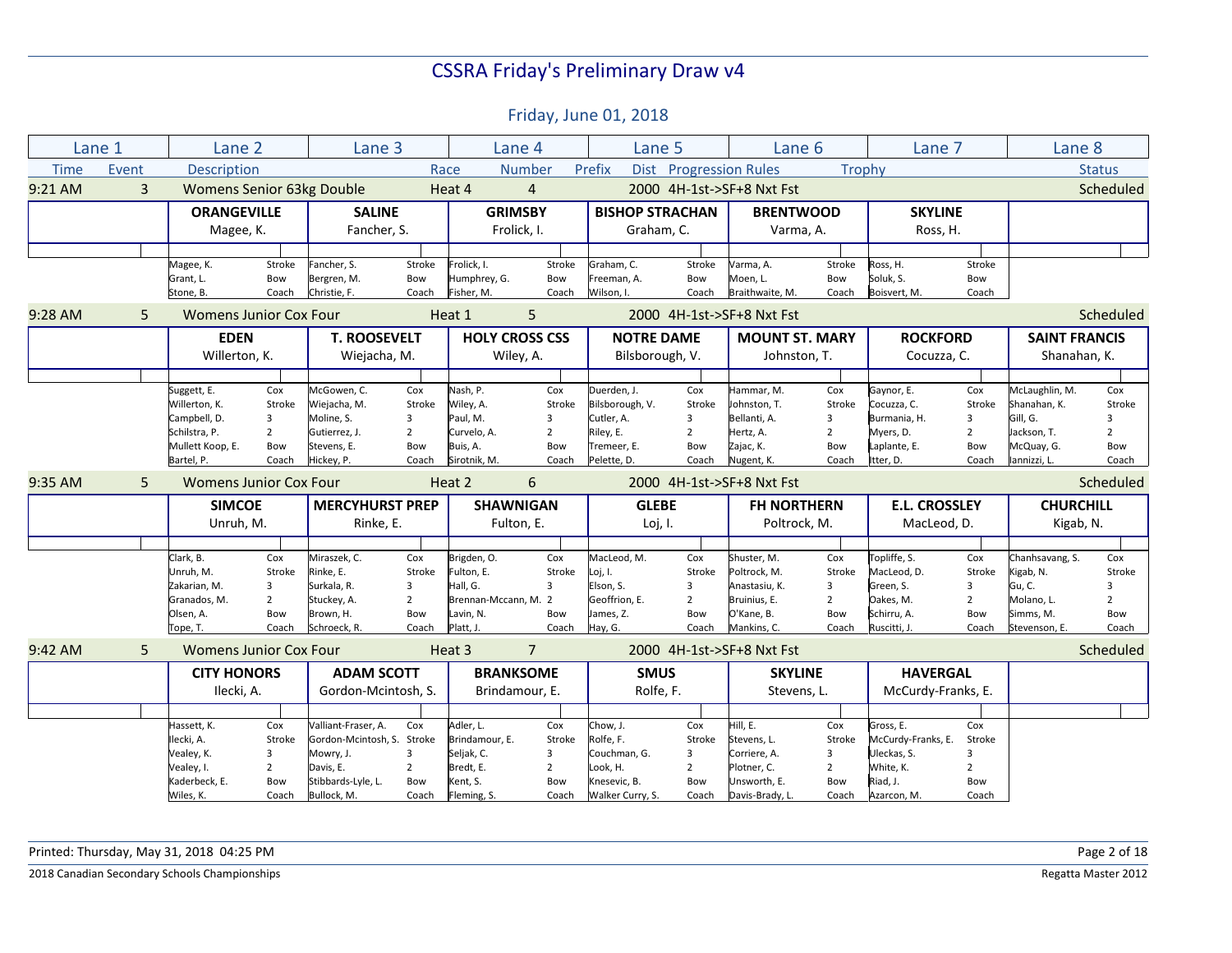Friday, June 01, 2018

|             | Lane 1         | Lane 2                        |                | Lane 3                            |                |                         | Lane 4                | Lane 5                           |                | Lane 6                        |                | Lane 7               |                | Lane 8               |                |
|-------------|----------------|-------------------------------|----------------|-----------------------------------|----------------|-------------------------|-----------------------|----------------------------------|----------------|-------------------------------|----------------|----------------------|----------------|----------------------|----------------|
| <b>Time</b> | Event          | <b>Description</b>            |                |                                   |                | Race                    | <b>Number</b>         | Prefix                           |                | <b>Dist</b> Progression Rules | Trophy         |                      |                |                      | <b>Status</b>  |
| 9:21 AM     | $\overline{3}$ | Womens Senior 63kg Double     |                |                                   |                | Heat 4                  | $\overline{4}$        |                                  |                | 2000 4H-1st->SF+8 Nxt Fst     |                |                      |                |                      | Scheduled      |
|             |                | <b>ORANGEVILLE</b>            |                | <b>SALINE</b>                     |                | <b>GRIMSBY</b>          |                       | <b>BISHOP STRACHAN</b>           |                | <b>BRENTWOOD</b>              |                | <b>SKYLINE</b>       |                |                      |                |
|             |                | Magee, K.                     |                | Fancher, S.                       |                |                         | Frolick, I.           | Graham, C.                       |                | Varma, A.                     |                | Ross, H.             |                |                      |                |
|             |                |                               |                |                                   |                |                         |                       |                                  |                |                               |                |                      |                |                      |                |
|             |                | Magee, K.                     | Stroke         | Fancher, S.                       | Stroke         | Frolick. I.             | Stroke                | Graham, C.                       | Stroke         | Varma, A.                     | Stroke         | Ross, H.             | Stroke         |                      |                |
|             |                | Grant, L.                     | Bow            | Bergren, M.                       | Bow            | Humphrey, G.            | Bow                   | Freeman, A.                      | Bow            | Moen, L.                      | Bow            | Soluk, S.            | Bow            |                      |                |
|             |                | Stone, B.                     | Coach          | Christie, F.                      | Coach          | Fisher, M.              | Coach                 | Wilson, I.                       | Coach          | Braithwaite, M.               | Coach          | Boisvert, M.         | Coach          |                      |                |
| 9:28 AM     | 5.             | Womens Junior Cox Four        |                |                                   |                | Heat 1                  | 5                     |                                  |                | 2000 4H-1st->SF+8 Nxt Fst     |                |                      |                |                      | Scheduled      |
|             |                | <b>EDEN</b>                   |                | <b>T. ROOSEVELT</b>               |                |                         | <b>HOLY CROSS CSS</b> | <b>NOTRE DAME</b>                |                | <b>MOUNT ST. MARY</b>         |                | <b>ROCKFORD</b>      |                | <b>SAINT FRANCIS</b> |                |
|             |                | Willerton, K.                 |                | Wiejacha, M.                      |                |                         | Wiley, A.             | Bilsborough, V.                  |                | Johnston, T.                  |                | Cocuzza, C.          |                | Shanahan, K.         |                |
|             |                |                               |                |                                   |                |                         |                       |                                  |                |                               |                |                      |                |                      |                |
|             |                | Suggett, E.                   | Cox            | McGowen, C.                       | Cox            | Nash, P.                | Cox                   | Duerden, J.                      | Cox            | Hammar, M.                    | Cox            | Gaynor, E.           | Cox            | McLaughlin, M.       | Cox            |
|             |                | Willerton, K.                 | Stroke         | Wiejacha, M.                      | Stroke         | Wiley, A.               | Stroke                | Bilsborough, V.                  | Stroke         | Johnston, T.                  | Stroke         | Cocuzza, C.          | Stroke         | Shanahan, K.         | Stroke         |
|             |                | Campbell, D.                  | 3              | Moline, S.                        | 3              | Paul, M.                | 3                     | Cutler, A.                       | $\overline{3}$ | Bellanti, A.                  | 3              | Burmania, H.         | 3              | Gill, G.             | 3              |
|             |                | Schilstra, P.                 | $\overline{2}$ | Gutierrez, J.                     | $\overline{2}$ | Curvelo, A.             | $\overline{2}$        | Riley, E.                        | $\overline{2}$ | Hertz, A.                     | $\overline{2}$ | Myers, D.            | $\overline{2}$ | Jackson, T.          | $\overline{2}$ |
|             |                | Mullett Koop, E.              | Bow            | Stevens, E.                       | Bow            | Buis. A.                | Bow                   | Tremeer, E.                      | Bow            | Zajac, K.                     | Bow            | Laplante, E.         | Bow            | McQuay, G.           | Bow            |
|             |                | Bartel, P.                    | Coach          | Hickey, P.                        | Coach          | Sirotnik, M.            | Coach                 | Pelette, D.                      | Coach          | Nugent, K.                    | Coach          | Itter, D.            | Coach          | lannizzi, L.         | Coach          |
| 9:35 AM     | 5              | <b>Womens Junior Cox Four</b> |                |                                   |                | Heat 2                  | 6                     |                                  |                | 2000 4H-1st->SF+8 Nxt Fst     |                |                      |                |                      | Scheduled      |
|             |                | <b>SIMCOE</b>                 |                | <b>MERCYHURST PREP</b>            |                | <b>SHAWNIGAN</b>        |                       | <b>GLEBE</b>                     |                | <b>FH NORTHERN</b>            |                | <b>E.L. CROSSLEY</b> |                | <b>CHURCHILL</b>     |                |
|             |                | Unruh, M.                     |                | Rinke, E.                         |                |                         | Fulton, E.            | Loj, I.                          |                | Poltrock, M.                  |                | MacLeod, D.          |                | Kigab, N.            |                |
|             |                |                               |                |                                   |                |                         |                       |                                  |                |                               |                |                      |                |                      |                |
|             |                |                               |                |                                   |                |                         |                       |                                  |                |                               |                |                      |                |                      |                |
|             |                | Clark, B.                     | Cox            | Miraszek, C.                      | Cox            | Brigden, O.             | Cox                   | MacLeod. M.                      | Cox            | Shuster. M.                   | Cox            | Topliffe, S.         | Cox            | Chanhsavang, S.      | Cox            |
|             |                | Unruh, M.                     | Stroke         | Rinke, E.                         | Stroke         | Fulton, E.              | Stroke                | Loj, I.                          | Stroke         | Poltrock, M.                  | Stroke         | MacLeod, D.          | Stroke         | Kigab, N.            | Stroke         |
|             |                | Zakarian, M.                  | 3              | Surkala, R.                       | 3              | Hall, G.                | $\overline{3}$        | Elson, S.                        | 3              | Anastasiu, K.                 | 3              | Green, S.            | 3              | Gu, C.               | 3              |
|             |                | Granados, M.                  | $\overline{2}$ | Stuckey, A.                       | $\overline{2}$ | Brennan-Mccann, M. 2    |                       | Geoffrion, E.                    | $\overline{2}$ | Bruinius, E.                  | $\overline{2}$ | Oakes, M.            | $\overline{2}$ | Molano, L.           | $\overline{2}$ |
|             |                | Olsen, A.                     | Bow            | Brown, H.                         | Bow            | Lavin, N.               | Bow                   | James, Z.                        | Bow            | O'Kane, B.                    | Bow            | Schirru, A.          | Bow            | Simms, M.            | Bow            |
|             |                | Tope, T.                      | Coach          | Schroeck, R.                      | Coach          | Platt. J.               | Coach                 | Hay, G.                          | Coach          | Mankins, C.                   | Coach          | Ruscitti. J.         | Coach          | Stevenson, E.        | Coach          |
| 9:42 AM     | 5              | <b>Womens Junior Cox Four</b> |                |                                   |                | Heat 3                  | 7                     |                                  |                | 2000 4H-1st->SF+8 Nxt Fst     |                |                      |                |                      |                |
|             |                | <b>CITY HONORS</b>            |                | <b>ADAM SCOTT</b>                 |                | <b>BRANKSOME</b>        |                       | <b>SMUS</b>                      |                | <b>SKYLINE</b>                |                | <b>HAVERGAL</b>      |                |                      | Scheduled      |
|             |                | Ilecki, A.                    |                | Gordon-Mcintosh, S.               |                |                         | Brindamour, E.        | Rolfe, F.                        |                | Stevens, L.                   |                | McCurdy-Franks, E.   |                |                      |                |
|             |                |                               |                |                                   |                |                         |                       |                                  |                |                               |                |                      |                |                      |                |
|             |                | Hassett, K.                   | Cox            | Valliant-Fraser, A.               | Cox            | Adler, L.               | Cox                   | Chow, J.                         | Cox            | Hill, E.                      | Cox            | Gross, E.            | Cox            |                      |                |
|             |                | Ilecki, A.                    | Stroke         | Gordon-Mcintosh, S. Stroke        |                | Brindamour, E.          | Stroke                | Rolfe, F.                        | Stroke         | Stevens, L.                   | Stroke         | McCurdy-Franks, E.   | Stroke         |                      |                |
|             |                | Vealey, K.                    | 3              | Mowry, J.                         | 3              | Seljak, C.              | 3                     | Couchman, G.                     | 3              | Corriere, A.                  | 3              | Uleckas, S.          | 3              |                      |                |
|             |                | Vealey, I.                    | $\overline{2}$ | Davis, E.                         | $\overline{2}$ | Bredt, E.               | $\overline{2}$        | Look, H.                         | $\overline{2}$ | Plotner, C.                   | $\overline{2}$ | White, K.            | $\overline{2}$ |                      |                |
|             |                | Kaderbeck, E.                 | Bow            | Stibbards-Lyle, L.<br>Bullock, M. | Bow            | Kent, S.<br>Fleming, S. | Bow                   | Knesevic, B.<br>Walker Curry, S. | Bow            | Unsworth, E.                  | Bow            | Riad, J.             | Bow            |                      |                |

Printed: Thursday, May 31, 2018 04:25 PM Page 2 of 18

**2018 Canadian Secondary Schools Championships** Regatta Master 2012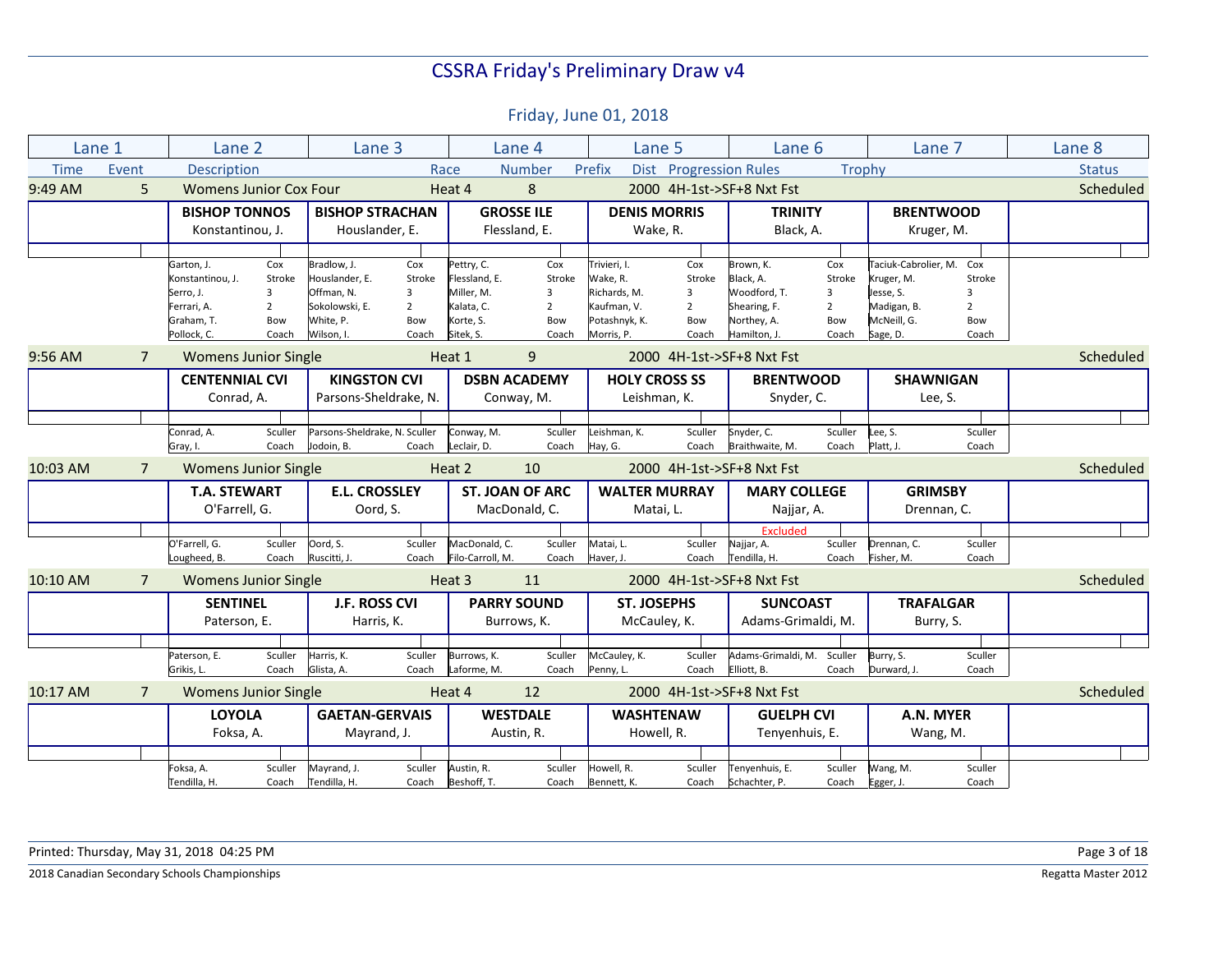| Lane 1      |                | Lane 2                |                               | Lane 3                        |                |                  | Lane 4                 | Lane 5               |                        | Lane 6                     |                | Lane 7                   |                | Lane 8        |
|-------------|----------------|-----------------------|-------------------------------|-------------------------------|----------------|------------------|------------------------|----------------------|------------------------|----------------------------|----------------|--------------------------|----------------|---------------|
| <b>Time</b> | Event          | <b>Description</b>    |                               |                               |                | Race             | <b>Number</b>          | Prefix               | Dist Progression Rules |                            | Trophy         |                          |                | <b>Status</b> |
| 9:49 AM     | 5              |                       | <b>Womens Junior Cox Four</b> |                               |                | Heat 4           | 8                      |                      |                        | 2000 4H-1st->SF+8 Nxt Fst  |                |                          |                | Scheduled     |
|             |                | <b>BISHOP TONNOS</b>  |                               | <b>BISHOP STRACHAN</b>        |                |                  | <b>GROSSE ILE</b>      | <b>DENIS MORRIS</b>  |                        | <b>TRINITY</b>             |                | <b>BRENTWOOD</b>         |                |               |
|             |                | Konstantinou, J.      |                               | Houslander, E.                |                |                  | Flessland, E.          | Wake, R.             |                        | Black, A.                  |                | Kruger, M.               |                |               |
|             |                |                       |                               |                               |                |                  |                        |                      |                        |                            |                |                          |                |               |
|             |                | Garton, J.            | Cox                           | Bradlow, J.                   | Cox            | Pettry, C.       | Cox                    | Trivieri, I.         | Cox                    | Brown, K.                  | Cox            | Taciuk-Cabrolier, M. Cox |                |               |
|             |                | Konstantinou, J.      | Stroke                        | Houslander, E.                | Stroke         | Flessland, E.    | Stroke                 | Wake, R.             | Stroke                 | Black, A.                  | Stroke         | Kruger, M.               | Stroke         |               |
|             |                | Serro, J.             | $\overline{3}$                | Offman, N.                    | 3              | Miller, M.       | 3                      | Richards, M.         | 3                      | Woodford, T.               | 3              | Jesse, S.                | 3              |               |
|             |                | Ferrari, A.           | $\overline{2}$                | Sokolowski, E.                | $\overline{2}$ | Kalata, C.       | $\overline{2}$         | Kaufman, V.          | $\overline{2}$         | Shearing, F.               | $\overline{2}$ | Madigan, B.              | $\overline{2}$ |               |
|             |                | Graham, T.            | Bow                           | White, P.                     | Bow            | Korte, S.        | Bow                    | Potashnyk, K.        | Bow                    | Northey, A.                | Bow            | McNeill, G.              | Bow            |               |
|             |                | Pollock, C.           | Coach                         | Wilson. I.                    | Coach          | Sitek, S.        | Coach                  | Morris, P.           | Coach                  | Hamilton, J.               | Coach          | Sage, D.                 | Coach          |               |
| $9:56$ AM   | $\overline{7}$ |                       | <b>Womens Junior Single</b>   |                               |                | Heat 1           | 9                      |                      |                        | 2000 4H-1st->SF+8 Nxt Fst  |                |                          |                | Scheduled     |
|             |                | <b>CENTENNIAL CVI</b> |                               | <b>KINGSTON CVI</b>           |                |                  | <b>DSBN ACADEMY</b>    | <b>HOLY CROSS SS</b> |                        | <b>BRENTWOOD</b>           |                | <b>SHAWNIGAN</b>         |                |               |
|             |                | Conrad, A.            |                               | Parsons-Sheldrake, N.         |                |                  | Conway, M.             | Leishman, K.         |                        | Snyder, C.                 |                | Lee, S.                  |                |               |
|             |                |                       |                               |                               |                |                  |                        |                      |                        |                            |                |                          |                |               |
|             |                | Conrad, A.            | Sculler                       | Parsons-Sheldrake, N. Sculler |                | Conway, M.       | Sculler                | Leishman, K.         | Sculler                | Snyder, C.                 | Sculler        | Lee, S.                  | Sculler        |               |
|             |                | Gray, I.              | Coach                         | Jodoin. B.                    | Coach          | Leclair, D.      | Coach                  | Hay, G.              | Coach                  | Braithwaite, M.            | Coach          | Platt, J.                | Coach          |               |
| 10:03 AM    | $7^{\circ}$    |                       | <b>Womens Junior Single</b>   |                               |                | Heat 2           | 10                     |                      |                        | 2000 4H-1st->SF+8 Nxt Fst  |                |                          |                | Scheduled     |
|             |                | <b>T.A. STEWART</b>   |                               | <b>E.L. CROSSLEY</b>          |                |                  | <b>ST. JOAN OF ARC</b> | <b>WALTER MURRAY</b> |                        | <b>MARY COLLEGE</b>        |                | <b>GRIMSBY</b>           |                |               |
|             |                | O'Farrell, G.         |                               | Oord, S.                      |                |                  | MacDonald, C.          | Matai, L.            |                        | Najjar, A.                 |                | Drennan, C.              |                |               |
|             |                |                       |                               |                               |                |                  |                        |                      |                        | <b>Fxcluded</b>            |                |                          |                |               |
|             |                | O'Farrell, G.         | Sculler                       | Oord, S.                      | Sculler        | MacDonald, C.    | Sculler                | Matai, L.            | Sculler                | Najjar, A.                 | Sculler        | Drennan, C.              | Sculler        |               |
|             |                | Lougheed, B.          | Coach                         | Ruscitti, J.                  | Coach          | Filo-Carroll, M. | Coach                  | Haver, J.            | Coach                  | Tendilla, H.               | Coach          | Fisher, M.               | Coach          |               |
| 10:10 AM    | $\overline{7}$ |                       | <b>Womens Junior Single</b>   |                               |                | Heat 3           | 11                     |                      |                        | 2000 4H-1st->SF+8 Nxt Fst  |                |                          |                | Scheduled     |
|             |                | <b>SENTINEL</b>       |                               | <b>J.F. ROSS CVI</b>          |                |                  | <b>PARRY SOUND</b>     | <b>ST. JOSEPHS</b>   |                        | <b>SUNCOAST</b>            |                | <b>TRAFALGAR</b>         |                |               |
|             |                | Paterson, E.          |                               | Harris, K.                    |                |                  | Burrows, K.            | McCauley, K.         |                        | Adams-Grimaldi, M.         |                | Burry, S.                |                |               |
|             |                |                       |                               |                               |                |                  |                        |                      |                        |                            |                |                          |                |               |
|             |                | Paterson, E.          | Sculler                       | Harris, K.                    | Sculler        | Burrows, K.      | Sculler                | McCauley, K.         | Sculler                | Adams-Grimaldi, M. Sculler |                | Burry, S.                | Sculler        |               |
|             |                | Grikis, L.            | Coach                         | Glista, A.                    | Coach          | Laforme, M.      | Coach                  | Penny, L.            | Coach                  | Elliott, B.                | Coach          | Durward, J.              | Coach          |               |
| 10:17 AM    | $\overline{7}$ |                       | <b>Womens Junior Single</b>   |                               |                | Heat 4           | 12                     |                      |                        | 2000 4H-1st->SF+8 Nxt Fst  |                |                          |                | Scheduled     |
|             |                | <b>LOYOLA</b>         |                               | <b>GAETAN-GERVAIS</b>         |                |                  | <b>WESTDALE</b>        | <b>WASHTENAW</b>     |                        | <b>GUELPH CVI</b>          |                | A.N. MYER                |                |               |
|             |                | Foksa, A.             |                               | Mayrand, J.                   |                |                  | Austin, R.             | Howell, R.           |                        | Tenyenhuis, E.             |                | Wang, M.                 |                |               |
|             |                |                       |                               |                               |                |                  |                        |                      |                        |                            |                |                          |                |               |
|             |                | Foksa, A.             | Sculler                       | Mayrand, J.                   | Sculler        | Austin, R.       | Sculler                | Howell, R.           | Sculler                | Tenyenhuis, E.             | Sculler        | Wang, M.                 | Sculler        |               |
|             |                | Tendilla, H.          | Coach                         | Tendilla, H.                  | Coach          | Beshoff, T.      | Coach                  | Bennett, K.          | Coach                  | Schachter, P.              | Coach          | Egger, J.                | Coach          |               |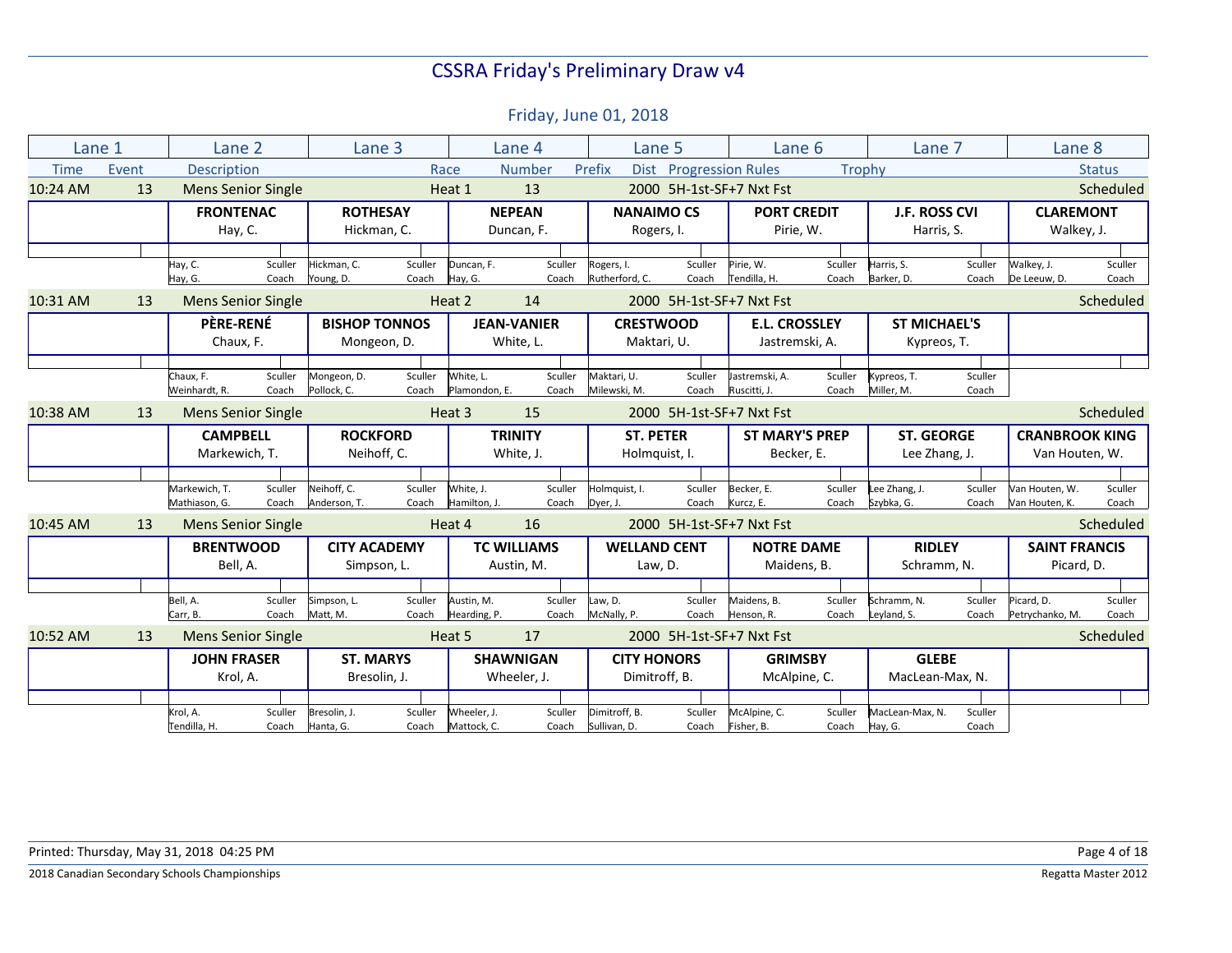|             | Lane 1 | Lane 2                           |                  | Lane 3                         |                  |                            | Lane 4                      | Lane 5                            |                          | Lane 6                              |                  | Lane 7                             |                  | Lane 8                                  |                  |
|-------------|--------|----------------------------------|------------------|--------------------------------|------------------|----------------------------|-----------------------------|-----------------------------------|--------------------------|-------------------------------------|------------------|------------------------------------|------------------|-----------------------------------------|------------------|
| <b>Time</b> | Event  | <b>Description</b>               |                  |                                | Race             |                            | Number                      | Prefix<br><b>Dist</b>             | <b>Progression Rules</b> |                                     | Trophy           |                                    |                  |                                         | <b>Status</b>    |
| 10:24 AM    | 13     | <b>Mens Senior Single</b>        |                  |                                |                  | Heat 1                     | 13                          |                                   |                          | 2000 5H-1st-SF+7 Nxt Fst            |                  |                                    |                  |                                         | Scheduled        |
|             |        | <b>FRONTENAC</b><br>Hay, C.      |                  | <b>ROTHESAY</b><br>Hickman, C. |                  |                            | <b>NEPEAN</b><br>Duncan, F. | <b>NANAIMO CS</b><br>Rogers, I.   |                          | <b>PORT CREDIT</b><br>Pirie, W.     |                  | <b>J.F. ROSS CVI</b><br>Harris, S. |                  | <b>CLAREMONT</b><br>Walkey, J.          |                  |
|             |        | Hay, C.                          | Sculler          | Hickman, C.                    | Sculler          | Duncan, F.                 | Sculler                     | Rogers, I.                        | Sculler                  | Pirie, W.                           | Sculler          | Harris, S.                         | Sculler          | Walkey, J.                              | Sculler          |
|             |        | Hay, G.                          | Coach            | Young, D.                      | Coach            | Hay, G.                    | Coach                       | Rutherford, C.                    | Coach                    | Tendilla. H.                        | Coach            | Barker, D.                         | Coach            | De Leeuw, D.                            | Coach            |
| 10:31 AM    | 13     | <b>Mens Senior Single</b>        |                  |                                |                  | Heat 2                     | 14                          |                                   |                          | 2000 5H-1st-SF+7 Nxt Fst            |                  |                                    |                  |                                         | Scheduled        |
|             |        | <b>PÈRE-RENÉ</b>                 |                  | <b>BISHOP TONNOS</b>           |                  |                            | <b>JEAN-VANIER</b>          | <b>CRESTWOOD</b>                  |                          | <b>E.L. CROSSLEY</b>                |                  | <b>ST MICHAEL'S</b>                |                  |                                         |                  |
|             |        | Chaux, F.                        |                  | Mongeon, D.                    |                  |                            | White, L.                   | Maktari, U.                       |                          | Jastremski, A.                      |                  | Kypreos, T.                        |                  |                                         |                  |
|             |        |                                  |                  |                                |                  |                            |                             |                                   |                          |                                     |                  |                                    |                  |                                         |                  |
|             |        | Chaux, F.<br>Weinhardt, R.       | Sculler<br>Coach | Mongeon, D.<br>Pollock, C.     | Sculler<br>Coach | White, L.<br>Plamondon, E. | Sculler<br>Coach            | Maktari, U.<br>Milewski, M.       | Sculler<br>Coach         | Jastremski, A.<br>Ruscitti, J.      | Sculler<br>Coach | Kypreos, T.<br>Miller, M.          | Sculler<br>Coach |                                         |                  |
| 10:38 AM    | 13     | <b>Mens Senior Single</b>        |                  |                                |                  | Heat 3                     | 15                          |                                   |                          | 2000 5H-1st-SF+7 Nxt Fst            |                  |                                    |                  |                                         | Scheduled        |
|             |        | <b>CAMPBELL</b><br>Markewich, T. |                  | <b>ROCKFORD</b><br>Neihoff, C. |                  |                            | <b>TRINITY</b><br>White, J. | <b>ST. PETER</b><br>Holmquist, I. |                          | <b>ST MARY'S PREP</b><br>Becker, E. |                  | <b>ST. GEORGE</b><br>Lee Zhang, J. |                  | <b>CRANBROOK KING</b><br>Van Houten, W. |                  |
|             |        |                                  |                  |                                |                  |                            |                             |                                   |                          |                                     |                  |                                    |                  |                                         |                  |
|             |        | Markewich, T.<br>Mathiason, G.   | Sculler<br>Coach | Neihoff. C.<br>Anderson, T.    | Sculler<br>Coach | White. J.<br>Hamilton, J.  | Sculler<br>Coach            | Holmquist, I.<br>Dyer, J.         | Sculler<br>Coach         | Becker, E.<br>Kurcz, E.             | Sculler<br>Coach | Lee Zhang, J.<br>Szybka, G.        | Sculler<br>Coach | Van Houten. W.<br>Van Houten, K.        | Sculler<br>Coach |
| 10:45 AM    | 13     | <b>Mens Senior Single</b>        |                  |                                |                  | Heat 4                     | 16                          |                                   |                          | 2000 5H-1st-SF+7 Nxt Fst            |                  |                                    |                  |                                         | Scheduled        |
|             |        | <b>BRENTWOOD</b>                 |                  | <b>CITY ACADEMY</b>            |                  |                            | <b>TC WILLIAMS</b>          | <b>WELLAND CENT</b>               |                          | <b>NOTRE DAME</b>                   |                  | <b>RIDLEY</b>                      |                  | <b>SAINT FRANCIS</b>                    |                  |
|             |        | Bell, A.                         |                  | Simpson, L.                    |                  |                            | Austin, M.                  | Law, D.                           |                          | Maidens, B.                         |                  | Schramm, N.                        |                  | Picard, D.                              |                  |
|             |        |                                  |                  |                                |                  |                            |                             |                                   |                          |                                     |                  |                                    |                  |                                         |                  |
|             |        | Bell, A.<br>Carr, B.             | Sculler<br>Coach | Simpson, L.<br>Matt. M.        | Sculler<br>Coach | Austin. M.<br>Hearding, P. | Sculler<br>Coach            | Law, D.<br>McNally, P.            | Sculler<br>Coach         | Maidens, B.<br>Henson, R.           | Sculler<br>Coach | Schramm, N.<br>Leyland, S.         | Sculler<br>Coach | Picard. D.<br>Petrychanko, M.           | Sculler<br>Coach |
| 10:52 AM    | 13     | <b>Mens Senior Single</b>        |                  |                                |                  | Heat 5                     | 17                          |                                   |                          | 2000 5H-1st-SF+7 Nxt Fst            |                  |                                    |                  |                                         | Scheduled        |
|             |        | <b>JOHN FRASER</b>               |                  | <b>ST. MARYS</b>               |                  |                            | <b>SHAWNIGAN</b>            | <b>CITY HONORS</b>                |                          | <b>GRIMSBY</b>                      |                  | <b>GLEBE</b>                       |                  |                                         |                  |
|             |        | Krol, A.                         |                  | Bresolin, J.                   |                  |                            | Wheeler, J.                 | Dimitroff, B.                     |                          | McAlpine, C.                        |                  | MacLean-Max, N.                    |                  |                                         |                  |
|             |        |                                  |                  |                                |                  |                            |                             |                                   |                          |                                     |                  |                                    |                  |                                         |                  |
|             |        | Krol, A.<br>Tendilla, H.         | Sculler<br>Coach | Bresolin. J.<br>Hanta, G.      | Sculler<br>Coach | Wheeler, J.<br>Mattock, C. | Sculler<br>Coach            | Dimitroff. B.<br>Sullivan, D.     | Sculler<br>Coach         | McAlpine, C.<br>Fisher. B.          | Sculler<br>Coach | MacLean-Max. N.<br>Hay, G.         | Sculler<br>Coach |                                         |                  |
|             |        |                                  |                  |                                |                  |                            |                             |                                   |                          |                                     |                  |                                    |                  |                                         |                  |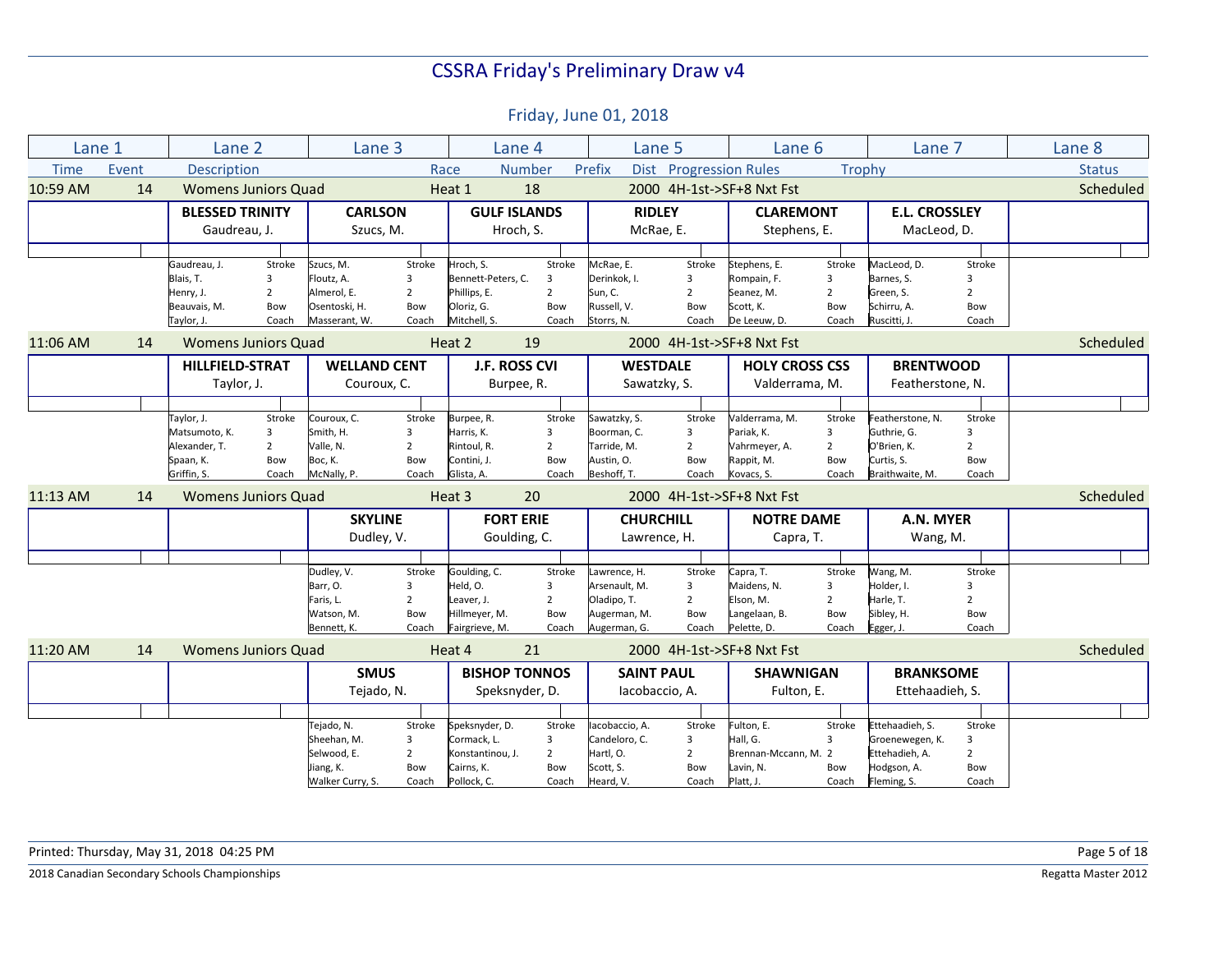| Lane 1<br>Lane <sub>3</sub><br>Lane 6<br>Lane 8<br>Lane 2<br>Lane 4<br>Lane 5<br>Lane 7<br><b>Time</b><br>Event<br><b>Description</b><br><b>Number</b><br>Prefix<br>Dist Progression Rules<br>Trophy<br><b>Status</b><br>Race<br>10:59 AM<br>14<br>18<br><b>Womens Juniors Quad</b><br>Heat 1<br>2000 4H-1st->SF+8 Nxt Fst<br><b>CARLSON</b><br><b>GULF ISLANDS</b><br><b>RIDLEY</b><br><b>E.L. CROSSLEY</b><br><b>BLESSED TRINITY</b><br><b>CLAREMONT</b><br>Gaudreau, J.<br>Hroch, S.<br>McRae, E.<br>MacLeod, D.<br>Szucs, M.<br>Stephens, E.<br>Stroke<br>Stroke<br>Hroch, S.<br>Stroke<br>McRae, E.<br>MacLeod, D.<br>Stroke<br>Gaudreau, J.<br>Szucs, M.<br>Stroke<br>Stephens, E.<br>Stroke<br>Blais, T.<br>Floutz, A.<br>Bennett-Peters, C.<br>Derinkok. I.<br>3<br>Rompain, F.<br>Barnes, S.<br>3<br>3<br>3<br>3<br>3<br>$\overline{2}$<br>Almerol, E.<br>$\overline{2}$<br>Phillips, E.<br>Sun, C.<br>$\overline{2}$<br>Green, S.<br>$\overline{2}$<br>Henry, J.<br>$\overline{2}$<br>Seanez, M.<br>$\overline{2}$<br>Osentoski, H.<br>Bow<br>Oloriz. G.<br>Bow<br>Russell, V.<br>Scott, K.<br>Bow<br>Schirru. A.<br>Beauvais, M.<br>Bow<br>Bow<br>Bow<br>Mitchell, S.<br>Taylor, J.<br>Coach<br>Masserant, W.<br>Coach<br>Coach<br>Storrs, N.<br>Coach<br>De Leeuw, D.<br>Coach<br>Ruscitti, J.<br>Coach<br>19<br>11:06 AM<br>Heat 2<br>2000 4H-1st->SF+8 Nxt Fst<br>14<br><b>Womens Juniors Quad</b><br><b>WELLAND CENT</b><br>J.F. ROSS CVI<br><b>WESTDALE</b><br><b>BRENTWOOD</b><br><b>HILLFIELD-STRAT</b><br><b>HOLY CROSS CSS</b><br>Couroux, C.<br>Sawatzky, S.<br>Valderrama, M.<br>Featherstone, N.<br>Taylor, J.<br>Burpee, R.<br>Stroke<br>Stroke<br>Couroux, C.<br>Stroke<br>Sawatzky, S.<br>Stroke<br>Valderrama, M.<br>Stroke<br>Featherstone, N.<br>Stroke<br>Taylor, J.<br>Burpee, R.<br>Smith, H.<br>Pariak, K.<br>Matsumoto, K.<br>3<br>Harris, K.<br>3<br>Boorman, C.<br>$\overline{3}$<br>3<br>Guthrie, G.<br>3<br>3<br>$\overline{2}$<br>Valle, N.<br>$\overline{2}$<br>$\overline{2}$<br>$\overline{2}$<br>$\overline{2}$<br>O'Brien, K.<br>$\overline{2}$<br>Alexander. T.<br>Rintoul, R.<br>Tarride, M.<br>Vahrmeyer, A.<br>Boc, K.<br>Contini, J.<br>Bow<br>Austin, O.<br>Bow<br>Curtis, S.<br>Bow<br>Spaan, K.<br>Bow<br>Bow<br>Rappit, M.<br>Bow<br>Griffin, S.<br>McNally, P.<br>Glista, A.<br>Beshoff, T.<br>Coach<br>Braithwaite, M.<br>Coach<br>Coach<br>Coach<br>Coach<br>Kovacs, S.<br>Coach<br>11:13 AM<br><b>Womens Juniors Quad</b><br>Heat 3<br>20<br>2000 4H-1st->SF+8 Nxt Fst<br>14<br><b>SKYLINE</b><br><b>FORT ERIE</b><br><b>NOTRE DAME</b><br>A.N. MYER<br><b>CHURCHILL</b><br>Dudley, V.<br>Goulding, C.<br>Lawrence, H.<br>Capra, T.<br>Wang, M.<br>Goulding, C.<br>Dudley, V.<br>Stroke<br>awrence, H.<br>Stroke<br>Capra, T.<br>Wang, M.<br>Stroke<br>Stroke<br>Stroke<br>Held, O.<br>Barr, O.<br>$\overline{3}$<br>Maidens, N.<br>Holder, I.<br>$\overline{3}$<br>3<br>3<br>Arsenault, M.<br>3<br>$\overline{2}$<br>$\overline{2}$<br>Faris, L.<br>$\overline{2}$<br>$\overline{2}$<br>Elson, M.<br>$\overline{2}$<br>Harle, T.<br>Leaver, J.<br>Oladipo, T.<br>Hillmeyer, M.<br>Langelaan, B.<br>Sibley, H.<br>Watson, M.<br>Bow<br>Bow<br>Augerman, M.<br>Bow<br>Bow<br>Bow<br>Coach<br>Fairgrieve, M.<br>Coach<br>Augerman, G.<br>Coach<br>Pelette, D.<br>Egger, J.<br>Coach<br>Bennett, K.<br>Coach<br>11:20 AM<br>14<br><b>Womens Juniors Quad</b><br>Heat 4<br>21<br>2000 4H-1st->SF+8 Nxt Fst<br><b>SMUS</b><br><b>BISHOP TONNOS</b><br><b>BRANKSOME</b><br><b>SAINT PAUL</b><br><b>SHAWNIGAN</b><br>Tejado, N.<br>Ettehaadieh, S.<br>Speksnyder, D.<br>lacobaccio, A.<br>Fulton, E.<br>Ettehaadieh, S.<br>Tejado, N.<br>Stroke<br>Speksnyder, D.<br>Stroke<br>lacobaccio. A.<br>Stroke<br>Fulton, E.<br>Stroke<br>Stroke<br>Cormack, L.<br>$\overline{3}$<br>Hall, G.<br>Sheehan, M.<br>Candeloro, C.<br>3<br>Groenewegen, K.<br>3<br>3<br>3<br>$\overline{2}$<br>$\overline{2}$<br>Brennan-Mccann, M. 2<br>Ettehadieh, A.<br>$\overline{2}$<br>Selwood, E.<br>Konstantinou, J.<br>$\overline{2}$<br>Hartl, O. | Scheduled<br>Scheduled<br>Scheduled<br>Scheduled<br>Bow<br>Scott, S.<br>Lavin, N.<br>Hodgson, A.<br>Jiang, K.<br>Bow<br>Cairns, K.<br>Bow<br>Bow<br>Bow |  |  |  |  |  |  |  |  |  |
|-----------------------------------------------------------------------------------------------------------------------------------------------------------------------------------------------------------------------------------------------------------------------------------------------------------------------------------------------------------------------------------------------------------------------------------------------------------------------------------------------------------------------------------------------------------------------------------------------------------------------------------------------------------------------------------------------------------------------------------------------------------------------------------------------------------------------------------------------------------------------------------------------------------------------------------------------------------------------------------------------------------------------------------------------------------------------------------------------------------------------------------------------------------------------------------------------------------------------------------------------------------------------------------------------------------------------------------------------------------------------------------------------------------------------------------------------------------------------------------------------------------------------------------------------------------------------------------------------------------------------------------------------------------------------------------------------------------------------------------------------------------------------------------------------------------------------------------------------------------------------------------------------------------------------------------------------------------------------------------------------------------------------------------------------------------------------------------------------------------------------------------------------------------------------------------------------------------------------------------------------------------------------------------------------------------------------------------------------------------------------------------------------------------------------------------------------------------------------------------------------------------------------------------------------------------------------------------------------------------------------------------------------------------------------------------------------------------------------------------------------------------------------------------------------------------------------------------------------------------------------------------------------------------------------------------------------------------------------------------------------------------------------------------------------------------------------------------------------------------------------------------------------------------------------------------------------------------------------------------------------------------------------------------------------------------------------------------------------------------------------------------------------------------------------------------------------------------------------------------------------------------------------------------------------------------------------------------------------------------------------------------------------------------------------------------------------------------------------------------------------------------------------------------------------------------------------------------------------------------------------------------------------------------------------------------------------------------------------------------------------------------------------------------------------------------------------------------|---------------------------------------------------------------------------------------------------------------------------------------------------------|--|--|--|--|--|--|--|--|--|
|                                                                                                                                                                                                                                                                                                                                                                                                                                                                                                                                                                                                                                                                                                                                                                                                                                                                                                                                                                                                                                                                                                                                                                                                                                                                                                                                                                                                                                                                                                                                                                                                                                                                                                                                                                                                                                                                                                                                                                                                                                                                                                                                                                                                                                                                                                                                                                                                                                                                                                                                                                                                                                                                                                                                                                                                                                                                                                                                                                                                                                                                                                                                                                                                                                                                                                                                                                                                                                                                                                                                                                                                                                                                                                                                                                                                                                                                                                                                                                                                                                                                                   |                                                                                                                                                         |  |  |  |  |  |  |  |  |  |
|                                                                                                                                                                                                                                                                                                                                                                                                                                                                                                                                                                                                                                                                                                                                                                                                                                                                                                                                                                                                                                                                                                                                                                                                                                                                                                                                                                                                                                                                                                                                                                                                                                                                                                                                                                                                                                                                                                                                                                                                                                                                                                                                                                                                                                                                                                                                                                                                                                                                                                                                                                                                                                                                                                                                                                                                                                                                                                                                                                                                                                                                                                                                                                                                                                                                                                                                                                                                                                                                                                                                                                                                                                                                                                                                                                                                                                                                                                                                                                                                                                                                                   |                                                                                                                                                         |  |  |  |  |  |  |  |  |  |
|                                                                                                                                                                                                                                                                                                                                                                                                                                                                                                                                                                                                                                                                                                                                                                                                                                                                                                                                                                                                                                                                                                                                                                                                                                                                                                                                                                                                                                                                                                                                                                                                                                                                                                                                                                                                                                                                                                                                                                                                                                                                                                                                                                                                                                                                                                                                                                                                                                                                                                                                                                                                                                                                                                                                                                                                                                                                                                                                                                                                                                                                                                                                                                                                                                                                                                                                                                                                                                                                                                                                                                                                                                                                                                                                                                                                                                                                                                                                                                                                                                                                                   |                                                                                                                                                         |  |  |  |  |  |  |  |  |  |
|                                                                                                                                                                                                                                                                                                                                                                                                                                                                                                                                                                                                                                                                                                                                                                                                                                                                                                                                                                                                                                                                                                                                                                                                                                                                                                                                                                                                                                                                                                                                                                                                                                                                                                                                                                                                                                                                                                                                                                                                                                                                                                                                                                                                                                                                                                                                                                                                                                                                                                                                                                                                                                                                                                                                                                                                                                                                                                                                                                                                                                                                                                                                                                                                                                                                                                                                                                                                                                                                                                                                                                                                                                                                                                                                                                                                                                                                                                                                                                                                                                                                                   |                                                                                                                                                         |  |  |  |  |  |  |  |  |  |
|                                                                                                                                                                                                                                                                                                                                                                                                                                                                                                                                                                                                                                                                                                                                                                                                                                                                                                                                                                                                                                                                                                                                                                                                                                                                                                                                                                                                                                                                                                                                                                                                                                                                                                                                                                                                                                                                                                                                                                                                                                                                                                                                                                                                                                                                                                                                                                                                                                                                                                                                                                                                                                                                                                                                                                                                                                                                                                                                                                                                                                                                                                                                                                                                                                                                                                                                                                                                                                                                                                                                                                                                                                                                                                                                                                                                                                                                                                                                                                                                                                                                                   |                                                                                                                                                         |  |  |  |  |  |  |  |  |  |
|                                                                                                                                                                                                                                                                                                                                                                                                                                                                                                                                                                                                                                                                                                                                                                                                                                                                                                                                                                                                                                                                                                                                                                                                                                                                                                                                                                                                                                                                                                                                                                                                                                                                                                                                                                                                                                                                                                                                                                                                                                                                                                                                                                                                                                                                                                                                                                                                                                                                                                                                                                                                                                                                                                                                                                                                                                                                                                                                                                                                                                                                                                                                                                                                                                                                                                                                                                                                                                                                                                                                                                                                                                                                                                                                                                                                                                                                                                                                                                                                                                                                                   |                                                                                                                                                         |  |  |  |  |  |  |  |  |  |
|                                                                                                                                                                                                                                                                                                                                                                                                                                                                                                                                                                                                                                                                                                                                                                                                                                                                                                                                                                                                                                                                                                                                                                                                                                                                                                                                                                                                                                                                                                                                                                                                                                                                                                                                                                                                                                                                                                                                                                                                                                                                                                                                                                                                                                                                                                                                                                                                                                                                                                                                                                                                                                                                                                                                                                                                                                                                                                                                                                                                                                                                                                                                                                                                                                                                                                                                                                                                                                                                                                                                                                                                                                                                                                                                                                                                                                                                                                                                                                                                                                                                                   |                                                                                                                                                         |  |  |  |  |  |  |  |  |  |
|                                                                                                                                                                                                                                                                                                                                                                                                                                                                                                                                                                                                                                                                                                                                                                                                                                                                                                                                                                                                                                                                                                                                                                                                                                                                                                                                                                                                                                                                                                                                                                                                                                                                                                                                                                                                                                                                                                                                                                                                                                                                                                                                                                                                                                                                                                                                                                                                                                                                                                                                                                                                                                                                                                                                                                                                                                                                                                                                                                                                                                                                                                                                                                                                                                                                                                                                                                                                                                                                                                                                                                                                                                                                                                                                                                                                                                                                                                                                                                                                                                                                                   |                                                                                                                                                         |  |  |  |  |  |  |  |  |  |
|                                                                                                                                                                                                                                                                                                                                                                                                                                                                                                                                                                                                                                                                                                                                                                                                                                                                                                                                                                                                                                                                                                                                                                                                                                                                                                                                                                                                                                                                                                                                                                                                                                                                                                                                                                                                                                                                                                                                                                                                                                                                                                                                                                                                                                                                                                                                                                                                                                                                                                                                                                                                                                                                                                                                                                                                                                                                                                                                                                                                                                                                                                                                                                                                                                                                                                                                                                                                                                                                                                                                                                                                                                                                                                                                                                                                                                                                                                                                                                                                                                                                                   |                                                                                                                                                         |  |  |  |  |  |  |  |  |  |
|                                                                                                                                                                                                                                                                                                                                                                                                                                                                                                                                                                                                                                                                                                                                                                                                                                                                                                                                                                                                                                                                                                                                                                                                                                                                                                                                                                                                                                                                                                                                                                                                                                                                                                                                                                                                                                                                                                                                                                                                                                                                                                                                                                                                                                                                                                                                                                                                                                                                                                                                                                                                                                                                                                                                                                                                                                                                                                                                                                                                                                                                                                                                                                                                                                                                                                                                                                                                                                                                                                                                                                                                                                                                                                                                                                                                                                                                                                                                                                                                                                                                                   |                                                                                                                                                         |  |  |  |  |  |  |  |  |  |
|                                                                                                                                                                                                                                                                                                                                                                                                                                                                                                                                                                                                                                                                                                                                                                                                                                                                                                                                                                                                                                                                                                                                                                                                                                                                                                                                                                                                                                                                                                                                                                                                                                                                                                                                                                                                                                                                                                                                                                                                                                                                                                                                                                                                                                                                                                                                                                                                                                                                                                                                                                                                                                                                                                                                                                                                                                                                                                                                                                                                                                                                                                                                                                                                                                                                                                                                                                                                                                                                                                                                                                                                                                                                                                                                                                                                                                                                                                                                                                                                                                                                                   |                                                                                                                                                         |  |  |  |  |  |  |  |  |  |
|                                                                                                                                                                                                                                                                                                                                                                                                                                                                                                                                                                                                                                                                                                                                                                                                                                                                                                                                                                                                                                                                                                                                                                                                                                                                                                                                                                                                                                                                                                                                                                                                                                                                                                                                                                                                                                                                                                                                                                                                                                                                                                                                                                                                                                                                                                                                                                                                                                                                                                                                                                                                                                                                                                                                                                                                                                                                                                                                                                                                                                                                                                                                                                                                                                                                                                                                                                                                                                                                                                                                                                                                                                                                                                                                                                                                                                                                                                                                                                                                                                                                                   |                                                                                                                                                         |  |  |  |  |  |  |  |  |  |
|                                                                                                                                                                                                                                                                                                                                                                                                                                                                                                                                                                                                                                                                                                                                                                                                                                                                                                                                                                                                                                                                                                                                                                                                                                                                                                                                                                                                                                                                                                                                                                                                                                                                                                                                                                                                                                                                                                                                                                                                                                                                                                                                                                                                                                                                                                                                                                                                                                                                                                                                                                                                                                                                                                                                                                                                                                                                                                                                                                                                                                                                                                                                                                                                                                                                                                                                                                                                                                                                                                                                                                                                                                                                                                                                                                                                                                                                                                                                                                                                                                                                                   |                                                                                                                                                         |  |  |  |  |  |  |  |  |  |
|                                                                                                                                                                                                                                                                                                                                                                                                                                                                                                                                                                                                                                                                                                                                                                                                                                                                                                                                                                                                                                                                                                                                                                                                                                                                                                                                                                                                                                                                                                                                                                                                                                                                                                                                                                                                                                                                                                                                                                                                                                                                                                                                                                                                                                                                                                                                                                                                                                                                                                                                                                                                                                                                                                                                                                                                                                                                                                                                                                                                                                                                                                                                                                                                                                                                                                                                                                                                                                                                                                                                                                                                                                                                                                                                                                                                                                                                                                                                                                                                                                                                                   |                                                                                                                                                         |  |  |  |  |  |  |  |  |  |
|                                                                                                                                                                                                                                                                                                                                                                                                                                                                                                                                                                                                                                                                                                                                                                                                                                                                                                                                                                                                                                                                                                                                                                                                                                                                                                                                                                                                                                                                                                                                                                                                                                                                                                                                                                                                                                                                                                                                                                                                                                                                                                                                                                                                                                                                                                                                                                                                                                                                                                                                                                                                                                                                                                                                                                                                                                                                                                                                                                                                                                                                                                                                                                                                                                                                                                                                                                                                                                                                                                                                                                                                                                                                                                                                                                                                                                                                                                                                                                                                                                                                                   |                                                                                                                                                         |  |  |  |  |  |  |  |  |  |
|                                                                                                                                                                                                                                                                                                                                                                                                                                                                                                                                                                                                                                                                                                                                                                                                                                                                                                                                                                                                                                                                                                                                                                                                                                                                                                                                                                                                                                                                                                                                                                                                                                                                                                                                                                                                                                                                                                                                                                                                                                                                                                                                                                                                                                                                                                                                                                                                                                                                                                                                                                                                                                                                                                                                                                                                                                                                                                                                                                                                                                                                                                                                                                                                                                                                                                                                                                                                                                                                                                                                                                                                                                                                                                                                                                                                                                                                                                                                                                                                                                                                                   |                                                                                                                                                         |  |  |  |  |  |  |  |  |  |
|                                                                                                                                                                                                                                                                                                                                                                                                                                                                                                                                                                                                                                                                                                                                                                                                                                                                                                                                                                                                                                                                                                                                                                                                                                                                                                                                                                                                                                                                                                                                                                                                                                                                                                                                                                                                                                                                                                                                                                                                                                                                                                                                                                                                                                                                                                                                                                                                                                                                                                                                                                                                                                                                                                                                                                                                                                                                                                                                                                                                                                                                                                                                                                                                                                                                                                                                                                                                                                                                                                                                                                                                                                                                                                                                                                                                                                                                                                                                                                                                                                                                                   |                                                                                                                                                         |  |  |  |  |  |  |  |  |  |
|                                                                                                                                                                                                                                                                                                                                                                                                                                                                                                                                                                                                                                                                                                                                                                                                                                                                                                                                                                                                                                                                                                                                                                                                                                                                                                                                                                                                                                                                                                                                                                                                                                                                                                                                                                                                                                                                                                                                                                                                                                                                                                                                                                                                                                                                                                                                                                                                                                                                                                                                                                                                                                                                                                                                                                                                                                                                                                                                                                                                                                                                                                                                                                                                                                                                                                                                                                                                                                                                                                                                                                                                                                                                                                                                                                                                                                                                                                                                                                                                                                                                                   |                                                                                                                                                         |  |  |  |  |  |  |  |  |  |
|                                                                                                                                                                                                                                                                                                                                                                                                                                                                                                                                                                                                                                                                                                                                                                                                                                                                                                                                                                                                                                                                                                                                                                                                                                                                                                                                                                                                                                                                                                                                                                                                                                                                                                                                                                                                                                                                                                                                                                                                                                                                                                                                                                                                                                                                                                                                                                                                                                                                                                                                                                                                                                                                                                                                                                                                                                                                                                                                                                                                                                                                                                                                                                                                                                                                                                                                                                                                                                                                                                                                                                                                                                                                                                                                                                                                                                                                                                                                                                                                                                                                                   |                                                                                                                                                         |  |  |  |  |  |  |  |  |  |
|                                                                                                                                                                                                                                                                                                                                                                                                                                                                                                                                                                                                                                                                                                                                                                                                                                                                                                                                                                                                                                                                                                                                                                                                                                                                                                                                                                                                                                                                                                                                                                                                                                                                                                                                                                                                                                                                                                                                                                                                                                                                                                                                                                                                                                                                                                                                                                                                                                                                                                                                                                                                                                                                                                                                                                                                                                                                                                                                                                                                                                                                                                                                                                                                                                                                                                                                                                                                                                                                                                                                                                                                                                                                                                                                                                                                                                                                                                                                                                                                                                                                                   |                                                                                                                                                         |  |  |  |  |  |  |  |  |  |
|                                                                                                                                                                                                                                                                                                                                                                                                                                                                                                                                                                                                                                                                                                                                                                                                                                                                                                                                                                                                                                                                                                                                                                                                                                                                                                                                                                                                                                                                                                                                                                                                                                                                                                                                                                                                                                                                                                                                                                                                                                                                                                                                                                                                                                                                                                                                                                                                                                                                                                                                                                                                                                                                                                                                                                                                                                                                                                                                                                                                                                                                                                                                                                                                                                                                                                                                                                                                                                                                                                                                                                                                                                                                                                                                                                                                                                                                                                                                                                                                                                                                                   |                                                                                                                                                         |  |  |  |  |  |  |  |  |  |
|                                                                                                                                                                                                                                                                                                                                                                                                                                                                                                                                                                                                                                                                                                                                                                                                                                                                                                                                                                                                                                                                                                                                                                                                                                                                                                                                                                                                                                                                                                                                                                                                                                                                                                                                                                                                                                                                                                                                                                                                                                                                                                                                                                                                                                                                                                                                                                                                                                                                                                                                                                                                                                                                                                                                                                                                                                                                                                                                                                                                                                                                                                                                                                                                                                                                                                                                                                                                                                                                                                                                                                                                                                                                                                                                                                                                                                                                                                                                                                                                                                                                                   |                                                                                                                                                         |  |  |  |  |  |  |  |  |  |
|                                                                                                                                                                                                                                                                                                                                                                                                                                                                                                                                                                                                                                                                                                                                                                                                                                                                                                                                                                                                                                                                                                                                                                                                                                                                                                                                                                                                                                                                                                                                                                                                                                                                                                                                                                                                                                                                                                                                                                                                                                                                                                                                                                                                                                                                                                                                                                                                                                                                                                                                                                                                                                                                                                                                                                                                                                                                                                                                                                                                                                                                                                                                                                                                                                                                                                                                                                                                                                                                                                                                                                                                                                                                                                                                                                                                                                                                                                                                                                                                                                                                                   |                                                                                                                                                         |  |  |  |  |  |  |  |  |  |
|                                                                                                                                                                                                                                                                                                                                                                                                                                                                                                                                                                                                                                                                                                                                                                                                                                                                                                                                                                                                                                                                                                                                                                                                                                                                                                                                                                                                                                                                                                                                                                                                                                                                                                                                                                                                                                                                                                                                                                                                                                                                                                                                                                                                                                                                                                                                                                                                                                                                                                                                                                                                                                                                                                                                                                                                                                                                                                                                                                                                                                                                                                                                                                                                                                                                                                                                                                                                                                                                                                                                                                                                                                                                                                                                                                                                                                                                                                                                                                                                                                                                                   |                                                                                                                                                         |  |  |  |  |  |  |  |  |  |
|                                                                                                                                                                                                                                                                                                                                                                                                                                                                                                                                                                                                                                                                                                                                                                                                                                                                                                                                                                                                                                                                                                                                                                                                                                                                                                                                                                                                                                                                                                                                                                                                                                                                                                                                                                                                                                                                                                                                                                                                                                                                                                                                                                                                                                                                                                                                                                                                                                                                                                                                                                                                                                                                                                                                                                                                                                                                                                                                                                                                                                                                                                                                                                                                                                                                                                                                                                                                                                                                                                                                                                                                                                                                                                                                                                                                                                                                                                                                                                                                                                                                                   |                                                                                                                                                         |  |  |  |  |  |  |  |  |  |
|                                                                                                                                                                                                                                                                                                                                                                                                                                                                                                                                                                                                                                                                                                                                                                                                                                                                                                                                                                                                                                                                                                                                                                                                                                                                                                                                                                                                                                                                                                                                                                                                                                                                                                                                                                                                                                                                                                                                                                                                                                                                                                                                                                                                                                                                                                                                                                                                                                                                                                                                                                                                                                                                                                                                                                                                                                                                                                                                                                                                                                                                                                                                                                                                                                                                                                                                                                                                                                                                                                                                                                                                                                                                                                                                                                                                                                                                                                                                                                                                                                                                                   |                                                                                                                                                         |  |  |  |  |  |  |  |  |  |
|                                                                                                                                                                                                                                                                                                                                                                                                                                                                                                                                                                                                                                                                                                                                                                                                                                                                                                                                                                                                                                                                                                                                                                                                                                                                                                                                                                                                                                                                                                                                                                                                                                                                                                                                                                                                                                                                                                                                                                                                                                                                                                                                                                                                                                                                                                                                                                                                                                                                                                                                                                                                                                                                                                                                                                                                                                                                                                                                                                                                                                                                                                                                                                                                                                                                                                                                                                                                                                                                                                                                                                                                                                                                                                                                                                                                                                                                                                                                                                                                                                                                                   |                                                                                                                                                         |  |  |  |  |  |  |  |  |  |
|                                                                                                                                                                                                                                                                                                                                                                                                                                                                                                                                                                                                                                                                                                                                                                                                                                                                                                                                                                                                                                                                                                                                                                                                                                                                                                                                                                                                                                                                                                                                                                                                                                                                                                                                                                                                                                                                                                                                                                                                                                                                                                                                                                                                                                                                                                                                                                                                                                                                                                                                                                                                                                                                                                                                                                                                                                                                                                                                                                                                                                                                                                                                                                                                                                                                                                                                                                                                                                                                                                                                                                                                                                                                                                                                                                                                                                                                                                                                                                                                                                                                                   |                                                                                                                                                         |  |  |  |  |  |  |  |  |  |
|                                                                                                                                                                                                                                                                                                                                                                                                                                                                                                                                                                                                                                                                                                                                                                                                                                                                                                                                                                                                                                                                                                                                                                                                                                                                                                                                                                                                                                                                                                                                                                                                                                                                                                                                                                                                                                                                                                                                                                                                                                                                                                                                                                                                                                                                                                                                                                                                                                                                                                                                                                                                                                                                                                                                                                                                                                                                                                                                                                                                                                                                                                                                                                                                                                                                                                                                                                                                                                                                                                                                                                                                                                                                                                                                                                                                                                                                                                                                                                                                                                                                                   |                                                                                                                                                         |  |  |  |  |  |  |  |  |  |
|                                                                                                                                                                                                                                                                                                                                                                                                                                                                                                                                                                                                                                                                                                                                                                                                                                                                                                                                                                                                                                                                                                                                                                                                                                                                                                                                                                                                                                                                                                                                                                                                                                                                                                                                                                                                                                                                                                                                                                                                                                                                                                                                                                                                                                                                                                                                                                                                                                                                                                                                                                                                                                                                                                                                                                                                                                                                                                                                                                                                                                                                                                                                                                                                                                                                                                                                                                                                                                                                                                                                                                                                                                                                                                                                                                                                                                                                                                                                                                                                                                                                                   |                                                                                                                                                         |  |  |  |  |  |  |  |  |  |
|                                                                                                                                                                                                                                                                                                                                                                                                                                                                                                                                                                                                                                                                                                                                                                                                                                                                                                                                                                                                                                                                                                                                                                                                                                                                                                                                                                                                                                                                                                                                                                                                                                                                                                                                                                                                                                                                                                                                                                                                                                                                                                                                                                                                                                                                                                                                                                                                                                                                                                                                                                                                                                                                                                                                                                                                                                                                                                                                                                                                                                                                                                                                                                                                                                                                                                                                                                                                                                                                                                                                                                                                                                                                                                                                                                                                                                                                                                                                                                                                                                                                                   |                                                                                                                                                         |  |  |  |  |  |  |  |  |  |
|                                                                                                                                                                                                                                                                                                                                                                                                                                                                                                                                                                                                                                                                                                                                                                                                                                                                                                                                                                                                                                                                                                                                                                                                                                                                                                                                                                                                                                                                                                                                                                                                                                                                                                                                                                                                                                                                                                                                                                                                                                                                                                                                                                                                                                                                                                                                                                                                                                                                                                                                                                                                                                                                                                                                                                                                                                                                                                                                                                                                                                                                                                                                                                                                                                                                                                                                                                                                                                                                                                                                                                                                                                                                                                                                                                                                                                                                                                                                                                                                                                                                                   |                                                                                                                                                         |  |  |  |  |  |  |  |  |  |
|                                                                                                                                                                                                                                                                                                                                                                                                                                                                                                                                                                                                                                                                                                                                                                                                                                                                                                                                                                                                                                                                                                                                                                                                                                                                                                                                                                                                                                                                                                                                                                                                                                                                                                                                                                                                                                                                                                                                                                                                                                                                                                                                                                                                                                                                                                                                                                                                                                                                                                                                                                                                                                                                                                                                                                                                                                                                                                                                                                                                                                                                                                                                                                                                                                                                                                                                                                                                                                                                                                                                                                                                                                                                                                                                                                                                                                                                                                                                                                                                                                                                                   |                                                                                                                                                         |  |  |  |  |  |  |  |  |  |
|                                                                                                                                                                                                                                                                                                                                                                                                                                                                                                                                                                                                                                                                                                                                                                                                                                                                                                                                                                                                                                                                                                                                                                                                                                                                                                                                                                                                                                                                                                                                                                                                                                                                                                                                                                                                                                                                                                                                                                                                                                                                                                                                                                                                                                                                                                                                                                                                                                                                                                                                                                                                                                                                                                                                                                                                                                                                                                                                                                                                                                                                                                                                                                                                                                                                                                                                                                                                                                                                                                                                                                                                                                                                                                                                                                                                                                                                                                                                                                                                                                                                                   |                                                                                                                                                         |  |  |  |  |  |  |  |  |  |
|                                                                                                                                                                                                                                                                                                                                                                                                                                                                                                                                                                                                                                                                                                                                                                                                                                                                                                                                                                                                                                                                                                                                                                                                                                                                                                                                                                                                                                                                                                                                                                                                                                                                                                                                                                                                                                                                                                                                                                                                                                                                                                                                                                                                                                                                                                                                                                                                                                                                                                                                                                                                                                                                                                                                                                                                                                                                                                                                                                                                                                                                                                                                                                                                                                                                                                                                                                                                                                                                                                                                                                                                                                                                                                                                                                                                                                                                                                                                                                                                                                                                                   |                                                                                                                                                         |  |  |  |  |  |  |  |  |  |
|                                                                                                                                                                                                                                                                                                                                                                                                                                                                                                                                                                                                                                                                                                                                                                                                                                                                                                                                                                                                                                                                                                                                                                                                                                                                                                                                                                                                                                                                                                                                                                                                                                                                                                                                                                                                                                                                                                                                                                                                                                                                                                                                                                                                                                                                                                                                                                                                                                                                                                                                                                                                                                                                                                                                                                                                                                                                                                                                                                                                                                                                                                                                                                                                                                                                                                                                                                                                                                                                                                                                                                                                                                                                                                                                                                                                                                                                                                                                                                                                                                                                                   |                                                                                                                                                         |  |  |  |  |  |  |  |  |  |
|                                                                                                                                                                                                                                                                                                                                                                                                                                                                                                                                                                                                                                                                                                                                                                                                                                                                                                                                                                                                                                                                                                                                                                                                                                                                                                                                                                                                                                                                                                                                                                                                                                                                                                                                                                                                                                                                                                                                                                                                                                                                                                                                                                                                                                                                                                                                                                                                                                                                                                                                                                                                                                                                                                                                                                                                                                                                                                                                                                                                                                                                                                                                                                                                                                                                                                                                                                                                                                                                                                                                                                                                                                                                                                                                                                                                                                                                                                                                                                                                                                                                                   |                                                                                                                                                         |  |  |  |  |  |  |  |  |  |
|                                                                                                                                                                                                                                                                                                                                                                                                                                                                                                                                                                                                                                                                                                                                                                                                                                                                                                                                                                                                                                                                                                                                                                                                                                                                                                                                                                                                                                                                                                                                                                                                                                                                                                                                                                                                                                                                                                                                                                                                                                                                                                                                                                                                                                                                                                                                                                                                                                                                                                                                                                                                                                                                                                                                                                                                                                                                                                                                                                                                                                                                                                                                                                                                                                                                                                                                                                                                                                                                                                                                                                                                                                                                                                                                                                                                                                                                                                                                                                                                                                                                                   |                                                                                                                                                         |  |  |  |  |  |  |  |  |  |
| Pollock, C.<br>Walker Curry, S.<br>Heard, V.<br>Platt, J.<br>Fleming, S.<br>Coach<br>Coach<br>Coach<br>Coach<br>Coach                                                                                                                                                                                                                                                                                                                                                                                                                                                                                                                                                                                                                                                                                                                                                                                                                                                                                                                                                                                                                                                                                                                                                                                                                                                                                                                                                                                                                                                                                                                                                                                                                                                                                                                                                                                                                                                                                                                                                                                                                                                                                                                                                                                                                                                                                                                                                                                                                                                                                                                                                                                                                                                                                                                                                                                                                                                                                                                                                                                                                                                                                                                                                                                                                                                                                                                                                                                                                                                                                                                                                                                                                                                                                                                                                                                                                                                                                                                                                             |                                                                                                                                                         |  |  |  |  |  |  |  |  |  |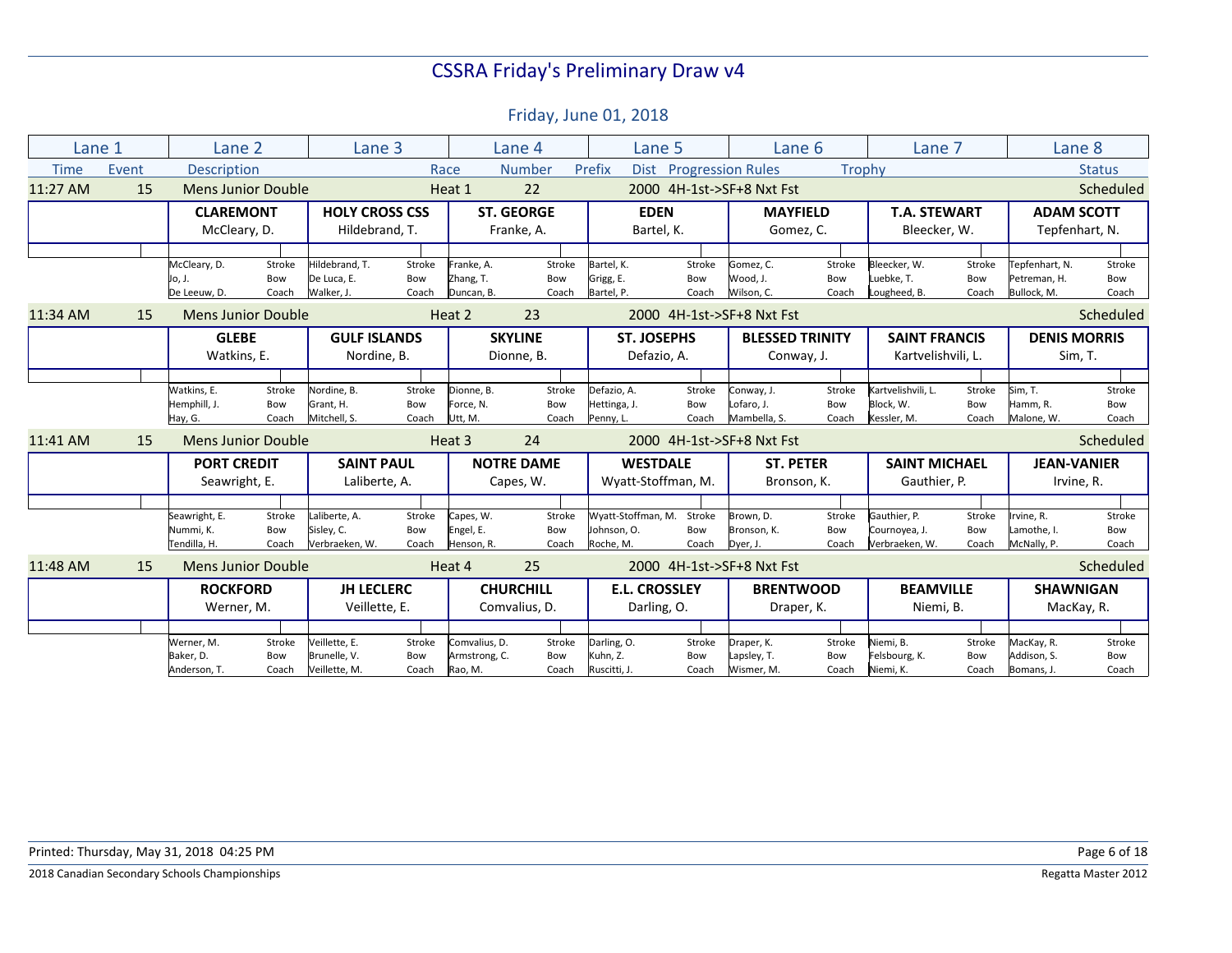| Lane 1      |       | Lane 2                    |        | Lane 3                |        |               | Lane 4            | Lane 5               |                        | Lane 6                    |        | Lane 7               |        | Lane 8              |               |
|-------------|-------|---------------------------|--------|-----------------------|--------|---------------|-------------------|----------------------|------------------------|---------------------------|--------|----------------------|--------|---------------------|---------------|
| <b>Time</b> | Event | <b>Description</b>        |        |                       | Race   |               | <b>Number</b>     | Prefix               | Dist Progression Rules |                           | Trophy |                      |        |                     | <b>Status</b> |
| 11:27 AM    | 15    | Mens Junior Double        |        |                       |        | Heat 1        | 22                |                      |                        | 2000 4H-1st->SF+8 Nxt Fst |        |                      |        |                     | Scheduled     |
|             |       | <b>CLAREMONT</b>          |        | <b>HOLY CROSS CSS</b> |        |               | <b>ST. GEORGE</b> | <b>EDEN</b>          |                        | <b>MAYFIELD</b>           |        | <b>T.A. STEWART</b>  |        | <b>ADAM SCOTT</b>   |               |
|             |       | McCleary, D.              |        | Hildebrand, T.        |        |               | Franke, A.        | Bartel, K.           |                        | Gomez, C.                 |        | Bleecker, W.         |        | Tepfenhart, N.      |               |
|             |       |                           |        |                       |        |               |                   |                      |                        |                           |        |                      |        |                     |               |
|             |       | McCleary, D.              | Stroke | Hildebrand. T.        | Stroke | Franke, A.    | Stroke            | Bartel. K.           | Stroke                 | Gomez. C.                 | Stroke | Bleecker, W.         | Stroke | Tepfenhart, N.      | Stroke        |
|             |       | Jo, J.                    | Bow    | De Luca, E.           | Bow    | Zhang, T.     | Bow               | Grigg, E.            | Bow                    | Wood, J.                  | Bow    | Luebke, T.           | Bow    | Petreman, H.        | Bow           |
|             |       | De Leeuw, D.              | Coach  | Walker. J.            | Coach  | Duncan, B.    | Coach             | Bartel, P.           | Coach                  | Wilson, C.                | Coach  | Lougheed, B.         | Coach  | Bullock, M.         | Coach         |
| 11:34 AM    | 15    | Mens Junior Double        |        |                       |        | Heat 2        | 23                |                      |                        | 2000 4H-1st->SF+8 Nxt Fst |        |                      |        |                     | Scheduled     |
|             |       | <b>GLEBE</b>              |        | <b>GULF ISLANDS</b>   |        |               | <b>SKYLINE</b>    | <b>ST. JOSEPHS</b>   |                        | <b>BLESSED TRINITY</b>    |        | <b>SAINT FRANCIS</b> |        | <b>DENIS MORRIS</b> |               |
|             |       | Watkins, E.               |        | Nordine, B.           |        |               | Dionne, B.        | Defazio, A.          |                        | Conway, J.                |        | Kartvelishvili, L.   |        | Sim, T.             |               |
|             |       |                           |        |                       |        |               |                   |                      |                        |                           |        |                      |        |                     |               |
|             |       | Watkins, E.               | Stroke | Nordine, B.           | Stroke | Dionne, B.    | Stroke            | Defazio, A.          | Stroke                 | Conway, J.                | Stroke | Kartvelishvili, L.   | Stroke | Sim, T.             | Stroke        |
|             |       | Hemphill, J.              | Bow    | Grant. H.             | Bow    | Force, N.     | Bow               | Hettinga, J.         | Bow                    | Lofaro, J.                | Bow    | Block. W.            | Bow    | Hamm, R.            | Bow           |
|             |       | Hay, G.                   | Coach  | Mitchell. S.          | Coach  | Utt, M.       | Coach             | Penny, L.            | Coach                  | Mambella, S.              | Coach  | Kessler, M.          | Coach  | Malone, W.          | Coach         |
| 11:41 AM    | 15    | <b>Mens Junior Double</b> |        |                       |        | Heat 3        | 24                |                      |                        | 2000 4H-1st->SF+8 Nxt Fst |        |                      |        |                     | Scheduled     |
|             |       | <b>PORT CREDIT</b>        |        | <b>SAINT PAUL</b>     |        |               | <b>NOTRE DAME</b> | <b>WESTDALE</b>      |                        | <b>ST. PETER</b>          |        | <b>SAINT MICHAEL</b> |        | <b>JEAN-VANIER</b>  |               |
|             |       | Seawright, E.             |        | Laliberte, A.         |        |               | Capes, W.         | Wyatt-Stoffman, M.   |                        | Bronson, K.               |        | Gauthier, P.         |        | Irvine, R.          |               |
|             |       |                           |        |                       |        |               |                   |                      |                        |                           |        |                      |        |                     |               |
|             |       | Seawright, E.             | Stroke | Laliberte, A.         | Stroke | Capes, W.     | Stroke            | Wyatt-Stoffman, M.   | Stroke                 | Brown, D.                 | Stroke | Gauthier, P.         | Stroke | Irvine, R.          | Stroke        |
|             |       | Nummi, K.                 | Bow    | Sisley, C.            | Bow    | Engel, E.     | Bow               | Johnson, O.          | Bow                    | Bronson, K.               | Bow    | Cournoyea, J.        | Bow    | Lamothe, I.         | Bow           |
|             |       | Tendilla, H.              | Coach  | Verbraeken, W.        | Coach  | Henson, R.    | Coach             | Roche, M.            | Coach                  | Dyer, J.                  | Coach  | Verbraeken, W.       | Coach  | McNally, P.         | Coach         |
| 11:48 AM    | 15    | <b>Mens Junior Double</b> |        |                       |        | Heat 4        | 25                |                      |                        | 2000 4H-1st->SF+8 Nxt Fst |        |                      |        |                     | Scheduled     |
|             |       | <b>ROCKFORD</b>           |        | <b>JH LECLERC</b>     |        |               | <b>CHURCHILL</b>  | <b>E.L. CROSSLEY</b> |                        | <b>BRENTWOOD</b>          |        | <b>BEAMVILLE</b>     |        | <b>SHAWNIGAN</b>    |               |
|             |       | Werner, M.                |        | Veillette, E.         |        |               | Comvalius, D.     | Darling, O.          |                        | Draper, K.                |        | Niemi, B.            |        | MacKay, R.          |               |
|             |       |                           |        |                       |        |               |                   |                      |                        |                           |        |                      |        |                     |               |
|             |       | Werner, M.                | Stroke | Veillette, E.         | Stroke | Comvalius, D. | Stroke            | Darling, O.          | Stroke                 | Draper, K.                | Stroke | Niemi, B.            | Stroke | MacKay, R.          | Stroke        |
|             |       | Baker, D.                 | Bow    | Brunelle, V.          | Bow    | Armstrong, C. | Bow               | Kuhn. Z.             | Bow                    | Lapsley, T.               | Bow    | Felsbourg, K.        | Bow    | Addison, S.         | Bow           |
|             |       | Anderson, T.              | Coach  | Veillette, M.         | Coach  | Rao, M.       | Coach             | Ruscitti, J.         | Coach                  | Wismer, M.                | Coach  | Niemi, K.            | Coach  | Bomans, J.          | Coach         |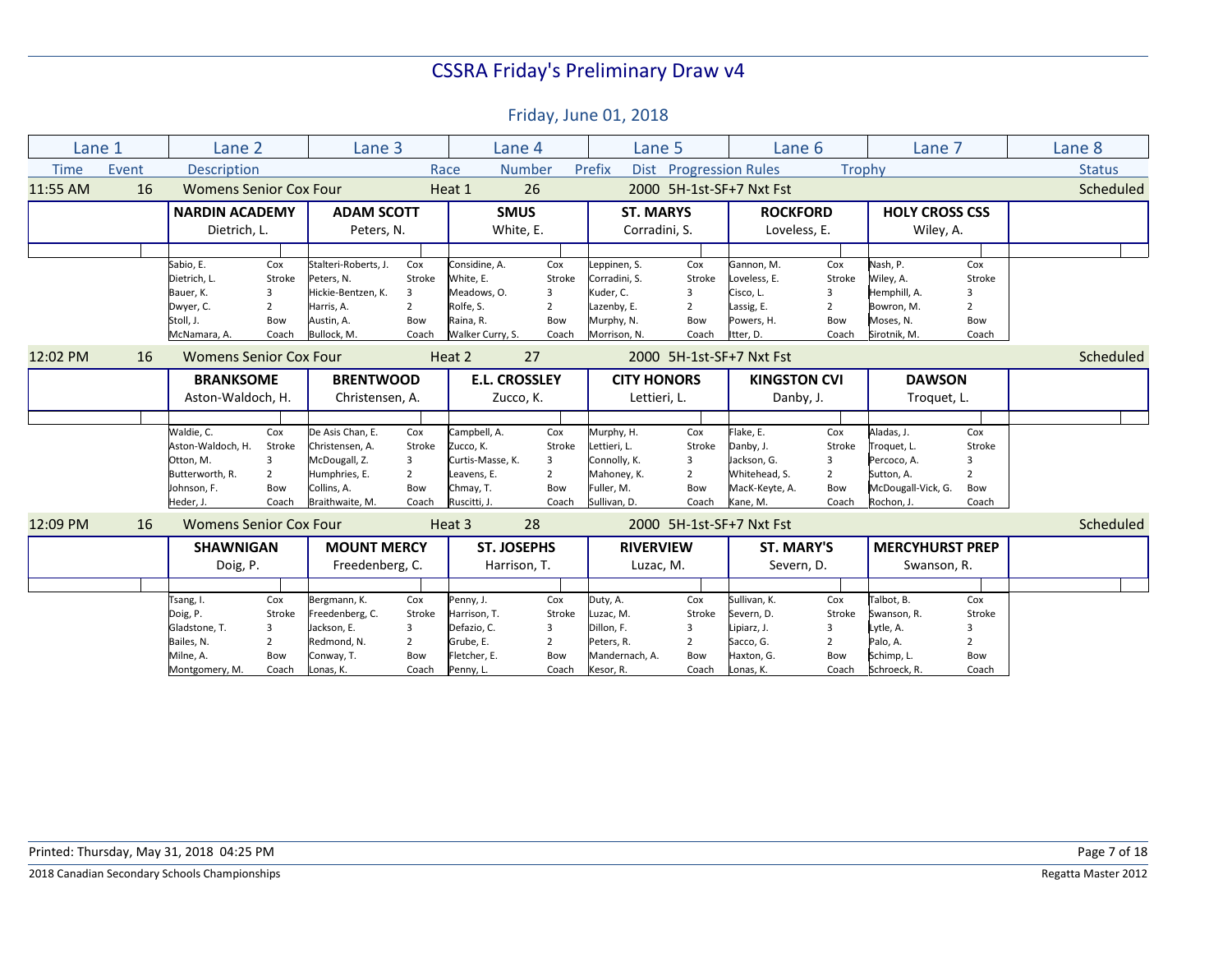Time Event Description The Race Number Prefix Dist Progression Rules Trophy Status Status Lane 1 Lane 2 Lane 3 Lane 4 Lane 5 Lane 6 Lane 7 Lane 8 11:55 AM 16 Womens Senior Cox Four Heat 1 26 2000 5H-1st-SF+7 Nxt Fst Scheduled **NARDIN ACADEMY**  Dietrich, L. Sabio, E. Cox<br>Dietrich, L. Stroke Dietrich, L. Bauer, K. 3<br>Dwyer, C. 3 Dwyer, C. 2<br>Stoll, J. 2 Bow Stoll, J. Bow<br>McNamara, A. Coach McNamara, A. **ADAM SCOTT**  Peters, N. Stalteri-Roberts, J. Cox Peters, N. Stroke Hickie-Bentzen, K. 3 Harris, A. 2 Austin, A. Bow Bullock, M. **SMUS**  White, E. Considine, A. Cox<br>White, E. Stroke White, E. Meadows, O. 3 Rolfe, S. 2 Raina, R. Bow<br>Walker Curry. S. Coach Walker Curry, S. **ST. MARYS**  Corradini, S. Leppinen, S. Cox<br>Corradini, S. Stroke Corradini, S. Kuder, C. 3 Lazenby, E. 2<br>Murphy, N. 2000 Murphy, N. Bow<br>Morrison, N. Coach Morrison, N. **ROCKFORD**  Loveless, E. Gannon, M. Cox<br>Loveless, E. Stroke Loveless, E. Cisco, L. 3 Lassig, E. 2 Powers, H. Bow<br>Itter. D. Coach Itter, D. **HOLY CROSS CSS**  Wiley, A. Nash, P.<br>Wiley, A. Stroke Wiley, A. Hemphill, A. 3 Bowron, M. 2 Moses, N. Bow Sirotnik, M. 12:02 PM 16 Womens Senior Cox Four Heat 2 27 2000 5H-1st-SF+7 Nxt Fst Scheduled **BRANKSOME**  Aston-Waldoch, H. Waldie, C. Cox<br>Aston-Waldoch, H. Stroke Aston-Waldoch, H. Otton, M. 3 Butterworth, R. 2 Johnson, F. Bow Heder, J. Coach **BRENTWOOD**  Christensen, A. De Asis Chan, E. Cox Christensen, A. Stroke McDougall, Z. 3 Humphries, E. 2 Collins, A. Bow Braithwaite, M. Coach **E.L. CROSSLEY**  Zucco, K. Campbell, A. Cox<br>Zucco. K. Stroke Zucco, K. Curtis-Masse, K. 3 Leavens, E. 2 Chmay, T. Bow Ruscitti, J. Coach **CITY HONORS**  Lettieri, L. Murphy, H. Cox Lettieri, L. Stroke Connolly, K. Mahoney, K. 2 Fuller, M. Bow Sullivan, D. Coach **KINGSTON CVI**  Danby, J. Flake, E. Cox<br>Danby. J. Stroke Danby, J. Jackson, G. 3 Whitehead, S. 2 MacK-Keyte, A. Bow Kane, M. Coach **DAWSON**  Troquet, L. Aladas, J. Cox Troquet, L. Percoco, A. 3 Sutton, A. 2 McDougall-Vick, G. Bow Rochon, J. Coach 12:09 PM 16 Womens Senior Cox Four Heat 3 28 2000 5H-1st-SF+7 Nxt Fst Scheduled **SHAWNIGAN**  Doig, P. Tsang, I. Cox Doig, P. Stroke Gladstone, T. 3 Bailes, N. 2 Milne, A. Bow Montgomery, M. Coach **MOUNT MERCY**  Freedenberg, C. Bergmann, K. Cox Freedenberg, C. Stroke Jackson, E. 3 Redmond, N. 2 Conway, T. Bow Lonas, K. Coach **ST. JOSEPHS**  Harrison, T. Penny, J. Cox Harrison, T. Stroke Defazio, C. 3 Grube. E. 2 Fletcher, E. Bow Penny, L. Coach **RIVERVIEW**  Luzac, M. Duty, A. Cox Luzac, M. Stroke Dillon, F. 3 Peters, R. 2 Mandernach, A. Bow Kesor, R. Coach **ST. MARY'S**  Severn, D. Sullivan, K. Cox Severn, D. Stroke Lipiarz, J. 3 Sacco, G. 2 Haxton, G. Bow Lonas, K. Coach **MERCYHURST PREP**  Swanson, R. Talbot, B. Cox Swanson, R. Stroke Lytle, A. 3 Palo, A. 2 Schimp, L. Bow Schroeck, R. Coach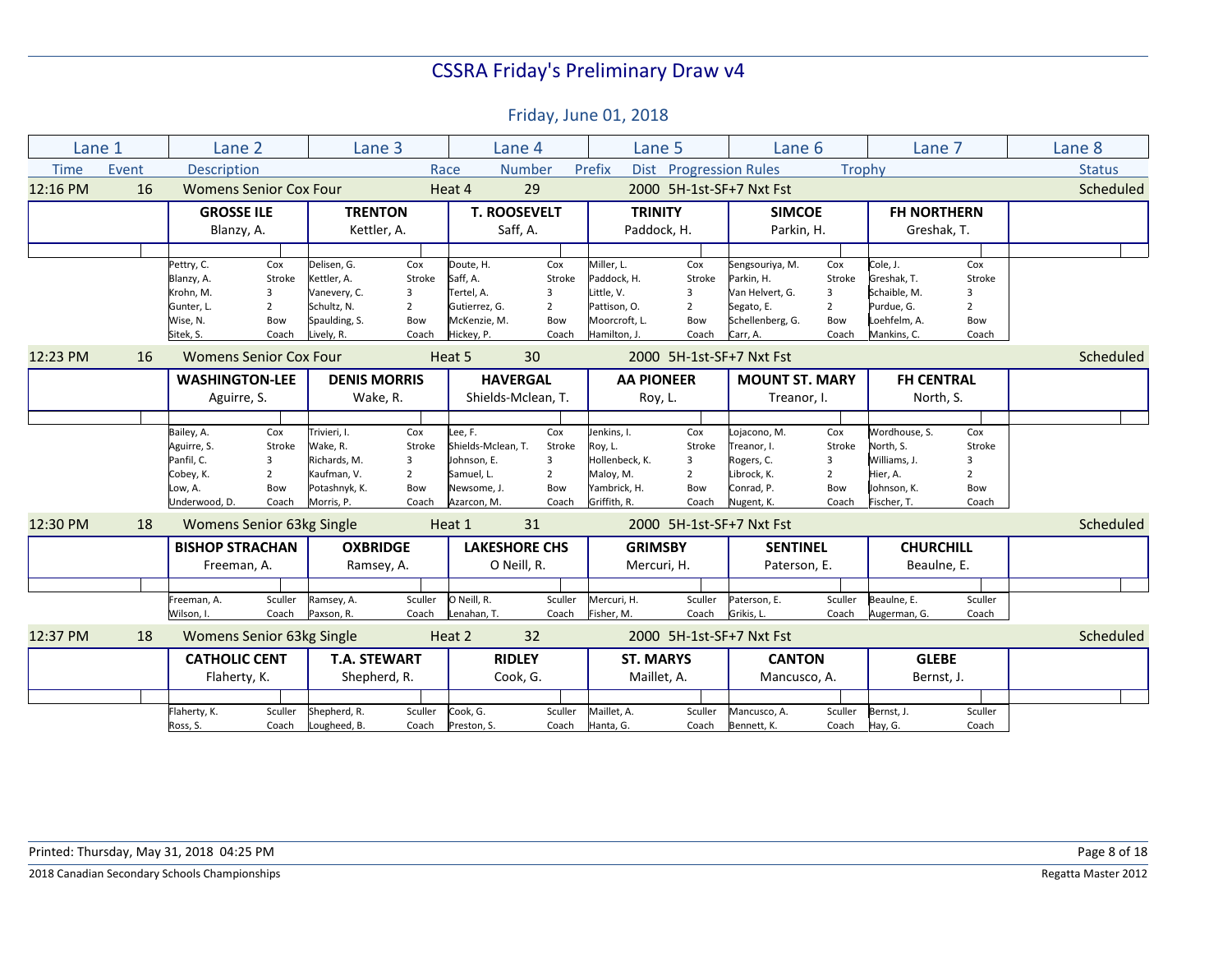| Lane 1      |       | Lane 2                 |                               | Lane 3              |                | Lane 4               |                | Lane 5            |                               | Lane 6                   |                | Lane 7             |                | Lane 8        |
|-------------|-------|------------------------|-------------------------------|---------------------|----------------|----------------------|----------------|-------------------|-------------------------------|--------------------------|----------------|--------------------|----------------|---------------|
| <b>Time</b> | Event | <b>Description</b>     |                               |                     | Race           |                      | <b>Number</b>  | Prefix            | <b>Dist</b> Progression Rules |                          | Trophy         |                    |                | <b>Status</b> |
| 12:16 PM    | 16    |                        | <b>Womens Senior Cox Four</b> |                     |                | Heat 4               | 29             |                   |                               | 2000 5H-1st-SF+7 Nxt Fst |                |                    |                | Scheduled     |
|             |       | <b>GROSSE ILE</b>      |                               | <b>TRENTON</b>      |                | <b>T. ROOSEVELT</b>  |                | <b>TRINITY</b>    |                               | <b>SIMCOE</b>            |                | <b>FH NORTHERN</b> |                |               |
|             |       | Blanzy, A.             |                               | Kettler, A.         |                | Saff, A.             |                | Paddock, H.       |                               | Parkin, H.               |                | Greshak, T.        |                |               |
|             |       |                        |                               |                     |                |                      |                |                   |                               |                          |                |                    |                |               |
|             |       | Pettry, C.             | Cox                           | Delisen, G.         | Cox            | Doute, H.            | Cox            | Miller, L.        | Cox                           | Sengsouriya, M.          | Cox            | Cole, J.           | Cox            |               |
|             |       | Blanzy, A.             | Stroke                        | Kettler, A.         | Stroke         | Saff, A.             | Stroke         | Paddock, H.       | Stroke                        | Parkin, H.               | Stroke         | Greshak, T.        | Stroke         |               |
|             |       | Krohn. M.              | 3                             | Vanevery, C.        | $\overline{3}$ | Tertel. A.           | 3              | Little, V.        | 3                             | Van Helvert. G.          | 3              | Schaible, M.       | 3              |               |
|             |       | Gunter, L.             | $\overline{2}$                | Schultz, N.         | $\overline{2}$ | Gutierrez, G.        | 2              | Pattison, O.      | $\overline{2}$                | Segato, E.               | $\overline{2}$ | Purdue, G.         | $\overline{2}$ |               |
|             |       | Wise, N.               | Bow                           | Spaulding, S.       | Bow            | McKenzie, M.         | Bow            | Moorcroft, L.     | Bow                           | Schellenberg, G.         | Bow            | Loehfelm, A.       | Bow            |               |
|             |       | Sitek, S.              | Coach                         | Lively, R.          | Coach          | Hickey, P.           | Coach          | Hamilton, J.      | Coach                         | Carr. A.                 | Coach          | Mankins. C.        | Coach          |               |
| 12:23 PM    | 16    |                        | <b>Womens Senior Cox Four</b> |                     |                | Heat 5               | 30             |                   |                               | 2000 5H-1st-SF+7 Nxt Fst |                |                    |                | Scheduled     |
|             |       | <b>WASHINGTON-LEE</b>  |                               | <b>DENIS MORRIS</b> |                | <b>HAVERGAL</b>      |                | <b>AA PIONEER</b> |                               | <b>MOUNT ST. MARY</b>    |                | <b>FH CENTRAL</b>  |                |               |
|             |       | Aguirre, S.            |                               | Wake, R.            |                | Shields-Mclean, T.   |                | Roy, L.           |                               | Treanor, I.              |                | North, S.          |                |               |
|             |       |                        |                               |                     |                |                      |                |                   |                               |                          |                |                    |                |               |
|             |       | Bailey, A.             | Cox                           | Trivieri, I.        | Cox            | Lee, F.              | Cox            | Jenkins, I.       | Cox                           | Lojacono, M.             | Cox            | Wordhouse, S.      | Cox            |               |
|             |       | Aguirre, S.            | Stroke                        | Wake, R.            | Stroke         | Shields-Mclean. T.   | Stroke         | Roy, L.           | Stroke                        | Treanor. I.              | Stroke         | North. S.          | Stroke         |               |
|             |       | Panfil. C.             | 3                             | Richards, M.        | 3              | Johnson, E.          | 3              | Hollenbeck. K.    | 3                             | Rogers, C.               | 3              | Williams, J.       | $\mathbf{a}$   |               |
|             |       | Cobey, K.              | $\overline{2}$                | Kaufman, V.         | $\overline{2}$ | Samuel, L.           | $\overline{2}$ | Maloy, M.         | $\overline{2}$                | Librock, K.              | $\overline{2}$ | Hier, A.           | $\overline{2}$ |               |
|             |       | Low, A.                | Bow                           | Potashnyk, K.       | Bow            | Newsome. J.          | Bow            | Yambrick, H.      | Bow                           | Conrad. P.               | Bow            | Johnson, K.        | Bow            |               |
|             |       | Underwood, D.          | Coach                         | Morris, P.          | Coach          | Azarcon, M.          | Coach          | Griffith, R.      | Coach                         | Nugent, K.               | Coach          | Fischer, T.        | Coach          |               |
| 12:30 PM    | 18    |                        | Womens Senior 63kg Single     |                     |                | Heat 1               | 31             |                   |                               | 2000 5H-1st-SF+7 Nxt Fst |                |                    |                | Scheduled     |
|             |       | <b>BISHOP STRACHAN</b> |                               | <b>OXBRIDGE</b>     |                | <b>LAKESHORE CHS</b> |                | <b>GRIMSBY</b>    |                               | <b>SENTINEL</b>          |                | <b>CHURCHILL</b>   |                |               |
|             |       | Freeman, A.            |                               | Ramsey, A.          |                | O Neill, R.          |                | Mercuri, H.       |                               | Paterson, E.             |                | Beaulne, E.        |                |               |
|             |       |                        |                               |                     |                |                      |                |                   |                               |                          |                |                    |                |               |
|             |       | Freeman, A.            | Sculler                       | Ramsey, A.          | Sculler        | O Neill, R.          | Sculler        | Mercuri, H.       | Sculler                       | Paterson, E.             | Sculler        | Beaulne, E.        | Sculler        |               |
|             |       | Wilson, I.             | Coach                         | Paxson, R.          | Coach          | Lenahan, T.          | Coach          | Fisher, M.        | Coach                         | Grikis. L.               | Coach          | Augerman, G.       | Coach          |               |
| 12:37 PM    | 18    |                        | Womens Senior 63kg Single     |                     |                | Heat 2               | 32             |                   |                               | 2000 5H-1st-SF+7 Nxt Fst |                |                    |                | Scheduled     |
|             |       | <b>CATHOLIC CENT</b>   |                               | <b>T.A. STEWART</b> |                | <b>RIDLEY</b>        |                | <b>ST. MARYS</b>  |                               | <b>CANTON</b>            |                | <b>GLEBE</b>       |                |               |
|             |       | Flaherty, K.           |                               | Shepherd, R.        |                | Cook, G.             |                | Maillet, A.       |                               | Mancusco, A.             |                | Bernst, J.         |                |               |
|             |       |                        |                               |                     |                |                      |                |                   |                               |                          |                |                    |                |               |
|             |       | Flaherty, K.           | Sculler                       | Shepherd, R.        | Sculler        | Cook, G.             | Sculler        | Maillet, A.       | Sculler                       | Mancusco, A.             | Sculler        | Bernst, J.         | Sculler        |               |
|             |       | Ross, S.               | Coach                         | Lougheed, B.        | Coach          | Preston, S.          | Coach          | Hanta, G.         | Coach                         | Bennett, K.              | Coach          | Hay, G.            | Coach          |               |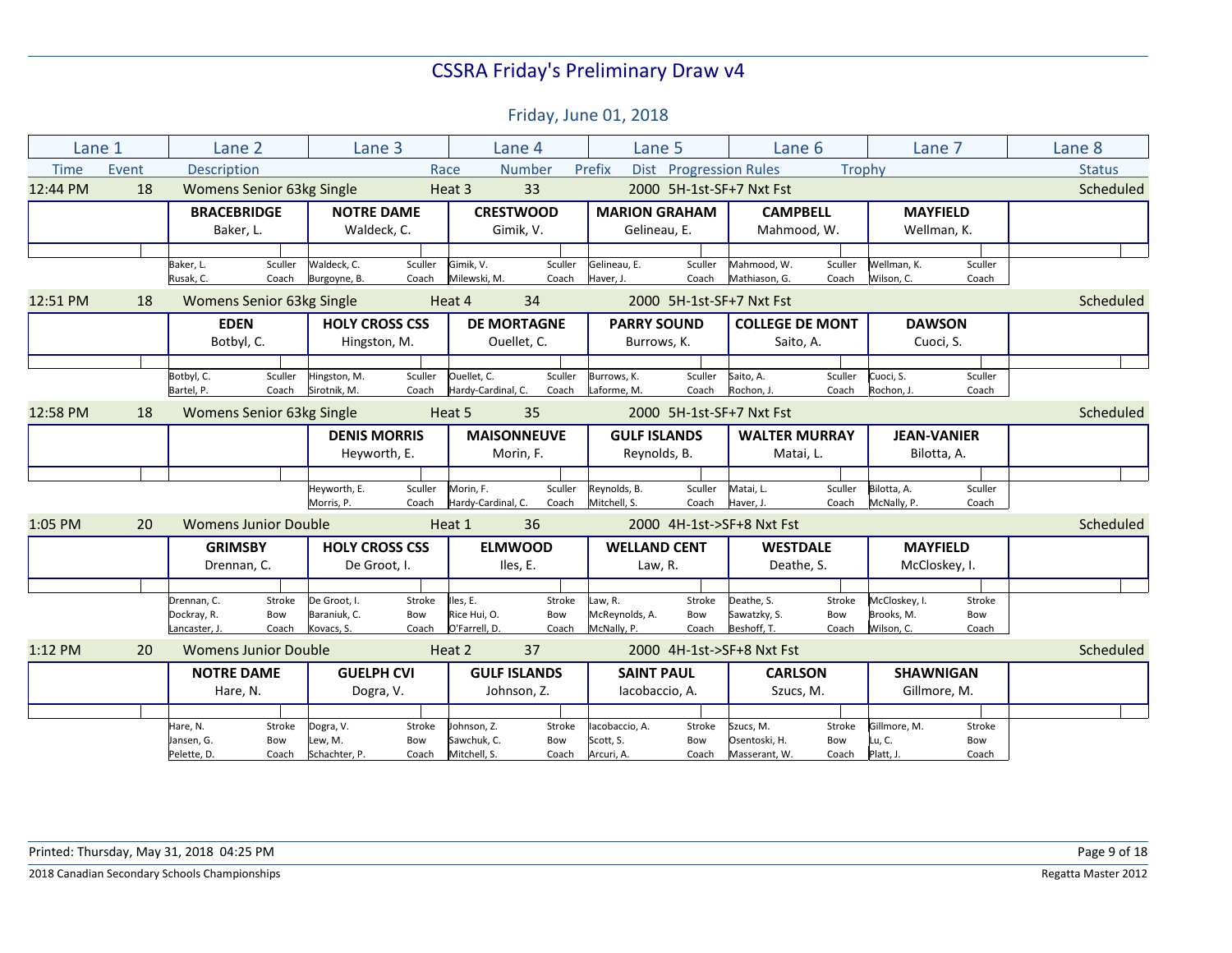| Lane 1<br>Lane 2<br>Lane 3<br>Lane 4<br>Lane 5<br>Lane 6<br>Lane 7<br><b>Number</b><br>Dist Progression Rules<br><b>Time</b><br>Event<br><b>Description</b><br>Prefix<br>Trophy<br>Race<br>12:44 PM<br>18<br>33<br>2000 5H-1st-SF+7 Nxt Fst<br>Womens Senior 63kg Single<br>Heat 3<br><b>CRESTWOOD</b><br><b>MARION GRAHAM</b><br><b>CAMPBELL</b><br><b>BRACEBRIDGE</b><br><b>NOTRE DAME</b><br><b>MAYFIELD</b><br>Mahmood, W.<br>Wellman, K.<br>Baker, L.<br>Waldeck, C.<br>Gimik, V.<br>Gelineau, E.<br>Waldeck, C.<br>Sculler<br>Sculler<br>Gimik, V.<br>Sculler<br>Gelineau, E.<br>Sculler<br>Mahmood, W.<br>Sculler<br>Wellman, K.<br>Sculler<br>Baker, L.<br>Milewski, M.<br>Wilson, C.<br>Rusak, C.<br>Coach<br>Burgoyne, B.<br>Coach<br>Coach<br>Haver, J.<br>Coach<br>Mathiason, G.<br>Coach<br>Coach<br>12:51 PM<br><b>Womens Senior 63kg Single</b><br>Heat 4<br>34<br>2000 5H-1st-SF+7 Nxt Fst<br>18<br><b>EDEN</b><br><b>HOLY CROSS CSS</b><br><b>DE MORTAGNE</b><br><b>COLLEGE DE MONT</b><br><b>DAWSON</b><br><b>PARRY SOUND</b><br>Botbyl, C.<br>Ouellet, C.<br>Cuoci, S.<br>Hingston, M.<br>Burrows, K.<br>Saito, A.<br>Ouellet, C.<br>Sculler<br>Sculler<br>Cuoci, S.<br>Botbyl, C.<br>Sculler<br>Hingston, M.<br>Sculler<br>Burrows, K.<br>Sculler<br>Saito, A.<br>Sculler<br>Sirotnik. M.<br>Hardy-Cardinal, C.<br>Laforme, M.<br>Rochon. J.<br>Bartel, P.<br>Coach<br>Coach<br>Coach<br>Coach<br>Rochon. J.<br>Coach<br>Coach<br>12:58 PM<br>Womens Senior 63kg Single<br>Heat 5<br>35<br>2000 5H-1st-SF+7 Nxt Fst<br>18<br><b>MAISONNEUVE</b><br><b>DENIS MORRIS</b><br><b>GULF ISLANDS</b><br><b>WALTER MURRAY</b><br><b>JEAN-VANIER</b><br>Reynolds, B.<br>Heyworth, E.<br>Morin, F.<br>Matai, L.<br>Bilotta, A.<br>Sculler<br>Morin, F.<br>Sculler<br>Reynolds, B.<br>Sculler<br>Matai, L.<br>Sculler<br>Bilotta, A.<br>Sculler<br>Heyworth, E.<br>Morris, P.<br>Hardy-Cardinal, C.<br>Mitchell, S.<br>Coach<br>Haver, J.<br>McNally, P.<br>Coach<br>Coach<br>Coach<br>Coach<br>36<br>1:05 PM<br>20<br><b>Womens Junior Double</b><br>Heat 1<br>2000 4H-1st->SF+8 Nxt Fst<br><b>HOLY CROSS CSS</b><br><b>ELMWOOD</b><br><b>WELLAND CENT</b><br><b>WESTDALE</b><br><b>MAYFIELD</b><br><b>GRIMSBY</b><br>McCloskey, I.<br>Drennan, C.<br>De Groot, I.<br>Iles, E.<br>Deathe, S.<br>Law, R.<br>Stroke<br>Iles, E.<br>Stroke<br>Stroke<br>Deathe, S.<br>McCloskey, I.<br>Stroke<br>Drennan, C.<br>De Groot, I.<br>Stroke<br>Law, R.<br>Stroke<br>Rice Hui, O.<br>Dockray, R.<br>Baraniuk, C.<br>Bow<br>McReynolds, A.<br>Bow<br>Sawatzky, S.<br>Bow<br>Brooks, M.<br>Bow<br>Bow<br>Bow<br>O'Farrell. D.<br>Wilson, C.<br>Coach<br>McNally, P.<br>Beshoff. T.<br>Lancaster. J.<br>Kovacs. S.<br>Coach<br>Coach<br>Coach<br>Coach<br>Coach<br>1:12 PM<br>Heat 2<br>20<br><b>Womens Junior Double</b><br>37<br>2000 4H-1st->SF+8 Nxt Fst<br><b>NOTRE DAME</b><br><b>GUELPH CVI</b><br><b>GULF ISLANDS</b><br><b>SAINT PAUL</b><br><b>CARLSON</b><br><b>SHAWNIGAN</b><br>Johnson, Z.<br>Hare, N.<br>Dogra, V.<br>lacobaccio, A.<br>Szucs, M.<br>Gillmore, M.<br>Johnson, Z.<br>Stroke<br>Dogra, V.<br>Stroke<br>Stroke<br>lacobaccio, A.<br>Stroke<br>Szucs, M.<br>Stroke<br>Gillmore. M.<br>Stroke<br>Hare, N.<br>Sawchuk, C.<br>Jansen, G.<br>Lew, M.<br>Bow<br>Bow<br>Scott, S.<br>Bow<br>Osentoski, H.<br>Bow<br>Lu, C.<br>Bow<br>Bow |               |       |           |       |               |       |            |       |              |       |               |       |             |  |  |
|------------------------------------------------------------------------------------------------------------------------------------------------------------------------------------------------------------------------------------------------------------------------------------------------------------------------------------------------------------------------------------------------------------------------------------------------------------------------------------------------------------------------------------------------------------------------------------------------------------------------------------------------------------------------------------------------------------------------------------------------------------------------------------------------------------------------------------------------------------------------------------------------------------------------------------------------------------------------------------------------------------------------------------------------------------------------------------------------------------------------------------------------------------------------------------------------------------------------------------------------------------------------------------------------------------------------------------------------------------------------------------------------------------------------------------------------------------------------------------------------------------------------------------------------------------------------------------------------------------------------------------------------------------------------------------------------------------------------------------------------------------------------------------------------------------------------------------------------------------------------------------------------------------------------------------------------------------------------------------------------------------------------------------------------------------------------------------------------------------------------------------------------------------------------------------------------------------------------------------------------------------------------------------------------------------------------------------------------------------------------------------------------------------------------------------------------------------------------------------------------------------------------------------------------------------------------------------------------------------------------------------------------------------------------------------------------------------------------------------------------------------------------------------------------------------------------------------------------------------------------------------------------------------------------------------------------------------------------------------------------------------------------------------------------------------------------------------------------------------------------------------------------------------------------------------------------------------------------------------------------------------------------------------------------------------------------------------------------------------|---------------|-------|-----------|-------|---------------|-------|------------|-------|--------------|-------|---------------|-------|-------------|--|--|
|                                                                                                                                                                                                                                                                                                                                                                                                                                                                                                                                                                                                                                                                                                                                                                                                                                                                                                                                                                                                                                                                                                                                                                                                                                                                                                                                                                                                                                                                                                                                                                                                                                                                                                                                                                                                                                                                                                                                                                                                                                                                                                                                                                                                                                                                                                                                                                                                                                                                                                                                                                                                                                                                                                                                                                                                                                                                                                                                                                                                                                                                                                                                                                                                                                                                                                                                                            | Lane 8        |       |           |       |               |       |            |       |              |       |               |       |             |  |  |
|                                                                                                                                                                                                                                                                                                                                                                                                                                                                                                                                                                                                                                                                                                                                                                                                                                                                                                                                                                                                                                                                                                                                                                                                                                                                                                                                                                                                                                                                                                                                                                                                                                                                                                                                                                                                                                                                                                                                                                                                                                                                                                                                                                                                                                                                                                                                                                                                                                                                                                                                                                                                                                                                                                                                                                                                                                                                                                                                                                                                                                                                                                                                                                                                                                                                                                                                                            | <b>Status</b> |       |           |       |               |       |            |       |              |       |               |       |             |  |  |
|                                                                                                                                                                                                                                                                                                                                                                                                                                                                                                                                                                                                                                                                                                                                                                                                                                                                                                                                                                                                                                                                                                                                                                                                                                                                                                                                                                                                                                                                                                                                                                                                                                                                                                                                                                                                                                                                                                                                                                                                                                                                                                                                                                                                                                                                                                                                                                                                                                                                                                                                                                                                                                                                                                                                                                                                                                                                                                                                                                                                                                                                                                                                                                                                                                                                                                                                                            | Scheduled     |       |           |       |               |       |            |       |              |       |               |       |             |  |  |
|                                                                                                                                                                                                                                                                                                                                                                                                                                                                                                                                                                                                                                                                                                                                                                                                                                                                                                                                                                                                                                                                                                                                                                                                                                                                                                                                                                                                                                                                                                                                                                                                                                                                                                                                                                                                                                                                                                                                                                                                                                                                                                                                                                                                                                                                                                                                                                                                                                                                                                                                                                                                                                                                                                                                                                                                                                                                                                                                                                                                                                                                                                                                                                                                                                                                                                                                                            |               |       |           |       |               |       |            |       |              |       |               |       |             |  |  |
|                                                                                                                                                                                                                                                                                                                                                                                                                                                                                                                                                                                                                                                                                                                                                                                                                                                                                                                                                                                                                                                                                                                                                                                                                                                                                                                                                                                                                                                                                                                                                                                                                                                                                                                                                                                                                                                                                                                                                                                                                                                                                                                                                                                                                                                                                                                                                                                                                                                                                                                                                                                                                                                                                                                                                                                                                                                                                                                                                                                                                                                                                                                                                                                                                                                                                                                                                            |               |       |           |       |               |       |            |       |              |       |               |       |             |  |  |
|                                                                                                                                                                                                                                                                                                                                                                                                                                                                                                                                                                                                                                                                                                                                                                                                                                                                                                                                                                                                                                                                                                                                                                                                                                                                                                                                                                                                                                                                                                                                                                                                                                                                                                                                                                                                                                                                                                                                                                                                                                                                                                                                                                                                                                                                                                                                                                                                                                                                                                                                                                                                                                                                                                                                                                                                                                                                                                                                                                                                                                                                                                                                                                                                                                                                                                                                                            |               |       |           |       |               |       |            |       |              |       |               |       |             |  |  |
|                                                                                                                                                                                                                                                                                                                                                                                                                                                                                                                                                                                                                                                                                                                                                                                                                                                                                                                                                                                                                                                                                                                                                                                                                                                                                                                                                                                                                                                                                                                                                                                                                                                                                                                                                                                                                                                                                                                                                                                                                                                                                                                                                                                                                                                                                                                                                                                                                                                                                                                                                                                                                                                                                                                                                                                                                                                                                                                                                                                                                                                                                                                                                                                                                                                                                                                                                            | Scheduled     |       |           |       |               |       |            |       |              |       |               |       |             |  |  |
|                                                                                                                                                                                                                                                                                                                                                                                                                                                                                                                                                                                                                                                                                                                                                                                                                                                                                                                                                                                                                                                                                                                                                                                                                                                                                                                                                                                                                                                                                                                                                                                                                                                                                                                                                                                                                                                                                                                                                                                                                                                                                                                                                                                                                                                                                                                                                                                                                                                                                                                                                                                                                                                                                                                                                                                                                                                                                                                                                                                                                                                                                                                                                                                                                                                                                                                                                            |               |       |           |       |               |       |            |       |              |       |               |       |             |  |  |
|                                                                                                                                                                                                                                                                                                                                                                                                                                                                                                                                                                                                                                                                                                                                                                                                                                                                                                                                                                                                                                                                                                                                                                                                                                                                                                                                                                                                                                                                                                                                                                                                                                                                                                                                                                                                                                                                                                                                                                                                                                                                                                                                                                                                                                                                                                                                                                                                                                                                                                                                                                                                                                                                                                                                                                                                                                                                                                                                                                                                                                                                                                                                                                                                                                                                                                                                                            |               |       |           |       |               |       |            |       |              |       |               |       |             |  |  |
|                                                                                                                                                                                                                                                                                                                                                                                                                                                                                                                                                                                                                                                                                                                                                                                                                                                                                                                                                                                                                                                                                                                                                                                                                                                                                                                                                                                                                                                                                                                                                                                                                                                                                                                                                                                                                                                                                                                                                                                                                                                                                                                                                                                                                                                                                                                                                                                                                                                                                                                                                                                                                                                                                                                                                                                                                                                                                                                                                                                                                                                                                                                                                                                                                                                                                                                                                            |               |       |           |       |               |       |            |       |              |       |               |       |             |  |  |
|                                                                                                                                                                                                                                                                                                                                                                                                                                                                                                                                                                                                                                                                                                                                                                                                                                                                                                                                                                                                                                                                                                                                                                                                                                                                                                                                                                                                                                                                                                                                                                                                                                                                                                                                                                                                                                                                                                                                                                                                                                                                                                                                                                                                                                                                                                                                                                                                                                                                                                                                                                                                                                                                                                                                                                                                                                                                                                                                                                                                                                                                                                                                                                                                                                                                                                                                                            | Scheduled     |       |           |       |               |       |            |       |              |       |               |       |             |  |  |
|                                                                                                                                                                                                                                                                                                                                                                                                                                                                                                                                                                                                                                                                                                                                                                                                                                                                                                                                                                                                                                                                                                                                                                                                                                                                                                                                                                                                                                                                                                                                                                                                                                                                                                                                                                                                                                                                                                                                                                                                                                                                                                                                                                                                                                                                                                                                                                                                                                                                                                                                                                                                                                                                                                                                                                                                                                                                                                                                                                                                                                                                                                                                                                                                                                                                                                                                                            |               |       |           |       |               |       |            |       |              |       |               |       |             |  |  |
|                                                                                                                                                                                                                                                                                                                                                                                                                                                                                                                                                                                                                                                                                                                                                                                                                                                                                                                                                                                                                                                                                                                                                                                                                                                                                                                                                                                                                                                                                                                                                                                                                                                                                                                                                                                                                                                                                                                                                                                                                                                                                                                                                                                                                                                                                                                                                                                                                                                                                                                                                                                                                                                                                                                                                                                                                                                                                                                                                                                                                                                                                                                                                                                                                                                                                                                                                            |               |       |           |       |               |       |            |       |              |       |               |       |             |  |  |
|                                                                                                                                                                                                                                                                                                                                                                                                                                                                                                                                                                                                                                                                                                                                                                                                                                                                                                                                                                                                                                                                                                                                                                                                                                                                                                                                                                                                                                                                                                                                                                                                                                                                                                                                                                                                                                                                                                                                                                                                                                                                                                                                                                                                                                                                                                                                                                                                                                                                                                                                                                                                                                                                                                                                                                                                                                                                                                                                                                                                                                                                                                                                                                                                                                                                                                                                                            |               |       |           |       |               |       |            |       |              |       |               |       |             |  |  |
|                                                                                                                                                                                                                                                                                                                                                                                                                                                                                                                                                                                                                                                                                                                                                                                                                                                                                                                                                                                                                                                                                                                                                                                                                                                                                                                                                                                                                                                                                                                                                                                                                                                                                                                                                                                                                                                                                                                                                                                                                                                                                                                                                                                                                                                                                                                                                                                                                                                                                                                                                                                                                                                                                                                                                                                                                                                                                                                                                                                                                                                                                                                                                                                                                                                                                                                                                            | Scheduled     |       |           |       |               |       |            |       |              |       |               |       |             |  |  |
|                                                                                                                                                                                                                                                                                                                                                                                                                                                                                                                                                                                                                                                                                                                                                                                                                                                                                                                                                                                                                                                                                                                                                                                                                                                                                                                                                                                                                                                                                                                                                                                                                                                                                                                                                                                                                                                                                                                                                                                                                                                                                                                                                                                                                                                                                                                                                                                                                                                                                                                                                                                                                                                                                                                                                                                                                                                                                                                                                                                                                                                                                                                                                                                                                                                                                                                                                            |               |       |           |       |               |       |            |       |              |       |               |       |             |  |  |
|                                                                                                                                                                                                                                                                                                                                                                                                                                                                                                                                                                                                                                                                                                                                                                                                                                                                                                                                                                                                                                                                                                                                                                                                                                                                                                                                                                                                                                                                                                                                                                                                                                                                                                                                                                                                                                                                                                                                                                                                                                                                                                                                                                                                                                                                                                                                                                                                                                                                                                                                                                                                                                                                                                                                                                                                                                                                                                                                                                                                                                                                                                                                                                                                                                                                                                                                                            |               |       |           |       |               |       |            |       |              |       |               |       |             |  |  |
|                                                                                                                                                                                                                                                                                                                                                                                                                                                                                                                                                                                                                                                                                                                                                                                                                                                                                                                                                                                                                                                                                                                                                                                                                                                                                                                                                                                                                                                                                                                                                                                                                                                                                                                                                                                                                                                                                                                                                                                                                                                                                                                                                                                                                                                                                                                                                                                                                                                                                                                                                                                                                                                                                                                                                                                                                                                                                                                                                                                                                                                                                                                                                                                                                                                                                                                                                            | Scheduled     |       |           |       |               |       |            |       |              |       |               |       |             |  |  |
|                                                                                                                                                                                                                                                                                                                                                                                                                                                                                                                                                                                                                                                                                                                                                                                                                                                                                                                                                                                                                                                                                                                                                                                                                                                                                                                                                                                                                                                                                                                                                                                                                                                                                                                                                                                                                                                                                                                                                                                                                                                                                                                                                                                                                                                                                                                                                                                                                                                                                                                                                                                                                                                                                                                                                                                                                                                                                                                                                                                                                                                                                                                                                                                                                                                                                                                                                            |               |       |           |       |               |       |            |       |              |       |               |       |             |  |  |
|                                                                                                                                                                                                                                                                                                                                                                                                                                                                                                                                                                                                                                                                                                                                                                                                                                                                                                                                                                                                                                                                                                                                                                                                                                                                                                                                                                                                                                                                                                                                                                                                                                                                                                                                                                                                                                                                                                                                                                                                                                                                                                                                                                                                                                                                                                                                                                                                                                                                                                                                                                                                                                                                                                                                                                                                                                                                                                                                                                                                                                                                                                                                                                                                                                                                                                                                                            |               |       |           |       |               |       |            |       |              |       |               |       |             |  |  |
|                                                                                                                                                                                                                                                                                                                                                                                                                                                                                                                                                                                                                                                                                                                                                                                                                                                                                                                                                                                                                                                                                                                                                                                                                                                                                                                                                                                                                                                                                                                                                                                                                                                                                                                                                                                                                                                                                                                                                                                                                                                                                                                                                                                                                                                                                                                                                                                                                                                                                                                                                                                                                                                                                                                                                                                                                                                                                                                                                                                                                                                                                                                                                                                                                                                                                                                                                            |               | Coach | Platt, J. | Coach | Masserant, W. | Coach | Arcuri, A. | Coach | Mitchell, S. | Coach | Schachter, P. | Coach | Pelette, D. |  |  |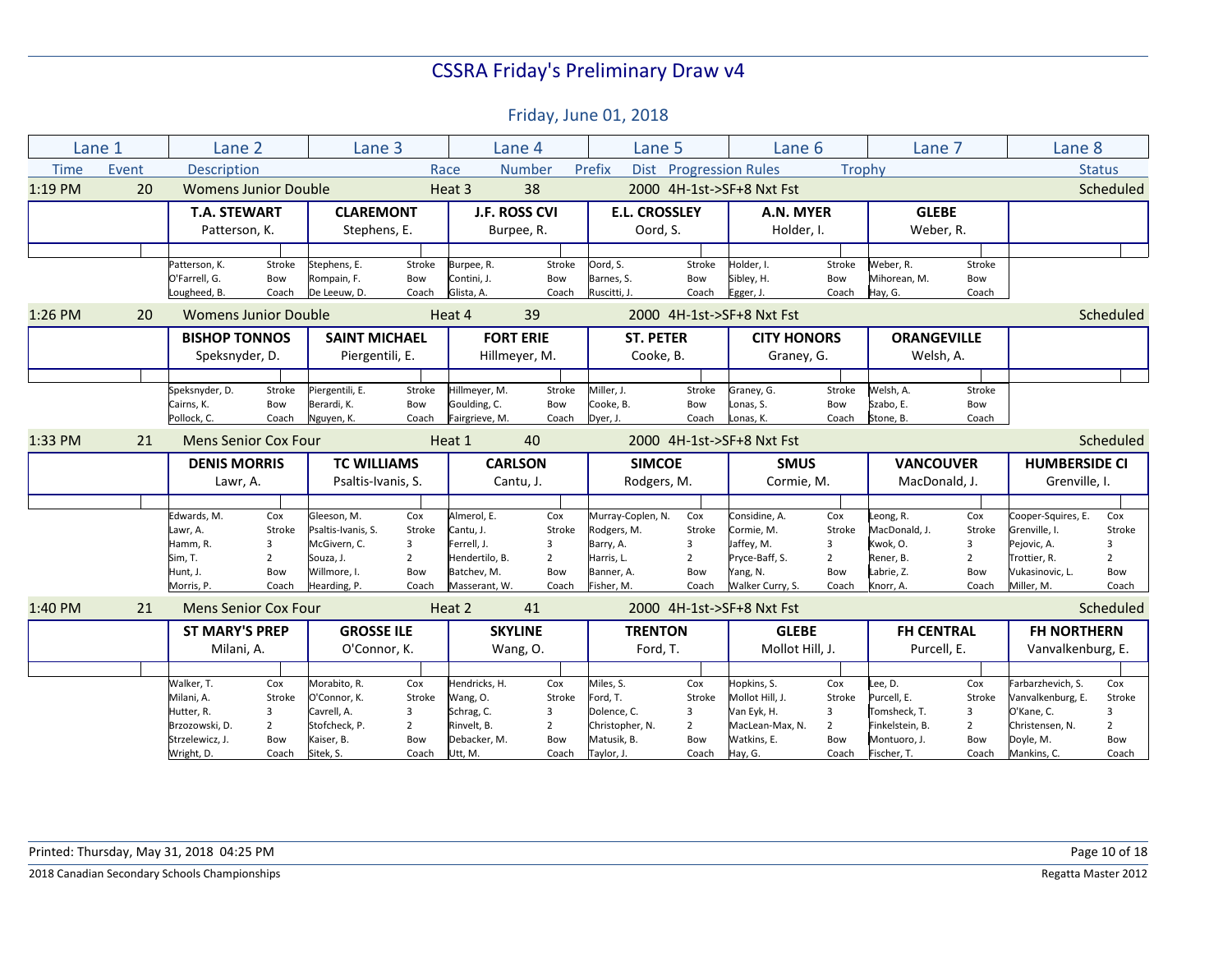Friday, June 01, 2018

|             | Lane 1 | Lane 2                      |                | Lane 3                            |                |                | Lane 4           | Lane 5                |                | Lane 6                    |                | Lane 7             |                | Lane 8               |                |
|-------------|--------|-----------------------------|----------------|-----------------------------------|----------------|----------------|------------------|-----------------------|----------------|---------------------------|----------------|--------------------|----------------|----------------------|----------------|
| <b>Time</b> | Event  | Description                 |                |                                   | Race           |                | Number           | Prefix<br><b>Dist</b> |                | <b>Progression Rules</b>  | Trophy         |                    |                |                      | <b>Status</b>  |
| 1:19 PM     | 20     | <b>Womens Junior Double</b> |                |                                   |                | Heat 3         | 38               |                       |                | 2000 4H-1st->SF+8 Nxt Fst |                |                    |                |                      | Scheduled      |
|             |        | <b>T.A. STEWART</b>         |                | <b>CLAREMONT</b>                  |                |                | J.F. ROSS CVI    | <b>E.L. CROSSLEY</b>  |                | A.N. MYER                 |                | <b>GLEBE</b>       |                |                      |                |
|             |        | Patterson, K.               |                | Stephens, E.                      |                |                | Burpee, R.       | Oord, S.              |                | Holder, I.                |                | Weber, R.          |                |                      |                |
|             |        |                             |                |                                   |                |                |                  |                       |                |                           |                |                    |                |                      |                |
|             |        | Patterson, K.               | Stroke         | Stephens, E.                      | Stroke         | Burpee, R.     | Stroke           | Oord, S.              | Stroke         | Holder, I.                | Stroke         | Weber, R.          | Stroke         |                      |                |
|             |        | O'Farrell, G.               | Bow            | Rompain, F.                       | Bow            | Contini, J.    | Bow              | Barnes, S.            | Bow            | Sibley, H.                | Bow            | Mihorean, M.       | Bow            |                      |                |
|             |        | Lougheed, B.                | Coach          | De Leeuw, D.                      | Coach          | Glista, A.     | Coach            | Ruscitti, J.          | Coach          | Egger, J.                 | Coach          | Hay, G.            | Coach          |                      |                |
| 1:26 PM     | 20     | <b>Womens Junior Double</b> |                |                                   |                | Heat 4         | 39               |                       |                | 2000 4H-1st->SF+8 Nxt Fst |                |                    |                |                      | Scheduled      |
|             |        | <b>BISHOP TONNOS</b>        |                | <b>SAINT MICHAEL</b>              |                |                | <b>FORT ERIE</b> | <b>ST. PETER</b>      |                | <b>CITY HONORS</b>        |                | <b>ORANGEVILLE</b> |                |                      |                |
|             |        | Speksnyder, D.              |                | Piergentili, E.                   |                |                | Hillmeyer, M.    | Cooke, B.             |                | Graney, G.                |                | Welsh, A.          |                |                      |                |
|             |        |                             |                |                                   |                |                |                  |                       |                |                           |                |                    |                |                      |                |
|             |        | Speksnyder, D.              | Stroke         | Piergentili, E.                   | Stroke         | Hillmeyer, M.  | Stroke           | Miller, J.            | Stroke         | Graney, G.                | Stroke         | Welsh, A.          | Stroke         |                      |                |
|             |        | Cairns, K.                  | Bow            | Berardi, K.                       | Bow            | Goulding, C.   | Bow              | Cooke. B.             | Bow            | Lonas, S.                 | Bow            | Szabo, E.          | Bow            |                      |                |
|             |        | Pollock, C.                 | Coach          | Nguyen, K.                        | Coach          | Fairgrieve, M. | Coach            | Dyer, J.              | Coach          | Lonas, K.                 | Coach          | Stone, B.          | Coach          |                      |                |
| 1:33 PM     | 21     | <b>Mens Senior Cox Four</b> |                |                                   |                | Heat 1         | 40               |                       |                | 2000 4H-1st->SF+8 Nxt Fst |                |                    |                |                      | Scheduled      |
|             |        | <b>DENIS MORRIS</b>         |                | <b>TC WILLIAMS</b>                |                | <b>CARLSON</b> |                  | <b>SIMCOE</b>         |                | <b>SMUS</b>               |                | <b>VANCOUVER</b>   |                | <b>HUMBERSIDE CI</b> |                |
|             |        | Lawr, A.                    |                | Psaltis-Ivanis, S.                |                |                | Cantu, J.        | Rodgers, M.           |                | Cormie, M.                |                | MacDonald, J.      |                | Grenville, I.        |                |
|             |        |                             |                |                                   |                |                |                  |                       |                |                           |                |                    |                |                      |                |
|             |        |                             |                |                                   |                |                |                  |                       |                |                           |                |                    |                |                      |                |
|             |        | Edwards, M.                 | Cox            |                                   | Cox            | Almerol, E.    | Cox              | Murray-Coplen, N.     | Cox            | Considine. A.             | Cox            | Leong, R.          | Cox            | Cooper-Squires, E.   | Cox            |
|             |        | Lawr, A.                    | Stroke         | Gleeson, M.<br>Psaltis-Ivanis, S. | Stroke         | Cantu, J.      | Stroke           | Rodgers, M.           | Stroke         | Cormie, M.                | Stroke         | MacDonald, J.      | Stroke         | Grenville. I.        | Stroke         |
|             |        | Hamm, R.                    | 3              | McGivern, C.                      | 3              | Ferrell, J.    | 3                | Barry, A.             | 3              | Jaffey, M.                | 3              | Kwok, O.           | $\overline{3}$ | Pejovic, A.          | 3              |
|             |        | Sim, T.                     | $\overline{2}$ | Souza, J.                         | $\overline{2}$ | Hendertilo, B. | $\overline{2}$   | Harris, L.            | $\overline{2}$ | Pryce-Baff, S.            | $\overline{2}$ | Rener, B.          | $\overline{2}$ | Trottier, R.         | $\overline{2}$ |
|             |        | Hunt, J.                    | Bow            | Willmore, I.                      | Bow            | Batchev, M.    | Bow              | Banner, A.            | Bow            | Yang, N.                  | Bow            | Labrie, Z.         | Bow            | Vukasinovic, L.      | Bow            |
|             |        | Morris, P.                  | Coach          | Hearding, P.                      | Coach          | Masserant, W.  | Coach            | Fisher, M.            | Coach          | Walker Curry, S.          | Coach          | Knorr, A.          | Coach          | Miller, M.           | Coach          |
| 1:40 PM     | 21     | <b>Mens Senior Cox Four</b> |                |                                   |                | Heat 2         | 41               |                       |                | 2000 4H-1st->SF+8 Nxt Fst |                |                    |                |                      | Scheduled      |
|             |        | <b>ST MARY'S PREP</b>       |                | <b>GROSSE ILE</b>                 |                |                | <b>SKYLINE</b>   | <b>TRENTON</b>        |                | <b>GLEBE</b>              |                | <b>FH CENTRAL</b>  |                | <b>FH NORTHERN</b>   |                |
|             |        | Milani, A.                  |                | O'Connor, K.                      |                |                | Wang, O.         | Ford, T.              |                | Mollot Hill, J.           |                | Purcell, E.        |                | Vanvalkenburg, E.    |                |
|             |        |                             |                |                                   |                |                |                  |                       |                |                           |                |                    |                |                      |                |
|             |        | Walker, T.                  | Cox            | Morabito, R.                      | Cox            | Hendricks, H.  | Cox              | Miles, S.             | Cox            | Hopkins, S.               | Cox            | Lee, D.            | Cox            | Farbarzhevich, S.    | Cox            |
|             |        | Milani, A.                  | Stroke         | O'Connor, K.                      | Stroke         | Wang, O.       | Stroke           | Ford, T.              | Stroke         | Mollot Hill, J.           | Stroke         | Purcell. E.        | Stroke         | Vanvalkenburg, E.    | Stroke         |
|             |        | Hutter, R.                  | 3              | Cavrell, A.                       | 3              | Schrag, C.     | 3                | Dolence, C.           | 3              | Van Eyk, H.               | 3              | Tomsheck, T.       | 3              | O'Kane, C.           | 3              |
|             |        | Brzozowski, D.              | $\overline{2}$ | Stofcheck, P.                     | $\overline{2}$ | Rinvelt, B.    | $\overline{2}$   | Christopher, N.       | $\overline{2}$ | MacLean-Max, N.           | $\overline{2}$ | Finkelstein, B.    | $\overline{2}$ | Christensen, N.      | $\overline{2}$ |
|             |        | Strzelewicz, J.             | Bow            | Kaiser, B.                        | Bow            | Debacker, M.   | Bow              | Matusik, B.           | Bow            | Watkins, E.               | Bow            | Montuoro, J.       | Bow            | Doyle, M.            | Bow            |

**2018 Canadian Secondary Schools Championships** Regatta Master 2012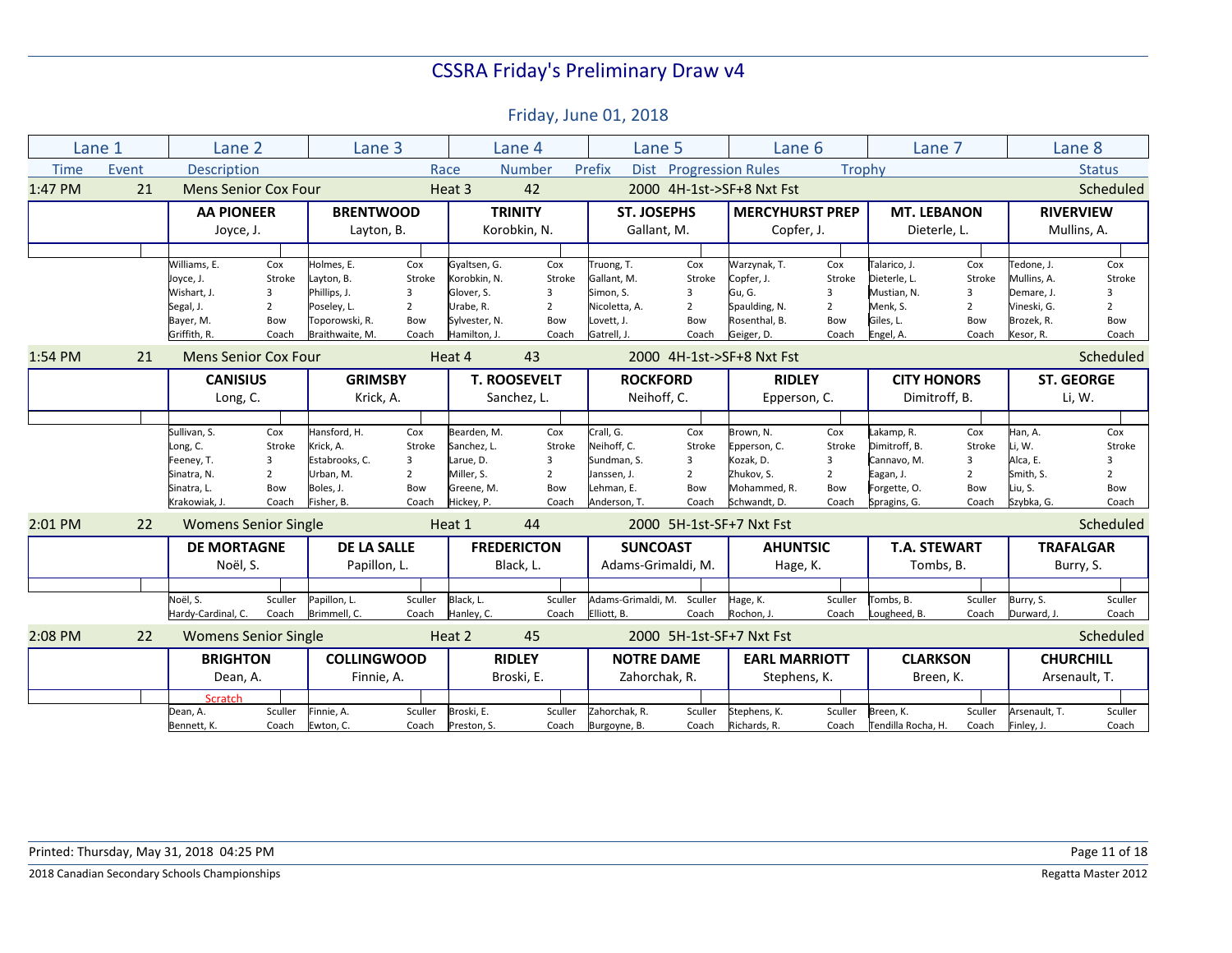|             | Lane 1 | Lane 2                                                                                |                                                      | Lane 3                                                                                       |                                                      |                                                                                          | Lane 4                                               | Lane 5                                                                               |                                                      | Lane 6                                                                               |                                                                   | Lane 7                                                                                  |                                                      |                                                                                   | Lane 8                                               |
|-------------|--------|---------------------------------------------------------------------------------------|------------------------------------------------------|----------------------------------------------------------------------------------------------|------------------------------------------------------|------------------------------------------------------------------------------------------|------------------------------------------------------|--------------------------------------------------------------------------------------|------------------------------------------------------|--------------------------------------------------------------------------------------|-------------------------------------------------------------------|-----------------------------------------------------------------------------------------|------------------------------------------------------|-----------------------------------------------------------------------------------|------------------------------------------------------|
| <b>Time</b> | Event  | <b>Description</b>                                                                    |                                                      |                                                                                              |                                                      | Race                                                                                     | <b>Number</b>                                        | Prefix<br><b>Dist</b>                                                                | <b>Progression Rules</b>                             |                                                                                      | Trophy                                                            |                                                                                         |                                                      |                                                                                   | <b>Status</b>                                        |
| 1:47 PM     | 21     | <b>Mens Senior Cox Four</b>                                                           |                                                      |                                                                                              |                                                      | Heat 3                                                                                   | 42                                                   |                                                                                      |                                                      | 2000 4H-1st->SF+8 Nxt Fst                                                            |                                                                   |                                                                                         |                                                      |                                                                                   | Scheduled                                            |
|             |        | <b>AA PIONEER</b><br>Joyce, J.                                                        |                                                      | <b>BRENTWOOD</b><br>Layton, B.                                                               |                                                      |                                                                                          | <b>TRINITY</b><br>Korobkin, N.                       | <b>ST. JOSEPHS</b><br>Gallant, M.                                                    |                                                      | <b>MERCYHURST PREP</b><br>Copfer, J.                                                 |                                                                   | <b>MT. LEBANON</b><br>Dieterle, L.                                                      |                                                      | <b>RIVERVIEW</b><br>Mullins, A.                                                   |                                                      |
|             |        | Williams, E.<br>Joyce, J.<br>Wishart. J.<br>Segal, J.<br>Bayer, M.<br>Griffith, R.    | Cox<br>Stroke<br>3<br>$\overline{2}$<br>Bow<br>Coach | Holmes, E.<br>Layton, B.<br>Phillips, J.<br>Poseley, L.<br>Toporowski, R.<br>Braithwaite, M. | Cox<br>Stroke<br>3<br>$\overline{2}$<br>Bow<br>Coach | Gyaltsen, G.<br>Korobkin, N.<br>Glover, S.<br>Urabe, R.<br>Sylvester, N.<br>Hamilton, J. | Cox<br>Stroke<br>3<br>$\overline{2}$<br>Bow<br>Coach | Truong, T.<br>Gallant. M.<br>Simon, S.<br>Nicoletta, A.<br>Lovett. J.<br>Gatrell, J. | Cox<br>Stroke<br>3<br>$\overline{2}$<br>Bow<br>Coach | Warzynak, T.<br>Copfer, J.<br>Gu, G.<br>Spaulding, N.<br>Rosenthal, B.<br>Geiger, D. | Cox<br>Stroke<br>$\overline{3}$<br>$\overline{2}$<br>Bow<br>Coach | Talarico, J.<br>Dieterle. L.<br>Mustian, N.<br>Menk, S.<br>Giles. L.<br>Engel, A.       | Cox<br>Stroke<br>3<br>$\overline{2}$<br>Bow<br>Coach | Tedone, J.<br>Mullins. A.<br>Demare, J.<br>Vineski, G.<br>Brozek. R.<br>Kesor, R. | Cox<br>Stroke<br>3<br>$\overline{2}$<br>Bow<br>Coach |
| 1:54 PM     | 21     | <b>Mens Senior Cox Four</b>                                                           |                                                      |                                                                                              |                                                      | Heat 4                                                                                   | 43                                                   |                                                                                      |                                                      | 2000 4H-1st->SF+8 Nxt Fst                                                            |                                                                   |                                                                                         |                                                      |                                                                                   | Scheduled                                            |
|             |        | <b>CANISIUS</b>                                                                       |                                                      | <b>GRIMSBY</b>                                                                               |                                                      |                                                                                          | <b>T. ROOSEVELT</b>                                  | <b>ROCKFORD</b>                                                                      |                                                      | <b>RIDLEY</b>                                                                        |                                                                   | <b>CITY HONORS</b>                                                                      |                                                      | <b>ST. GEORGE</b>                                                                 |                                                      |
|             |        | Long, C.                                                                              |                                                      | Krick, A.                                                                                    |                                                      |                                                                                          | Sanchez, L.                                          | Neihoff, C.                                                                          |                                                      | Epperson, C.                                                                         |                                                                   | Dimitroff, B.                                                                           |                                                      |                                                                                   | Li, W.                                               |
|             |        |                                                                                       |                                                      |                                                                                              |                                                      |                                                                                          |                                                      |                                                                                      |                                                      |                                                                                      |                                                                   |                                                                                         |                                                      |                                                                                   |                                                      |
|             |        | Sullivan, S.<br>Long, C.<br>Feeney, T.<br>Sinatra, N.<br>Sinatra, L.<br>Krakowiak, J. | Cox<br>Stroke<br>3<br>$\overline{2}$<br>Bow<br>Coach | Hansford, H.<br>Krick, A.<br>Estabrooks, C.<br>Urban. M.<br>Boles, J.<br>Fisher, B.          | Cox<br>Stroke<br>3<br>$\overline{2}$<br>Bow<br>Coach | Bearden. M.<br>Sanchez, L.<br>Larue, D.<br>Miller. S.<br>Greene, M.<br>Hickey, P.        | Cox<br>Stroke<br>3<br>$\overline{2}$<br>Bow<br>Coach | Crall, G.<br>Neihoff, C.<br>Sundman, S.<br>Janssen, J.<br>Lehman, E.<br>Anderson, T. | Cox<br>Stroke<br>3<br>$\overline{2}$<br>Bow<br>Coach | Brown. N.<br>Epperson, C.<br>Kozak, D.<br>Zhukov. S.<br>Mohammed, R.<br>Schwandt, D. | Cox<br>Stroke<br>3<br>$\overline{2}$<br>Bow<br>Coach              | Lakamp, R.<br>Dimitroff. B.<br>Cannavo, M.<br>Eagan, J.<br>Forgette, O.<br>Spragins, G. | Cox<br>Stroke<br>3<br>$\overline{2}$<br>Bow<br>Coach | Han, A.<br>Li. W.<br>Alca, E.<br>Smith, S.<br>Liu, S.<br>Szybka, G.               | Cox<br>Stroke<br>3<br>$\overline{2}$<br>Bow<br>Coach |
| $2:01$ PM   | 22     | <b>Womens Senior Single</b>                                                           |                                                      |                                                                                              |                                                      | Heat 1                                                                                   | 44                                                   |                                                                                      |                                                      | 2000 5H-1st-SF+7 Nxt Fst                                                             |                                                                   |                                                                                         |                                                      |                                                                                   | Scheduled                                            |
|             |        | <b>DE MORTAGNE</b><br>Noël, S.                                                        |                                                      | <b>DE LA SALLE</b><br>Papillon, L.                                                           |                                                      |                                                                                          | <b>FREDERICTON</b><br>Black, L.                      | <b>SUNCOAST</b><br>Adams-Grimaldi, M.                                                |                                                      | <b>AHUNTSIC</b><br>Hage, K.                                                          |                                                                   | <b>T.A. STEWART</b><br>Tombs, B.                                                        |                                                      | <b>TRAFALGAR</b><br>Burry, S.                                                     |                                                      |
|             |        | Noël. S.<br>Hardy-Cardinal, C.                                                        | Sculler<br>Coach                                     | Papillon, L.<br>Brimmell, C.                                                                 | Sculler<br>Coach                                     | Black, L.<br>Hanley, C.                                                                  | Sculler<br>Coach                                     | Adams-Grimaldi. M.<br>Elliott, B.                                                    | Sculler<br>Coach                                     | Hage, K.<br>Rochon, J.                                                               | Sculler<br>Coach                                                  | Tombs, B.<br>Lougheed, B.                                                               | Sculler<br>Coach                                     | Burry, S.<br>Durward, J.                                                          | Sculler<br>Coach                                     |
| 2:08 PM     | 22     | <b>Womens Senior Single</b>                                                           |                                                      |                                                                                              |                                                      | Heat 2                                                                                   | 45                                                   |                                                                                      |                                                      | 2000 5H-1st-SF+7 Nxt Fst                                                             |                                                                   |                                                                                         |                                                      |                                                                                   | Scheduled                                            |
|             |        | <b>BRIGHTON</b><br>Dean, A.<br>Scratch<br>Dean, A.                                    | Sculler                                              | <b>COLLINGWOOD</b><br>Finnie, A.<br>Finnie, A.                                               | Sculler                                              | Broski, E.                                                                               | <b>RIDLEY</b><br>Broski, E.<br>Sculler               | <b>NOTRE DAME</b><br>Zahorchak, R.<br>Zahorchak, R.                                  | Sculler                                              | <b>EARL MARRIOTT</b><br>Stephens, K.<br>Stephens, K.                                 | Sculler                                                           | <b>CLARKSON</b><br>Breen, K.<br>Breen, K.                                               | Sculler                                              | <b>CHURCHILL</b><br>Arsenault, T.                                                 | Arsenault, T.<br>Sculler                             |
|             |        | Bennett, K.                                                                           | Coach                                                | Ewton, C.                                                                                    | Coach                                                | Preston, S.                                                                              | Coach                                                | Burgoyne, B.                                                                         | Coach                                                | Richards, R.                                                                         | Coach                                                             | Tendilla Rocha, H.                                                                      | Coach                                                | Finley, J.                                                                        | Coach                                                |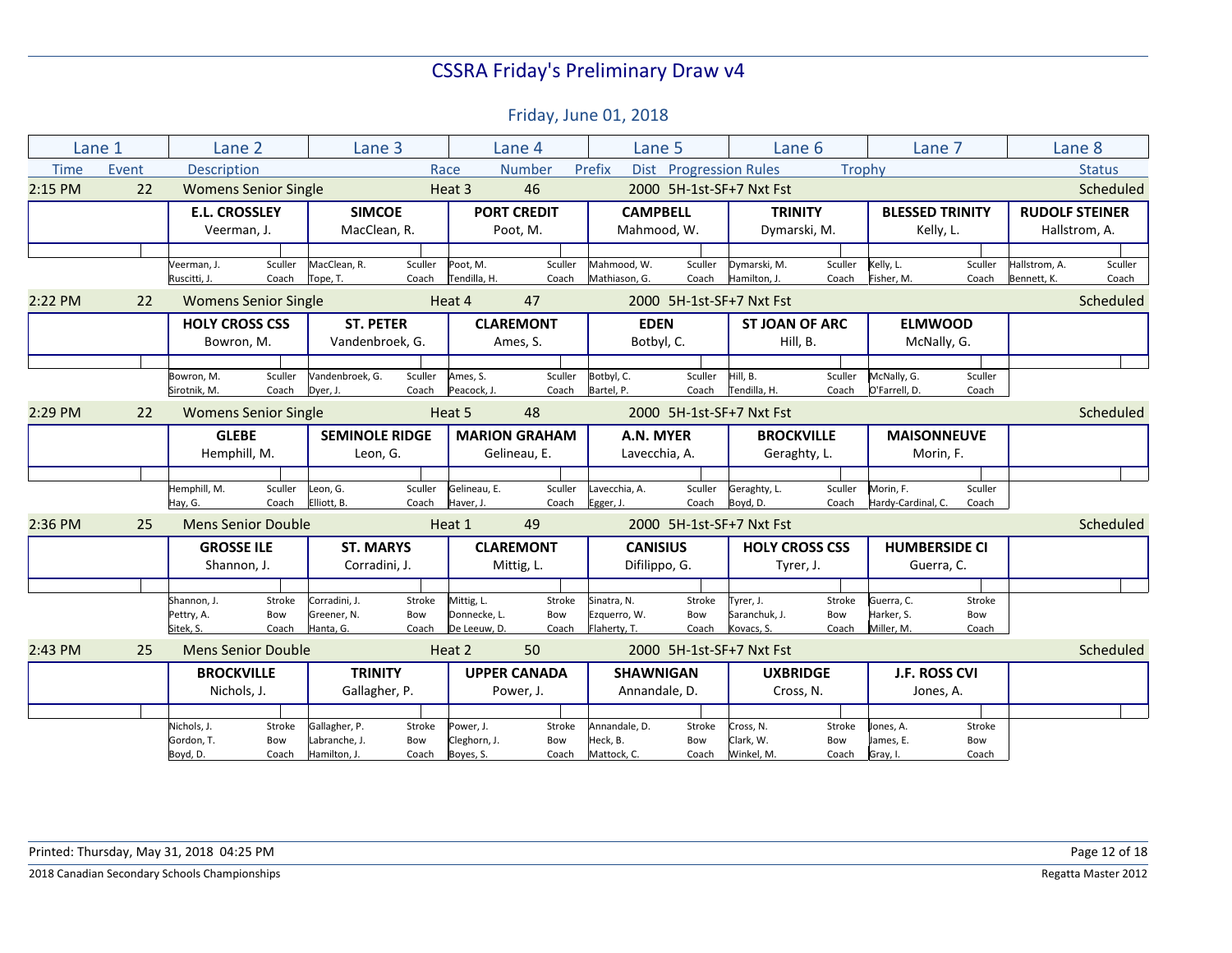|             | Lane 1 | Lane 2                              |                             | Lane 3                              |                  |                            | Lane 4                       | Lane 5                       |                        |                                   | Lane 6           | Lane 7                          |                  | Lane 8                       |                  |
|-------------|--------|-------------------------------------|-----------------------------|-------------------------------------|------------------|----------------------------|------------------------------|------------------------------|------------------------|-----------------------------------|------------------|---------------------------------|------------------|------------------------------|------------------|
| <b>Time</b> | Event  | <b>Description</b>                  |                             |                                     |                  | Race                       | Number                       | Prefix                       | Dist Progression Rules |                                   | Trophy           |                                 |                  |                              | <b>Status</b>    |
| 2:15 PM     | 22     |                                     | <b>Womens Senior Single</b> |                                     |                  | Heat 3                     | 46                           |                              |                        | 2000 5H-1st-SF+7 Nxt Fst          |                  |                                 |                  |                              | Scheduled        |
|             |        | <b>E.L. CROSSLEY</b>                |                             | <b>SIMCOE</b>                       |                  |                            | <b>PORT CREDIT</b>           | <b>CAMPBELL</b>              |                        | <b>TRINITY</b>                    |                  | <b>BLESSED TRINITY</b>          |                  | <b>RUDOLF STEINER</b>        |                  |
|             |        | Veerman, J.                         |                             | MacClean, R.                        |                  |                            | Poot, M.                     | Mahmood, W.                  |                        | Dymarski, M.                      |                  | Kelly, L.                       |                  |                              | Hallstrom, A.    |
|             |        |                                     |                             |                                     |                  |                            |                              |                              |                        |                                   |                  |                                 |                  |                              |                  |
|             |        | Veerman, J.<br>Ruscitti, J.         | Sculler<br>Coach            | MacClean, R.<br>Tope, T.            | Sculler<br>Coach | Poot, M.<br>Tendilla, H.   | Sculler<br>Coach             | Mahmood, W.<br>Mathiason, G. | Sculler<br>Coach       | Dymarski, M.<br>Hamilton, J.      | Sculler<br>Coach | Kelly, L.<br>Fisher, M.         | Sculler<br>Coach | Hallstrom, A.<br>Bennett, K. | Sculler<br>Coach |
| 2:22 PM     | 22     |                                     | <b>Womens Senior Single</b> |                                     |                  | Heat 4                     | 47                           |                              |                        | 2000 5H-1st-SF+7 Nxt Fst          |                  |                                 |                  |                              | Scheduled        |
|             |        | <b>HOLY CROSS CSS</b><br>Bowron, M. |                             | <b>ST. PETER</b><br>Vandenbroek, G. |                  |                            | <b>CLAREMONT</b><br>Ames, S. | <b>EDEN</b><br>Botbyl, C.    |                        | <b>ST JOAN OF ARC</b><br>Hill, B. |                  | <b>ELMWOOD</b><br>McNally, G.   |                  |                              |                  |
|             |        |                                     |                             |                                     |                  |                            |                              |                              |                        |                                   |                  |                                 |                  |                              |                  |
|             |        | Bowron, M.                          | Sculler                     | Vandenbroek, G.                     | Sculler          | Ames, S.                   | Sculler                      | Botbyl, C.                   | Sculler                | Hill, B.                          | Sculler          | McNally, G.                     | Sculler          |                              |                  |
|             |        | Sirotnik, M.                        | Coach                       | Dyer, J.                            | Coach            | Peacock. J.                | Coach                        | Bartel, P.                   | Coach                  | Tendilla, H.                      | Coach            | O'Farrell, D.                   | Coach            |                              |                  |
| 2:29 PM     | 22     |                                     | <b>Womens Senior Single</b> |                                     |                  | Heat 5                     | 48                           |                              |                        | 2000 5H-1st-SF+7 Nxt Fst          |                  |                                 |                  |                              | Scheduled        |
|             |        | <b>GLEBE</b>                        |                             | <b>SEMINOLE RIDGE</b>               |                  |                            | <b>MARION GRAHAM</b>         | A.N. MYER                    |                        | <b>BROCKVILLE</b>                 |                  | <b>MAISONNEUVE</b>              |                  |                              |                  |
|             |        | Hemphill, M.                        |                             | Leon, G.                            |                  |                            | Gelineau, E.                 | Lavecchia, A.                |                        | Geraghty, L.                      |                  | Morin, F.                       |                  |                              |                  |
|             |        |                                     |                             |                                     |                  |                            |                              |                              |                        |                                   |                  |                                 |                  |                              |                  |
|             |        | Hemphill, M.<br>Hay, G.             | Sculler<br>Coach            | Leon, G.<br>Elliott, B.             | Sculler<br>Coach | Gelineau, E.<br>Haver, J.  | Sculler<br>Coach             | Lavecchia, A.<br>Egger, J.   | Sculler<br>Coach       | Geraghty, L.<br>Boyd, D.          | Sculler<br>Coach | Morin, F.<br>Hardy-Cardinal, C. | Sculler<br>Coach |                              |                  |
| 2:36 PM     | 25     |                                     | <b>Mens Senior Double</b>   |                                     |                  | Heat 1                     | 49                           |                              |                        | 2000 5H-1st-SF+7 Nxt Fst          |                  |                                 |                  |                              | Scheduled        |
|             |        |                                     |                             |                                     |                  |                            |                              |                              |                        |                                   |                  |                                 |                  |                              |                  |
|             |        | <b>GROSSE ILE</b>                   |                             | <b>ST. MARYS</b>                    |                  |                            | <b>CLAREMONT</b>             | <b>CANISIUS</b>              |                        | <b>HOLY CROSS CSS</b>             |                  | <b>HUMBERSIDE CI</b>            |                  |                              |                  |
|             |        | Shannon, J.                         |                             | Corradini, J.                       |                  |                            | Mittig, L.                   | Difilippo, G.                |                        |                                   | Tyrer, J.        | Guerra, C.                      |                  |                              |                  |
|             |        |                                     |                             |                                     |                  |                            |                              |                              |                        |                                   |                  |                                 |                  |                              |                  |
|             |        | Shannon, J.<br>Pettry, A.           | Stroke<br>Bow               | Corradini, J.<br>Greener, N.        | Stroke<br>Bow    | Mittig, L.<br>Donnecke. L. | Stroke<br>Bow                | Sinatra, N.<br>Ezquerro, W.  | Stroke<br>Bow          | Tyrer, J.<br>Saranchuk, J.        | Stroke<br>Bow    | Guerra, C.<br>Harker, S.        | Stroke<br>Bow    |                              |                  |
|             |        | Sitek, S.                           | Coach                       | Hanta, G.                           | Coach            | De Leeuw, D.               | Coach                        | Flaherty, T.                 | Coach                  | Kovacs, S.                        | Coach            | Miller, M.                      | Coach            |                              |                  |
| $2:43$ PM   | 25     | <b>Mens Senior Double</b>           |                             |                                     |                  | Heat 2                     | 50                           |                              |                        | 2000 5H-1st-SF+7 Nxt Fst          |                  |                                 |                  |                              | Scheduled        |
|             |        | <b>BROCKVILLE</b>                   |                             | <b>TRINITY</b>                      |                  |                            | <b>UPPER CANADA</b>          | <b>SHAWNIGAN</b>             |                        | <b>UXBRIDGE</b>                   |                  | <b>J.F. ROSS CVI</b>            |                  |                              |                  |
|             |        | Nichols, J.                         |                             | Gallagher, P.                       |                  |                            | Power, J.                    | Annandale, D.                |                        | Cross, N.                         |                  | Jones, A.                       |                  |                              |                  |
|             |        |                                     |                             |                                     |                  |                            |                              |                              |                        |                                   |                  |                                 |                  |                              |                  |
|             |        | Nichols, J.                         | Stroke                      | Gallagher, P.                       | Stroke           | Power, J.                  | Stroke                       | Annandale, D.                | Stroke                 | Cross, N.                         | Stroke           | Jones, A.                       | Stroke           |                              |                  |
|             |        | Gordon, T.<br>Boyd, D.              | Bow<br>Coach                | Labranche, J.<br>Hamilton, J.       | Bow<br>Coach     | Cleghorn, J.<br>Boyes, S.  | Bow<br>Coach                 | Heck, B.<br>Mattock, C.      | Bow<br>Coach           | Clark, W.<br>Winkel, M.           | Bow<br>Coach     | James, E.<br>Gray, I            | Bow<br>Coach     |                              |                  |
|             |        |                                     |                             |                                     |                  |                            |                              |                              |                        |                                   |                  |                                 |                  |                              |                  |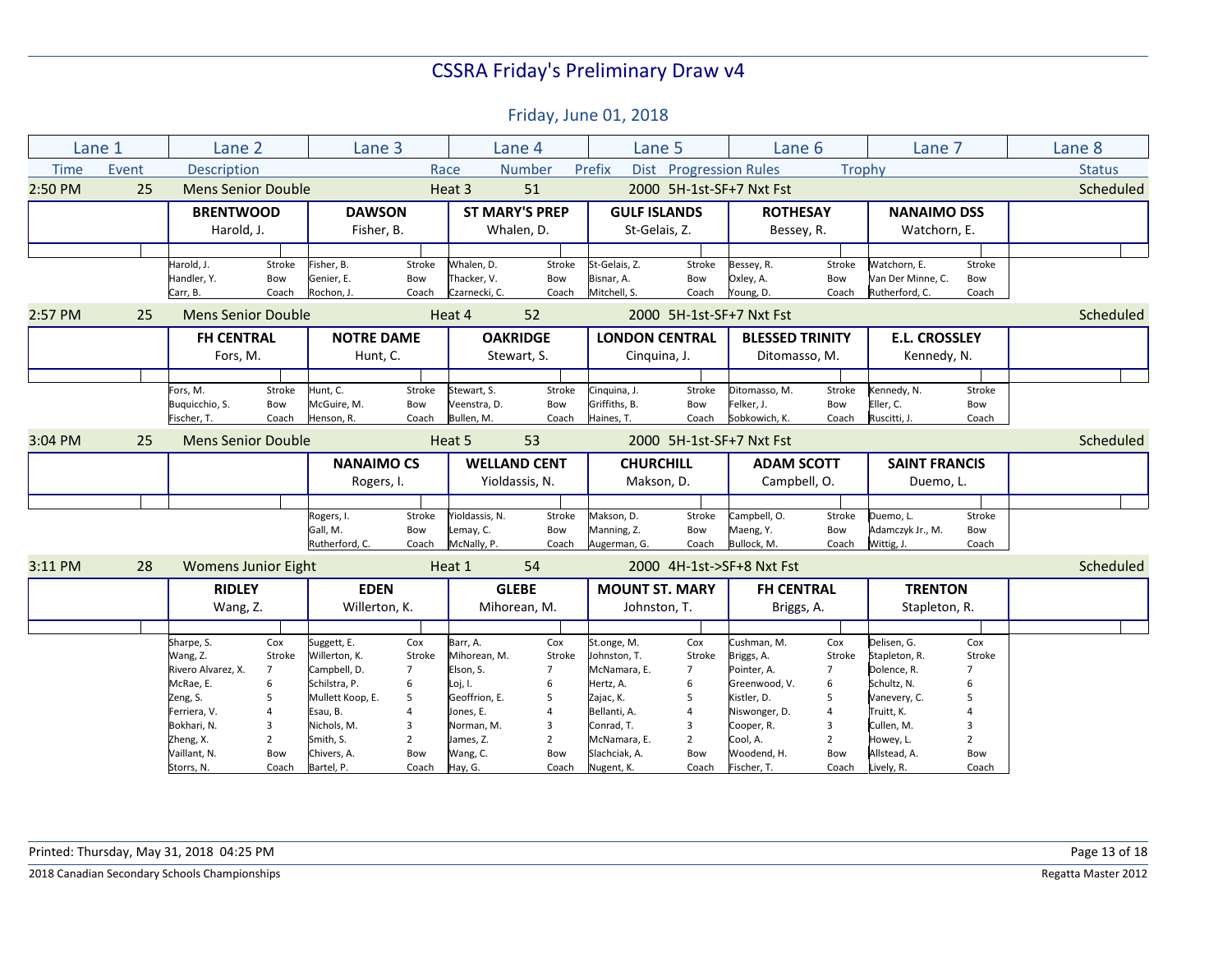|             | Lane 1 | Lane 2                     |                | Lane 3            |                |                | Lane 4                | Lane 5                |                          | Lane 6                    |                | Lane 7               |                | Lane 8        |
|-------------|--------|----------------------------|----------------|-------------------|----------------|----------------|-----------------------|-----------------------|--------------------------|---------------------------|----------------|----------------------|----------------|---------------|
| <b>Time</b> | Event  | Description                |                |                   |                | Race           | <b>Number</b>         | Prefix<br><b>Dist</b> | <b>Progression Rules</b> |                           | Trophy         |                      |                | <b>Status</b> |
| 2:50 PM     | 25     | <b>Mens Senior Double</b>  |                |                   |                | Heat 3         | 51                    |                       |                          | 2000 5H-1st-SF+7 Nxt Fst  |                |                      |                | Scheduled     |
|             |        | <b>BRENTWOOD</b>           |                | <b>DAWSON</b>     |                |                | <b>ST MARY'S PREP</b> | <b>GULF ISLANDS</b>   |                          | <b>ROTHESAY</b>           |                | <b>NANAIMO DSS</b>   |                |               |
|             |        | Harold, J.                 |                | Fisher, B.        |                |                | Whalen, D.            | St-Gelais, Z.         |                          | Bessey, R.                |                | Watchorn, E.         |                |               |
|             |        |                            |                |                   |                |                |                       |                       |                          |                           |                |                      |                |               |
|             |        | Harold, J.                 | Stroke         | Fisher, B.        | Stroke         | Whalen, D.     | Stroke                | St-Gelais, Z.         | Stroke                   | Bessey, R.                | Stroke         | Watchorn. E.         | Stroke         |               |
|             |        | Handler, Y.                | Bow            | Genier, E.        | Bow            | Thacker, V.    | Bow                   | Bisnar, A.            | Bow                      | Oxley, A.                 | Bow            | Van Der Minne, C.    | Bow            |               |
|             |        | Carr, B.                   | Coach          | Rochon, J.        | Coach          | Czarnecki, C.  | Coach                 | Mitchell, S.          | Coach                    | Young, D.                 | Coach          | Rutherford, C.       | Coach          |               |
| 2:57 PM     | 25     | <b>Mens Senior Double</b>  |                |                   |                | Heat 4         | 52                    |                       |                          | 2000 5H-1st-SF+7 Nxt Fst  |                |                      |                | Scheduled     |
|             |        | <b>FH CENTRAL</b>          |                | <b>NOTRE DAME</b> |                |                | <b>OAKRIDGE</b>       | <b>LONDON CENTRAL</b> |                          | <b>BLESSED TRINITY</b>    |                | <b>E.L. CROSSLEY</b> |                |               |
|             |        | Fors, M.                   |                | Hunt, C.          |                |                | Stewart, S.           | Cinquina, J.          |                          | Ditomasso, M.             |                | Kennedy, N.          |                |               |
|             |        |                            |                |                   |                |                |                       |                       |                          |                           |                |                      |                |               |
|             |        | Fors, M.                   | Stroke         | Hunt, C.          | Stroke         | Stewart, S.    | Stroke                | Cinguina, J.          | Stroke                   | Ditomasso, M.             | Stroke         | Kennedy, N.          | Stroke         |               |
|             |        | Buquicchio, S.             | Bow            | McGuire, M.       | Bow            | Veenstra, D.   | Bow                   | Griffiths, B.         | Bow                      | Felker, J.                | Bow            | Eller, C.            | Bow            |               |
|             |        | Fischer, T.                | Coach          | Henson, R.        | Coach          | Bullen. M.     | Coach                 | Haines, T.            | Coach                    | Sobkowich. K.             | Coach          | Ruscitti, J.         | Coach          |               |
| 3:04 PM     | 25     | <b>Mens Senior Double</b>  |                |                   |                | Heat 5         | 53                    |                       |                          | 2000 5H-1st-SF+7 Nxt Fst  |                |                      |                | Scheduled     |
|             |        |                            |                | <b>NANAIMO CS</b> |                |                | <b>WELLAND CENT</b>   | <b>CHURCHILL</b>      |                          | <b>ADAM SCOTT</b>         |                | <b>SAINT FRANCIS</b> |                |               |
|             |        |                            |                | Rogers, I.        |                |                | Yioldassis, N.        | Makson, D.            |                          | Campbell, O.              |                | Duemo, L.            |                |               |
|             |        |                            |                |                   |                |                |                       |                       |                          |                           |                |                      |                |               |
|             |        |                            |                | Rogers, I.        | Stroke         | Yioldassis, N. | Stroke                | Makson, D.            | Stroke                   | Campbell, O.              | Stroke         | Duemo, L.            | Stroke         |               |
|             |        |                            |                | Gall. M.          | Bow            | Lemay, C.      | Bow                   | Manning, Z.           | Bow                      | Maeng, Y.                 | Bow            | Adamczyk Jr., M.     | Bow            |               |
|             |        |                            |                | Rutherford, C.    | Coach          | McNally, P.    | Coach                 | Augerman, G.          | Coach                    | Bullock, M.               | Coach          | Wittig, J.           | Coach          |               |
| 3:11 PM     | 28     | <b>Womens Junior Eight</b> |                |                   |                | Heat 1         | 54                    |                       |                          | 2000 4H-1st->SF+8 Nxt Fst |                |                      |                | Scheduled     |
|             |        | <b>RIDLEY</b>              |                | <b>EDEN</b>       |                |                | <b>GLEBE</b>          | <b>MOUNT ST. MARY</b> |                          | <b>FH CENTRAL</b>         |                | <b>TRENTON</b>       |                |               |
|             |        | Wang, Z.                   |                | Willerton, K.     |                |                | Mihorean, M.          | Johnston, T.          |                          | Briggs, A.                |                | Stapleton, R.        |                |               |
|             |        |                            |                |                   |                |                |                       |                       |                          |                           |                |                      |                |               |
|             |        | Sharpe, S.                 | Cox            | Suggett, E.       | Cox            | Barr, A.       | Cox                   | St.onge, M.           | Cox                      | Cushman, M.               | Cox            | Delisen, G.          | Cox            |               |
|             |        | Wang, Z.                   | Stroke         | Willerton, K.     | Stroke         | Mihorean, M.   | Stroke                | Johnston, T.          | Stroke                   | Briggs, A.                | Stroke         | Stapleton, R.        | Stroke         |               |
|             |        | Rivero Alvarez, X.         | $\overline{7}$ | Campbell, D.      | $\overline{7}$ | Elson, S.      | $\overline{7}$        | McNamara, E.          | $\overline{7}$           | Pointer, A.               | $\overline{7}$ | Dolence, R.          | $\overline{7}$ |               |
|             |        | McRae, E.                  | 6              | Schilstra, P.     | 6              | Loj, I.        | 6                     | Hertz, A.             | 6                        | Greenwood, V.             | 6              | Schultz, N.          | 6              |               |
|             |        | Zeng, S.                   | 5              | Mullett Koop, E.  | 5              | Geoffrion, E.  | 5                     | Zajac, K.             | 5                        | Kistler, D.               | 5              | Vanevery, C.         | 5              |               |
|             |        | Ferriera, V.               | $\overline{4}$ | Esau, B.          |                | Jones, E.      | $\overline{4}$        | Bellanti, A.          | $\overline{a}$           | Niswonger, D.             | $\overline{4}$ | Truitt, K.           |                |               |
|             |        | Bokhari, N.                | 3              | Nichols, M.       | 3              | Norman, M.     | 3                     | Conrad, T.            | 3                        | Cooper, R.                | 3              | Cullen, M.           | 3              |               |
|             |        | Zheng, X.                  | $\overline{2}$ | Smith. S.         | $\overline{2}$ | James, Z.      | $\overline{2}$        | McNamara, E.          | $\overline{2}$           | Cool, A.                  | $\overline{2}$ | Howey, L.            | $\overline{2}$ |               |
|             |        | Vaillant, N.               | Bow            | Chivers, A.       | Bow            | Wang, C.       | Bow                   | Slachciak, A.         | Bow                      | Woodend, H.               | Bow            | Allstead, A.         | Bow            |               |
|             |        | Storrs, N.                 | Coach          | Bartel, P.        | Coach          | Hay, G.        | Coach                 | Nugent, K.            | Coach                    | Fischer, T.               | Coach          | Lively, R.           | Coach          |               |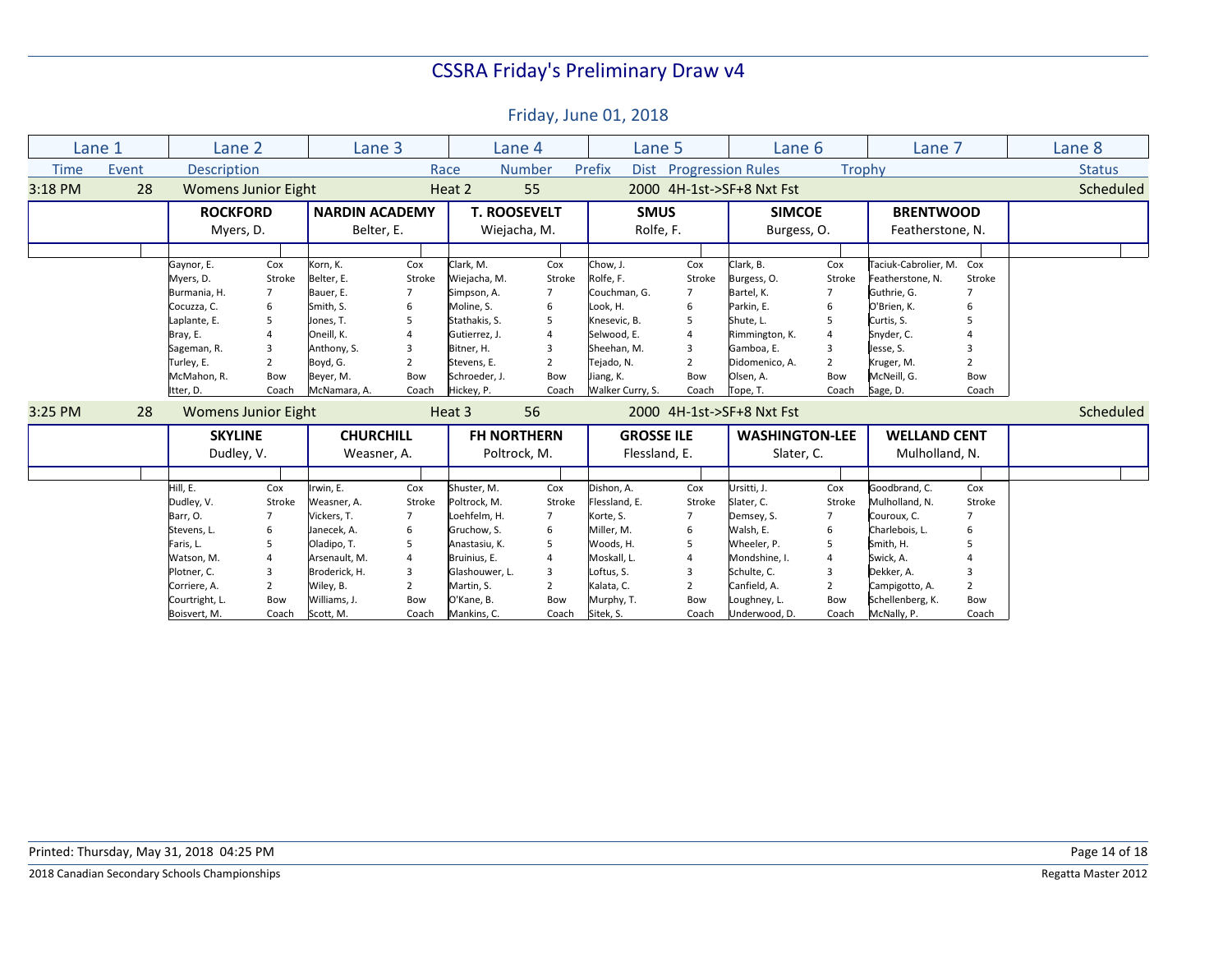|             | Lane 1                       | Lane 2                     |                                     | Lane 3           |                |                                                              | Lane 4                    | Lane 5                   |                | Lane 6                       |                | Lane 7                               |                | Lane 8        |
|-------------|------------------------------|----------------------------|-------------------------------------|------------------|----------------|--------------------------------------------------------------|---------------------------|--------------------------|----------------|------------------------------|----------------|--------------------------------------|----------------|---------------|
| <b>Time</b> | Event                        | <b>Description</b>         |                                     |                  |                | Dist Progression Rules<br>Number<br>Prefix<br>Trophy<br>Race |                           |                          |                |                              |                |                                      |                | <b>Status</b> |
| 3:18 PM     | 28                           | <b>Womens Junior Eight</b> |                                     |                  | Heat 2         | 55                                                           | 2000 4H-1st->SF+8 Nxt Fst |                          |                |                              |                |                                      | Scheduled      |               |
|             | <b>ROCKFORD</b><br>Myers, D. |                            | <b>NARDIN ACADEMY</b><br>Belter, E. |                  |                | <b>T. ROOSEVELT</b><br>Wiejacha, M.                          |                           | <b>SMUS</b><br>Rolfe, F. |                | <b>SIMCOE</b><br>Burgess, O. |                | <b>BRENTWOOD</b><br>Featherstone, N. |                |               |
|             |                              |                            |                                     |                  |                |                                                              |                           |                          |                |                              |                |                                      |                |               |
|             |                              |                            |                                     |                  |                |                                                              |                           |                          |                |                              |                |                                      |                |               |
|             |                              | Gaynor, E.                 | Cox                                 | Korn, K.         | Cox            | Clark, M.                                                    | Cox                       | Chow, J.                 | Cox            | Clark, B.                    | Cox            | Taciuk-Cabrolier, M. Cox             |                |               |
|             |                              | Myers, D.                  | Stroke                              | Belter, E.       | Stroke         | Wiejacha, M.                                                 | Stroke                    | Rolfe, F.                | Stroke         | Burgess, O.                  | Stroke         | Featherstone, N.                     | Stroke         |               |
|             |                              | Burmania, H.               |                                     | Bauer, E.        |                | Simpson, A.                                                  |                           | Couchman, G.             |                | Bartel, K.                   |                | Guthrie, G.                          | $\overline{7}$ |               |
|             |                              | Cocuzza, C.                |                                     | Smith, S.        | 6              | Moline, S.                                                   | 6                         | ook, H.                  | 6              | Parkin, E.                   | 6              | O'Brien, K.                          | 6              |               |
|             |                              | Laplante, E.               |                                     | Jones, T.        | 5              | Stathakis, S.                                                | 5                         | Knesevic, B.             | 5              | Shute, L.                    | 5              | Curtis, S.                           |                |               |
|             |                              | Bray, E.                   |                                     | Oneill. K.       | 4              | Gutierrez, J.                                                | $\overline{4}$            | Selwood. E.              | $\overline{a}$ | Rimmington, K.               |                | Snyder, C.                           |                |               |
|             |                              | Sageman, R.                | $\overline{3}$                      | Anthony, S.      | 3              | Bitner. H.                                                   | 3                         | Sheehan. M.              | 3              | Gamboa. E.                   | 3              | Jesse, S.                            |                |               |
|             |                              | Turley, E.                 | $\overline{2}$                      | Boyd, G.         | $\overline{2}$ | Stevens. E.                                                  | $\overline{2}$            | Tejado, N.               | $\overline{2}$ | Didomenico, A.               | $\overline{2}$ | Kruger, M.                           | $\overline{2}$ |               |
|             |                              | McMahon, R.                | Bow                                 | Beyer, M.        | Bow            | Schroeder, J.                                                | Bow                       | iang, K.                 | Bow            | Olsen, A.                    | Bow            | McNeill, G.                          | Bow            |               |
|             |                              | Itter, D.                  | Coach                               | McNamara, A.     | Coach          | Hickey, P.                                                   | Coach                     | Walker Curry, S.         | Coach          | Tope, T.                     | Coach          | Sage, D.                             | Coach          |               |
| 3:25 PM     | 28                           | <b>Womens Junior Eight</b> |                                     |                  |                | Heat 3                                                       | 56                        |                          |                | 2000 4H-1st->SF+8 Nxt Fst    |                |                                      |                | Scheduled     |
|             |                              | <b>SKYLINE</b>             |                                     | <b>CHURCHILL</b> |                | <b>FH NORTHERN</b>                                           |                           | <b>GROSSE ILE</b>        |                | <b>WASHINGTON-LEE</b>        |                | <b>WELLAND CENT</b>                  |                |               |
|             |                              |                            |                                     |                  |                |                                                              |                           |                          |                |                              |                | Mulholland, N.                       |                |               |
|             |                              | Dudley, V.                 |                                     | Weasner, A.      |                |                                                              | Poltrock, M.              |                          | Flessland, E.  |                              | Slater, C.     |                                      |                |               |
|             |                              |                            |                                     |                  |                |                                                              |                           |                          |                |                              |                |                                      |                |               |
|             |                              | Hill, E.                   | Cox                                 | Irwin. E.        | Cox            | Shuster. M.                                                  | Cox                       | Dishon, A.               | Cox            | Ursitti, J.                  | Cox            | Goodbrand, C.                        | Cox            |               |
|             |                              | Dudley, V.                 | Stroke                              | Weasner, A.      | Stroke         | Poltrock, M.                                                 | Stroke                    | lessland, E.             | Stroke         | Slater, C.                   | Stroke         | Mulholland, N.                       | Stroke         |               |
|             |                              | Barr, O.                   |                                     | Vickers, T.      |                | Loehfelm, H.                                                 | $\overline{7}$            | Korte, S.                |                | Demsey, S.                   |                | Couroux, C.                          |                |               |
|             |                              | Stevens, L.                | 6                                   | Janecek, A.      | 6              | Gruchow, S.                                                  | 6                         | Miller, M.               | 6              | Walsh, E.                    | 6              | Charlebois, L.                       | 6              |               |
|             |                              | Faris, L.                  |                                     | Oladipo, T.      | 5              | Anastasiu, K.                                                | 5                         | Woods, H.                | 5              | Wheeler, P.                  | 5              | Smith, H.                            |                |               |
|             |                              | Watson, M.                 |                                     | Arsenault, M.    | $\overline{A}$ | Bruinius, E.                                                 | $\overline{a}$            | Moskall, L               | $\overline{a}$ | Mondshine, I.                |                | Swick, A.                            |                |               |
|             |                              | Plotner, C.                | 3                                   | Broderick, H.    | $\overline{3}$ | Glashouwer, L.                                               | 3                         | oftus, S.                | 3              | Schulte, C.                  | $\mathbf{a}$   | Dekker, A.                           |                |               |
|             |                              | Corriere, A.               | $\overline{2}$                      | Wiley, B.        | $\mathcal{P}$  | Martin, S.                                                   | $\overline{2}$            | Kalata, C.               | $\overline{2}$ | Canfield. A.                 | $\mathcal{P}$  | Campigotto, A.                       | $\overline{2}$ |               |
|             |                              | Courtright, L              | Bow                                 | Williams, J.     | Bow            | O'Kane, B.                                                   | Bow                       | Murphy, T.               | Bow            | Loughney, L.                 | Bow            | Schellenberg, K.                     | Bow            |               |
|             |                              | Boisvert, M.               | Coach                               | Scott, M.        | Coach          | Mankins, C.                                                  | Coach                     | Sitek, S.                | Coach          | Underwood, D.                | Coach          | McNally, P.                          | Coach          |               |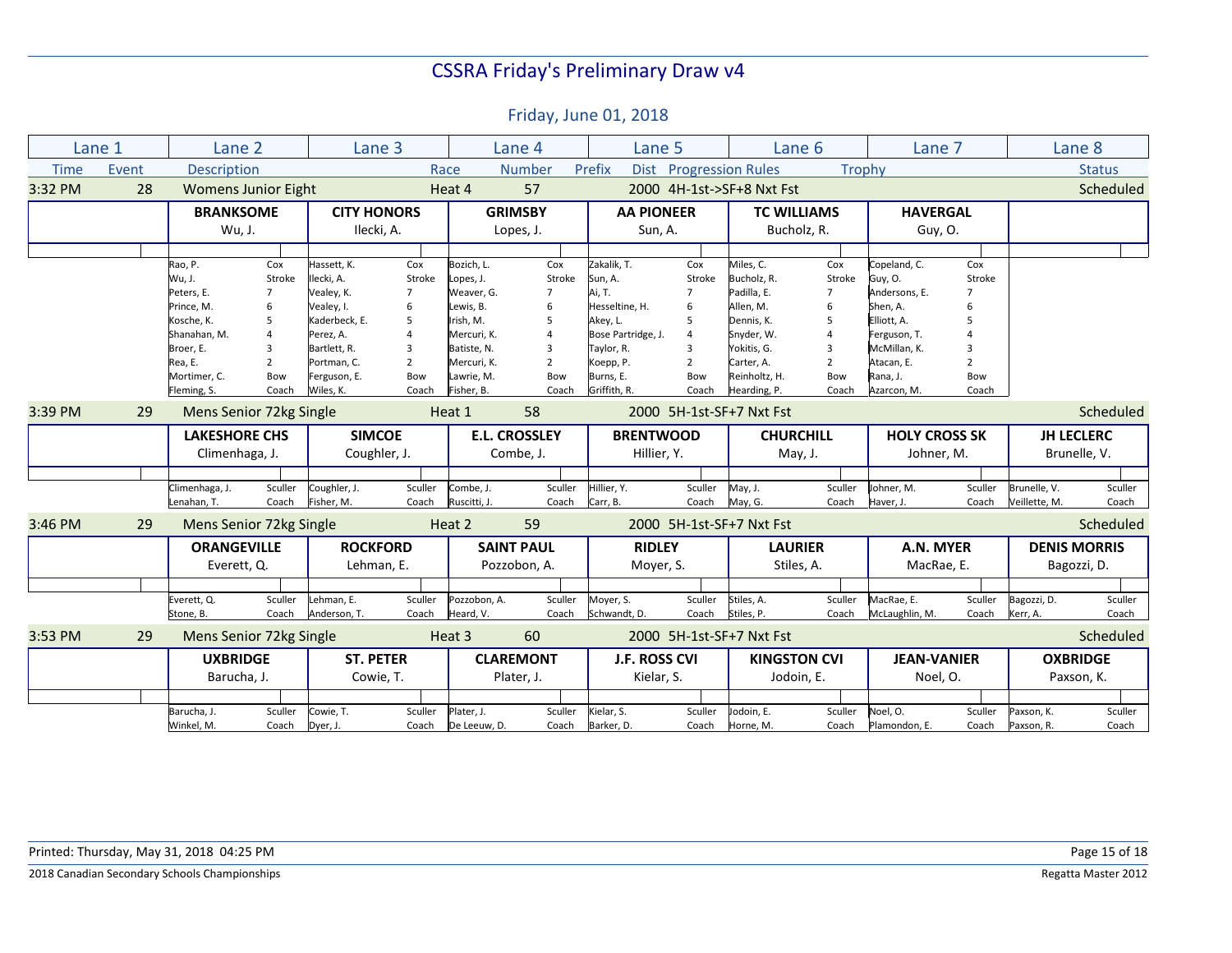|             | Lane 1 | Lane 2                     |                                       | Lane <sub>3</sub>  |                |                      | Lane 4            | Lane 5               |                        | Lane 6                    |                | Lane 7               |                | Lane 8              |               |
|-------------|--------|----------------------------|---------------------------------------|--------------------|----------------|----------------------|-------------------|----------------------|------------------------|---------------------------|----------------|----------------------|----------------|---------------------|---------------|
| <b>Time</b> | Event  | Description                |                                       |                    | Race           |                      | <b>Number</b>     | Prefix               | Dist Progression Rules |                           | Trophy         |                      |                |                     | <b>Status</b> |
| 3:32 PM     | 28     | <b>Womens Junior Eight</b> |                                       |                    |                | Heat 4               | 57                |                      |                        | 2000 4H-1st->SF+8 Nxt Fst |                |                      |                |                     | Scheduled     |
|             |        | <b>BRANKSOME</b>           |                                       | <b>CITY HONORS</b> |                |                      | <b>GRIMSBY</b>    | <b>AA PIONEER</b>    |                        | <b>TC WILLIAMS</b>        |                | <b>HAVERGAL</b>      |                |                     |               |
|             |        | Wu, J.                     |                                       | Ilecki, A.         |                |                      | Lopes, J.         | Sun, A.              |                        | Bucholz, R.               |                | Guy, O.              |                |                     |               |
|             |        |                            |                                       |                    |                |                      |                   |                      |                        |                           |                |                      |                |                     |               |
|             |        | Rao, P.                    | Cox                                   | Hassett, K.        | Cox            | Bozich, L.           | Cox               | Zakalik. T.          | Cox                    | Miles, C.                 | Cox            | Copeland, C.         | Cox            |                     |               |
|             |        | Wu, J.                     | Stroke                                | Ilecki, A.         | Stroke         | Lopes, J.            | Stroke            | Sun, A.              | Stroke                 | Bucholz, R.               | Stroke         | Guy, O.              | Stroke         |                     |               |
|             |        | Peters, E.                 |                                       | Vealey, K.         | $\overline{7}$ | Weaver, G.           |                   | Ai, T.               |                        | Padilla, E.               | $\overline{7}$ | Andersons. E.        |                |                     |               |
|             |        | Prince, M.                 | 6                                     | Vealey, I.         | 6              | Lewis, B.            | 6                 | Hesseltine, H.       | 6                      | Allen, M.                 | 6              | Shen, A.             |                |                     |               |
|             |        | Kosche, K.                 | 5                                     | Kaderbeck, E.      | 5              | Irish, M.            | 5                 | Akey, L.             | 5                      | Dennis, K.                | 5              | Elliott, A.          | 5              |                     |               |
|             |        | Shanahan, M.               | $\overline{4}$                        | Perez, A.          | $\Delta$       | Mercuri, K.          | 4                 | Bose Partridge, J.   | $\overline{4}$         | Snyder, W.                | $\overline{A}$ | Ferguson, T.         |                |                     |               |
|             |        | Broer, E.                  | $\overline{3}$                        | Bartlett, R.       | 3              | Batiste, N.          | 3                 | Taylor, R.           | 3                      | Yokitis, G.               | 3              | McMillan, K.         | 3              |                     |               |
|             |        | Rea, E.                    | $\overline{2}$                        | Portman. C.        | $\overline{2}$ | Mercuri, K.          | $\overline{2}$    | Koepp, P.            | $\overline{2}$         | Carter, A.                | $\overline{2}$ | Atacan, E.           | $\overline{2}$ |                     |               |
|             |        | Mortimer. C.               | Bow                                   | Ferguson, E.       | Bow            | Lawrie, M.           | Bow               | Burns, E.            | Bow                    | Reinholtz, H.             | Bow            | Rana, J.             | Bow            |                     |               |
|             |        | Fleming, S.                | Coach                                 | Wiles, K.          | Coach          | Fisher, B.           | Coach             | Griffith, R.         | Coach                  | Hearding, P.              | Coach          | Azarcon, M.          | Coach          |                     |               |
| 3:39 PM     | 29     | Mens Senior 72kg Single    |                                       |                    |                | Heat 1               | 58                |                      |                        | 2000 5H-1st-SF+7 Nxt Fst  |                |                      |                |                     | Scheduled     |
|             |        |                            | <b>SIMCOE</b><br><b>LAKESHORE CHS</b> |                    |                | <b>E.L. CROSSLEY</b> |                   | <b>BRENTWOOD</b>     |                        | <b>CHURCHILL</b>          |                | <b>HOLY CROSS SK</b> |                | <b>JH LECLERC</b>   |               |
|             |        | Climenhaga, J.             |                                       | Coughler, J.       |                | Combe, J.            |                   | Hillier, Y.          |                        | May, J.                   |                | Johner, M.           |                | Brunelle, V.        |               |
|             |        |                            |                                       |                    |                |                      |                   |                      |                        |                           |                |                      |                |                     |               |
|             |        | Climenhaga, J.             | Sculler                               | Coughler, J.       | Sculler        | Combe, J.            | Sculler           | Hillier, Y.          | Sculler                | May, J.                   | Sculler        | Johner, M.           | Sculler        | Brunelle, V.        | Sculler       |
|             |        | Lenahan, T.                | Coach                                 | Fisher, M.         | Coach          | Ruscitti, J.         | Coach             | Carr, B.             | Coach                  | May, G.                   | Coach          | Haver, J.            | Coach          | Veillette, M.       | Coach         |
| 3:46 PM     | 29     | Mens Senior 72kg Single    |                                       |                    |                | Heat 2               | 59                |                      |                        | 2000 5H-1st-SF+7 Nxt Fst  |                |                      |                |                     | Scheduled     |
|             |        | <b>ORANGEVILLE</b>         |                                       | <b>ROCKFORD</b>    |                |                      | <b>SAINT PAUL</b> | <b>RIDLEY</b>        |                        | <b>LAURIER</b>            |                | A.N. MYER            |                | <b>DENIS MORRIS</b> |               |
|             |        | Everett, Q.                |                                       | Lehman, E.         |                |                      | Pozzobon, A.      | Moyer, S.            |                        | Stiles, A.                |                | MacRae, E.           |                | Bagozzi, D.         |               |
|             |        |                            |                                       |                    |                |                      |                   |                      |                        |                           |                |                      |                |                     |               |
|             |        |                            |                                       |                    |                |                      |                   |                      |                        |                           |                |                      |                |                     |               |
|             |        | Everett, Q.                | Sculler                               | Lehman, E.         | Sculler        | Pozzobon, A.         | Sculler           | Moyer, S.            | Sculler                | Stiles, A.                | Sculler        | MacRae, E.           | Sculler        | Bagozzi, D.         | Sculler       |
|             |        | Stone, B.                  | Coach                                 | Anderson, T.       | Coach          | Heard, V.            | Coach             | Schwandt, D.         | Coach                  | Stiles, P.                | Coach          | McLaughlin, M.       | Coach          | Kerr, A.            | Coach         |
| 3:53 PM     | 29     | Mens Senior 72kg Single    |                                       |                    |                | Heat 3               | 60                |                      |                        | 2000 5H-1st-SF+7 Nxt Fst  |                |                      |                |                     | Scheduled     |
|             |        | <b>UXBRIDGE</b>            |                                       | <b>ST. PETER</b>   |                |                      | <b>CLAREMONT</b>  | <b>J.F. ROSS CVI</b> |                        | <b>KINGSTON CVI</b>       |                | <b>JEAN-VANIER</b>   |                | <b>OXBRIDGE</b>     |               |
|             |        | Barucha, J.                |                                       | Cowie, T.          |                |                      | Plater, J.        | Kielar, S.           |                        | Jodoin, E.                |                | Noel, O.             |                | Paxson, K.          |               |
|             |        |                            |                                       |                    |                |                      |                   |                      |                        |                           |                |                      |                |                     |               |
|             |        | Barucha, J.                | Sculler                               | Cowie, T.          | Sculler        | Plater, J.           | Sculler           | Kielar, S.           | Sculler                | Iodoin, E.                | Sculler        | Noel, O.             | Sculler        | Paxson, K.          | Sculler       |
|             |        | Winkel, M.                 | Coach                                 | Dyer, J.           | Coach          | De Leeuw, D.         | Coach             | Barker, D.           | Coach                  | Horne, M.                 | Coach          | Plamondon, E.        | Coach          | Paxson, R.          | Coach         |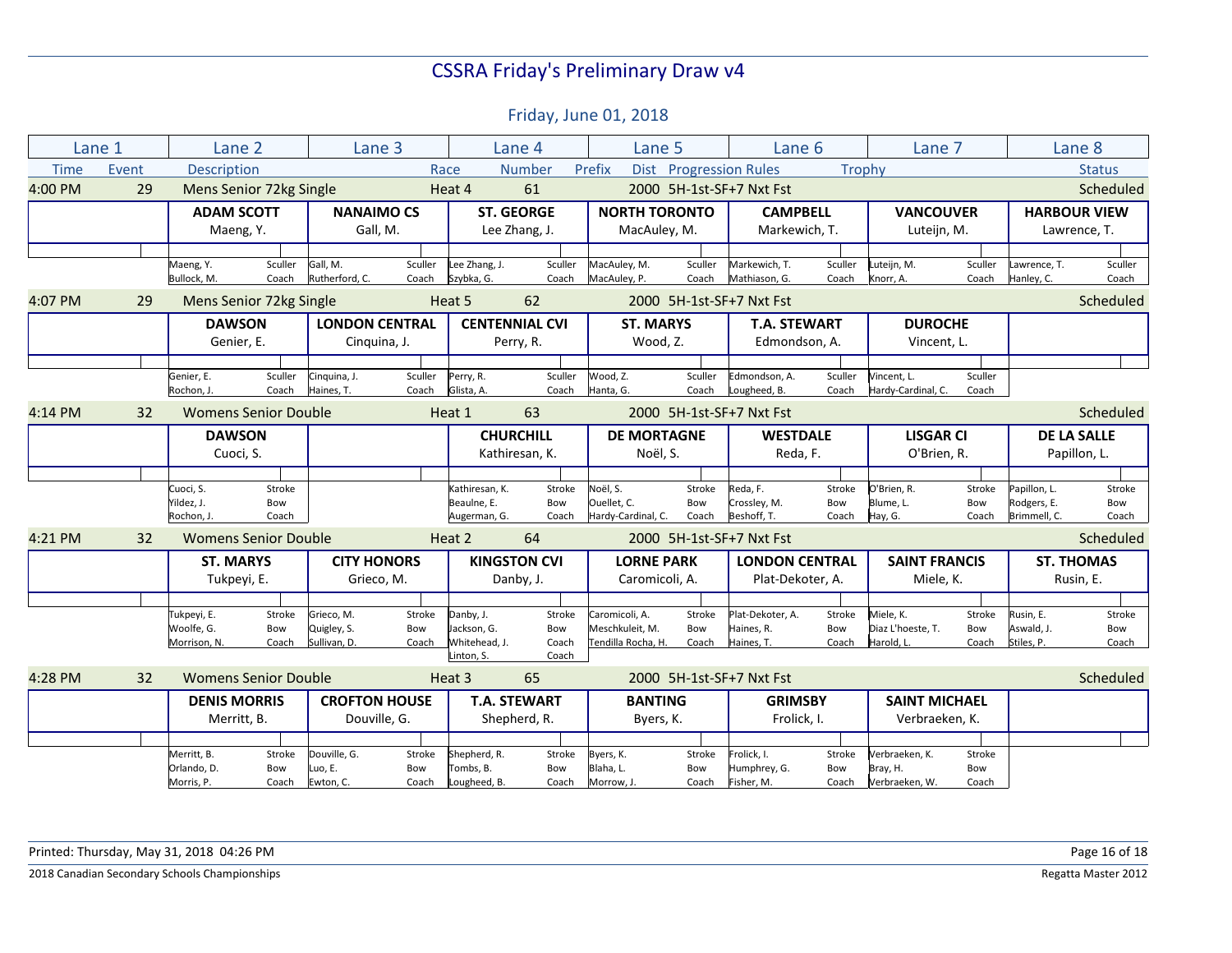|             | Lane 1                            | Lane 2                                 |                  |                            | Lane 3                |                             | Lane 4               | Lane 5                            |                        | Lane 6                         |                  | Lane 7                         |                     |                            | Lane 8           |
|-------------|-----------------------------------|----------------------------------------|------------------|----------------------------|-----------------------|-----------------------------|----------------------|-----------------------------------|------------------------|--------------------------------|------------------|--------------------------------|---------------------|----------------------------|------------------|
| <b>Time</b> | Event                             | <b>Description</b>                     |                  |                            | Race                  |                             | <b>Number</b>        | Prefix                            | Dist Progression Rules |                                | <b>Trophy</b>    |                                |                     |                            | <b>Status</b>    |
| 4:00 PM     | 29                                | Mens Senior 72kg Single                |                  |                            |                       | Heat 4                      | 61                   |                                   |                        | 2000 5H-1st-SF+7 Nxt Fst       |                  |                                |                     |                            | Scheduled        |
|             |                                   | <b>NANAIMO CS</b><br><b>ADAM SCOTT</b> |                  |                            |                       | <b>ST. GEORGE</b>           | <b>NORTH TORONTO</b> |                                   | <b>CAMPBELL</b>        |                                | <b>VANCOUVER</b> |                                | <b>HARBOUR VIEW</b> |                            |                  |
|             |                                   | Maeng, Y.                              |                  |                            | Gall, M.              |                             | Lee Zhang, J.        | MacAuley, M.                      |                        | Markewich, T.                  |                  | Luteijn, M.                    |                     |                            | Lawrence, T.     |
|             |                                   |                                        |                  |                            |                       |                             |                      |                                   |                        |                                |                  |                                |                     |                            |                  |
|             |                                   | Maeng, Y.<br>Bullock, M.               | Sculler<br>Coach | Gall, M.<br>Rutherford, C. | Sculler<br>Coach      | Lee Zhang, J.<br>Szybka, G. | Sculler<br>Coach     | MacAuley, M.<br>MacAuley, P.      | Sculler<br>Coach       | Markewich, T.<br>Mathiason, G. | Sculler<br>Coach | Luteijn, M.<br>Knorr, A.       | Sculler<br>Coach    | Lawrence, T.<br>Hanley, C. | Sculler<br>Coach |
| 4:07 PM     | 29                                | Mens Senior 72kg Single                |                  |                            |                       | Heat 5                      | 62                   |                                   |                        | 2000 5H-1st-SF+7 Nxt Fst       |                  |                                |                     |                            | Scheduled        |
|             |                                   | <b>DAWSON</b>                          |                  |                            | <b>LONDON CENTRAL</b> | <b>CENTENNIAL CVI</b>       |                      | <b>ST. MARYS</b>                  |                        | <b>T.A. STEWART</b>            |                  | <b>DUROCHE</b>                 |                     |                            |                  |
|             |                                   | Genier, E.                             |                  |                            | Cinquina, J.          |                             | Perry, R.            | Wood, Z.                          |                        | Edmondson, A.                  |                  | Vincent, L.                    |                     |                            |                  |
|             |                                   |                                        |                  |                            |                       |                             |                      |                                   |                        |                                |                  |                                |                     |                            |                  |
|             |                                   | Genier, E.                             | Sculler          | Cinquina, J.               | Sculler               | Perry, R.                   | Sculler              | Wood, Z.                          | Sculler                | Edmondson, A.                  | Sculler          | Vincent, L.                    | Sculler             |                            |                  |
|             |                                   | Rochon, J                              | Coach            | Haines, T.                 | Coach                 | Glista, A.                  | Coach                | Hanta, G.                         | Coach                  | Lougheed, B.                   | Coach            | Hardy-Cardinal, C.             | Coach               |                            |                  |
| 4:14 PM     | <b>Womens Senior Double</b><br>32 |                                        |                  | Heat 1                     | 63                    |                             |                      | 2000 5H-1st-SF+7 Nxt Fst          |                        |                                |                  |                                | Scheduled           |                            |                  |
|             |                                   | <b>DAWSON</b>                          |                  |                            |                       | <b>CHURCHILL</b>            |                      | <b>DE MORTAGNE</b>                |                        | <b>WESTDALE</b>                |                  | <b>LISGAR CI</b>               |                     | <b>DE LA SALLE</b>         |                  |
|             |                                   | Cuoci, S.                              |                  |                            |                       | Kathiresan, K.              |                      | Noël, S.                          |                        | Reda, F.                       |                  | O'Brien, R.                    |                     | Papillon, L.               |                  |
|             |                                   | Cuoci, S.                              | Stroke           |                            |                       | Kathiresan. K.              | Stroke               | Noël, S.                          | Stroke                 | Reda, F.                       | Stroke           | O'Brien. R.                    | Stroke              | Papillon, L.               | Stroke           |
|             |                                   | Yildez, J.                             | Bow              |                            |                       | Beaulne, E.                 | Bow                  | Ouellet, C.                       | Bow                    | Crossley, M.                   | Bow              | Blume, L.                      | Bow                 | Rodgers, E.                | Bow              |
|             |                                   | Rochon, J.                             | Coach            |                            |                       | Augerman, G.                | Coach                | Hardy-Cardinal, C.                | Coach                  | Beshoff, T.                    | Coach            | Hay, G.                        | Coach               | Brimmell, C.               | Coach            |
| 4:21 PM     | 32                                | <b>Womens Senior Double</b>            |                  |                            |                       | Heat 2                      | 64                   |                                   |                        | 2000 5H-1st-SF+7 Nxt Fst       |                  |                                |                     |                            | Scheduled        |
|             |                                   | <b>ST. MARYS</b>                       |                  |                            | <b>CITY HONORS</b>    | <b>KINGSTON CVI</b>         |                      | <b>LORNE PARK</b>                 |                        | <b>LONDON CENTRAL</b>          |                  | <b>SAINT FRANCIS</b>           |                     | <b>ST. THOMAS</b>          |                  |
|             |                                   | Tukpeyi, E.                            |                  |                            | Grieco, M.            |                             | Danby, J.            | Caromicoli, A.                    |                        | Plat-Dekoter, A.               |                  | Miele, K.                      |                     | Rusin, E.                  |                  |
|             |                                   |                                        |                  |                            |                       |                             |                      |                                   |                        |                                |                  |                                |                     |                            |                  |
|             |                                   | Tukpeyi, E.<br>Woolfe, G.              | Stroke<br>Bow    | Grieco, M.<br>Quigley, S.  | Stroke<br>Bow         | Danby, J.<br>Jackson, G.    | Stroke<br>Bow        | Caromicoli, A.<br>Meschkuleit, M. | Stroke<br>Bow          | Plat-Dekoter, A.<br>Haines, R. | Stroke<br>Bow    | Miele. K.<br>Diaz L'hoeste, T. | Stroke<br>Bow       | Rusin, E.<br>Aswald, J.    | Stroke<br>Bow    |
|             |                                   | Morrison, N.                           | Coach            | Sullivan, D.               | Coach                 | Whitehead, J.               | Coach                | Tendilla Rocha, H.                | Coach                  | Haines, T.                     | Coach            | Harold. L.                     | Coach               | Stiles, P.                 | Coach            |
|             |                                   |                                        |                  |                            |                       | Linton, S.                  | Coach                |                                   |                        |                                |                  |                                |                     |                            |                  |
| 4:28 PM     | 32                                | <b>Womens Senior Double</b>            |                  |                            |                       | Heat 3                      | 65                   |                                   |                        | 2000 5H-1st-SF+7 Nxt Fst       |                  |                                |                     |                            | Scheduled        |
|             |                                   | <b>DENIS MORRIS</b>                    |                  |                            | <b>CROFTON HOUSE</b>  |                             | <b>T.A. STEWART</b>  | <b>BANTING</b>                    |                        | <b>GRIMSBY</b>                 |                  | <b>SAINT MICHAEL</b>           |                     |                            |                  |
|             |                                   | Merritt, B.                            |                  |                            | Douville, G.          |                             | Shepherd, R.         |                                   | Byers, K.              |                                | Frolick, I.      |                                | Verbraeken, K.      |                            |                  |
|             |                                   |                                        |                  |                            |                       |                             |                      |                                   |                        |                                |                  |                                |                     |                            |                  |
|             |                                   | Merritt, B.<br>Orlando, D.             | Stroke<br>Bow    | Douville, G.<br>Luo. E.    | Stroke<br>Bow         | Shepherd, R.<br>Tombs. B.   | Stroke<br>Bow        | Byers, K.<br>Blaha. L.            | Stroke<br>Bow          | Frolick, I.<br>Humphrey, G.    | Stroke<br>Bow    | Verbraeken, K.<br>Bray, H.     | Stroke<br>Bow       |                            |                  |
|             |                                   | Morris, P.                             | Coach            | Ewton, C.                  | Coach                 | Lougheed, B.                | Coach                | Morrow, J                         | Coach                  | Fisher, M.                     | Coach            | Verbraeken, W.                 | Coach               |                            |                  |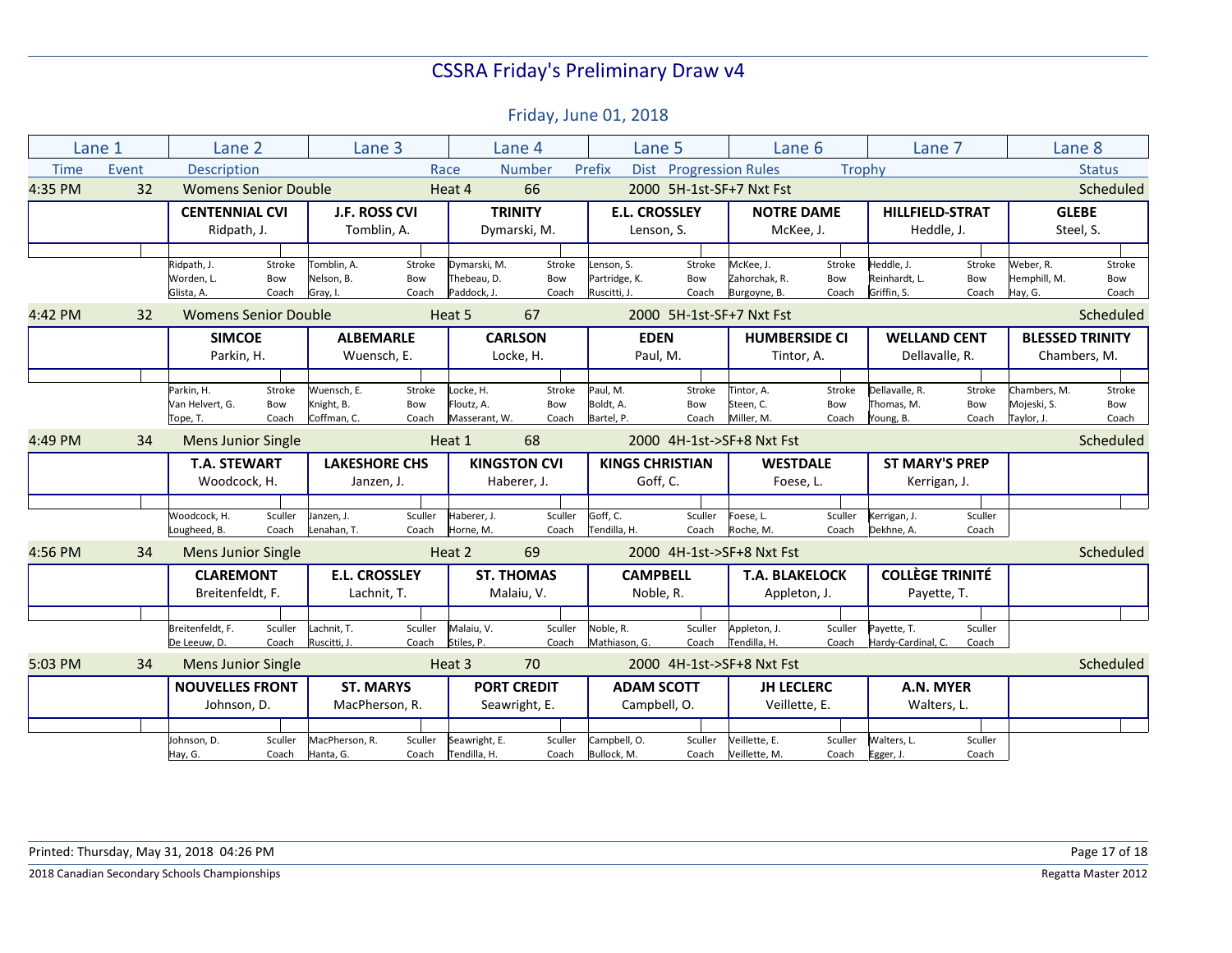|             | Lane 1 | Lane 2                      |                        | Lane 3                    |                                        |                             | Lane 4              | Lane 5                        |                          | Lane 6                        |                 | Lane 7                       |                       | Lane 8                    |               |
|-------------|--------|-----------------------------|------------------------|---------------------------|----------------------------------------|-----------------------------|---------------------|-------------------------------|--------------------------|-------------------------------|-----------------|------------------------------|-----------------------|---------------------------|---------------|
| <b>Time</b> | Event  | <b>Description</b>          |                        |                           | Race                                   |                             | Number              | Prefix<br><b>Dist</b>         |                          | <b>Progression Rules</b>      | Trophy          |                              |                       |                           | <b>Status</b> |
| 4:35 PM     | 32     | <b>Womens Senior Double</b> |                        |                           |                                        | Heat 4                      | 66                  |                               |                          | 2000 5H-1st-SF+7 Nxt Fst      |                 |                              |                       |                           | Scheduled     |
|             |        | <b>CENTENNIAL CVI</b>       |                        | J.F. ROSS CVI             |                                        |                             | <b>TRINITY</b>      | <b>E.L. CROSSLEY</b>          |                          | <b>NOTRE DAME</b>             |                 | <b>HILLFIELD-STRAT</b>       |                       | <b>GLEBE</b>              |               |
|             |        | Ridpath, J.                 |                        | Tomblin, A.               |                                        |                             | Dymarski, M.        | Lenson, S.                    |                          | McKee, J.                     |                 | Heddle, J.                   |                       | Steel, S.                 |               |
|             |        |                             |                        |                           |                                        |                             |                     |                               |                          |                               |                 |                              |                       |                           |               |
|             |        | Ridpath, J.                 | Stroke                 | Tomblin. A.               | Stroke                                 | Dymarski, M.                | Stroke              | Lenson. S.                    | Stroke                   | McKee. J.                     | Stroke          | Heddle, J.                   | Stroke                | Weber, R.                 | Stroke        |
|             |        | Worden, L.<br>Glista, A.    | Bow<br>Coach           | Nelson, B.<br>Gray, I.    | Bow<br>Coach                           | Thebeau, D.<br>Paddock, J.  | Bow<br>Coach        | Partridge, K.<br>Ruscitti, J. | Bow<br>Coach             | Zahorchak, R.<br>Burgoyne, B. | Bow<br>Coach    | Reinhardt, L.<br>Griffin, S. | Bow<br>Coach          | Hemphill, M.<br>Hay, G.   | Bow<br>Coach  |
|             |        |                             |                        |                           |                                        |                             |                     |                               |                          |                               |                 |                              |                       |                           |               |
| 4:42 PM     | 32     | <b>Womens Senior Double</b> |                        |                           | Heat 5                                 | 67                          |                     |                               | 2000 5H-1st-SF+7 Nxt Fst |                               |                 |                              | Scheduled             |                           |               |
|             |        | <b>SIMCOE</b>               |                        | <b>ALBEMARLE</b>          |                                        | <b>CARLSON</b>              |                     | <b>EDEN</b>                   |                          | <b>HUMBERSIDE CI</b>          |                 | <b>WELLAND CENT</b>          |                       | <b>BLESSED TRINITY</b>    |               |
|             |        | Parkin, H.                  |                        | Wuensch, E.               |                                        | Locke, H.                   |                     | Paul, M.                      |                          | Tintor, A.                    |                 | Dellavalle, R.               |                       | Chambers, M.              |               |
|             |        |                             |                        |                           |                                        |                             |                     |                               |                          |                               |                 |                              |                       |                           |               |
|             |        | Parkin, H.                  | Stroke                 | Wuensch, E.               | Stroke                                 | Locke, H.                   | Stroke              | Paul, M.                      | Stroke                   | Tintor, A.                    | Stroke          | Dellavalle, R.               | Stroke                | Chambers, M.              | Stroke        |
|             |        | Van Helvert, G.<br>Tope, T. | Bow<br>Coach           | Knight, B.<br>Coffman, C. | Bow<br>Coach                           | Floutz. A.<br>Masserant, W. | Bow<br>Coach        | Boldt, A.<br>Bartel, P.       | Bow<br>Coach             | Steen. C.<br>Miller, M.       | Bow<br>Coach    | Thomas. M.<br>Young, B.      | Bow<br>Coach          | Mojeski, S.<br>Taylor, J. | Bow<br>Coach  |
|             |        |                             |                        |                           |                                        |                             |                     |                               |                          |                               |                 |                              |                       |                           |               |
| 4:49 PM     | 34     | <b>Mens Junior Single</b>   |                        |                           |                                        | Heat 1                      | 68                  |                               |                          | 2000 4H-1st->SF+8 Nxt Fst     |                 |                              |                       |                           | Scheduled     |
|             |        | <b>T.A. STEWART</b>         |                        | <b>LAKESHORE CHS</b>      |                                        |                             | <b>KINGSTON CVI</b> |                               | <b>KINGS CHRISTIAN</b>   |                               | <b>WESTDALE</b> |                              | <b>ST MARY'S PREP</b> |                           |               |
|             |        | Woodcock, H.                |                        | Janzen, J.                |                                        |                             | Haberer, J.         | Goff, C.                      |                          | Foese, L.                     |                 | Kerrigan, J.                 |                       |                           |               |
|             |        |                             |                        |                           |                                        |                             |                     |                               |                          |                               |                 |                              |                       |                           |               |
|             |        | Woodcock, H.                | Sculler                | Janzen, J.                | Sculler                                | Haberer, J.                 | Sculler             | Goff, C.                      | Sculler                  | Foese, L.                     | Sculler         | Kerrigan, J.                 | Sculler               |                           |               |
|             |        | Lougheed, B.                | Coach                  | Lenahan, T.               | Coach                                  | Horne, M.                   | Coach               | Tendilla, H.                  | Coach                    | Roche, M.                     | Coach           | Dekhne, A.                   | Coach                 |                           |               |
| 4:56 PM     | 34     | <b>Mens Junior Single</b>   |                        |                           |                                        | Heat 2                      | 69                  |                               |                          | 2000 4H-1st->SF+8 Nxt Fst     |                 |                              |                       |                           | Scheduled     |
|             |        | <b>CLAREMONT</b>            |                        | <b>E.L. CROSSLEY</b>      |                                        |                             | <b>ST. THOMAS</b>   | <b>CAMPBELL</b>               |                          | <b>T.A. BLAKELOCK</b>         |                 | <b>COLLÈGE TRINITÉ</b>       |                       |                           |               |
|             |        | Breitenfeldt, F.            |                        | Lachnit, T.               |                                        |                             | Malaiu, V.          | Noble, R.                     |                          | Appleton, J.                  |                 | Payette, T.                  |                       |                           |               |
|             |        |                             |                        |                           |                                        |                             |                     |                               |                          |                               |                 |                              |                       |                           |               |
|             |        | Breitenfeldt, F.            | Sculler                | Lachnit, T.               | Sculler                                | Malaiu, V.                  | Sculler             | Noble, R.                     | Sculler                  | Appleton, J.                  | Sculler         | Payette, T.                  | Sculler               |                           |               |
|             |        | De Leeuw, D.                | Coach                  | Ruscitti, J.              | Coach                                  | Stiles, P.                  | Coach               | Mathiason, G.                 | Coach                    | Tendilla, H.                  | Coach           | Hardy-Cardinal, C.           | Coach                 |                           |               |
| 5:03 PM     | 34     | <b>Mens Junior Single</b>   |                        |                           |                                        | Heat 3                      | 70                  |                               |                          | 2000 4H-1st->SF+8 Nxt Fst     |                 |                              |                       |                           | Scheduled     |
|             |        |                             | <b>NOUVELLES FRONT</b> |                           | <b>ST. MARYS</b><br><b>PORT CREDIT</b> |                             |                     | <b>ADAM SCOTT</b>             |                          | <b>JH LECLERC</b>             |                 | A.N. MYER                    |                       |                           |               |
|             |        | Johnson, D.                 |                        | MacPherson, R.            |                                        | Seawright, E.               |                     | Campbell, O.                  |                          | Veillette, E.                 |                 | Walters, L.                  |                       |                           |               |
|             |        |                             |                        |                           |                                        |                             |                     |                               |                          |                               |                 |                              |                       |                           |               |
|             |        | Johnson, D.                 | Sculler                | MacPherson, R.            | Sculler                                | Seawright, E.               | Sculler             | Campbell, O.                  | Sculler                  | Veillette, E.                 | Sculler         | Walters, L.                  | Sculler               |                           |               |
|             |        | Hay, G.                     | Coach                  | Hanta, G.                 | Coach                                  | Tendilla, H.                | Coach               | Bullock, M.                   | Coach                    | Veillette, M.                 | Coach           | Egger, J.                    | Coach                 |                           |               |